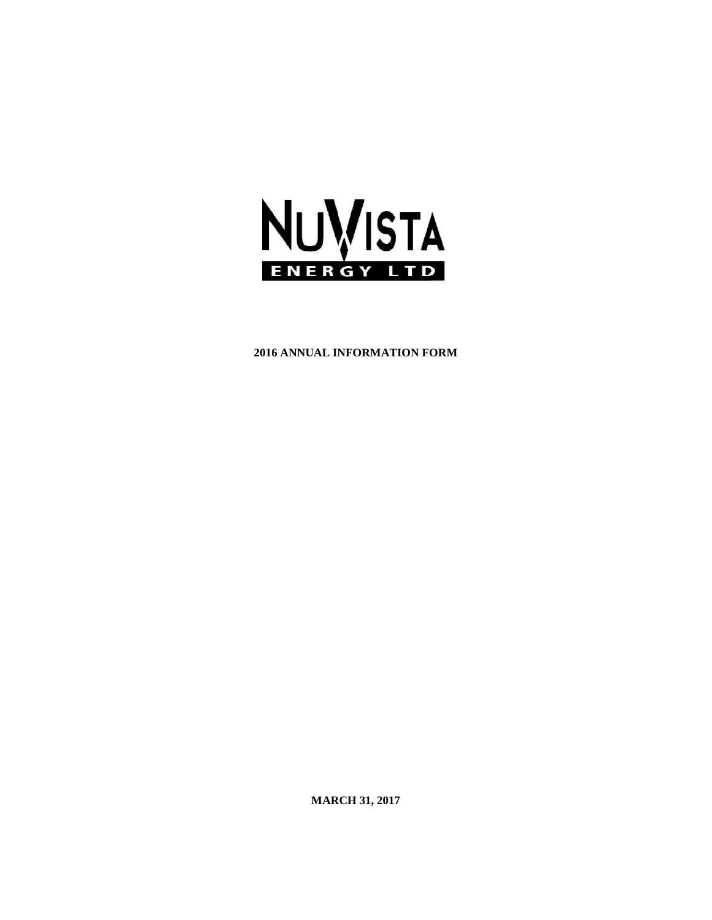

## **2016 ANNUAL INFORMATION FORM**

**MARCH 31, 2017**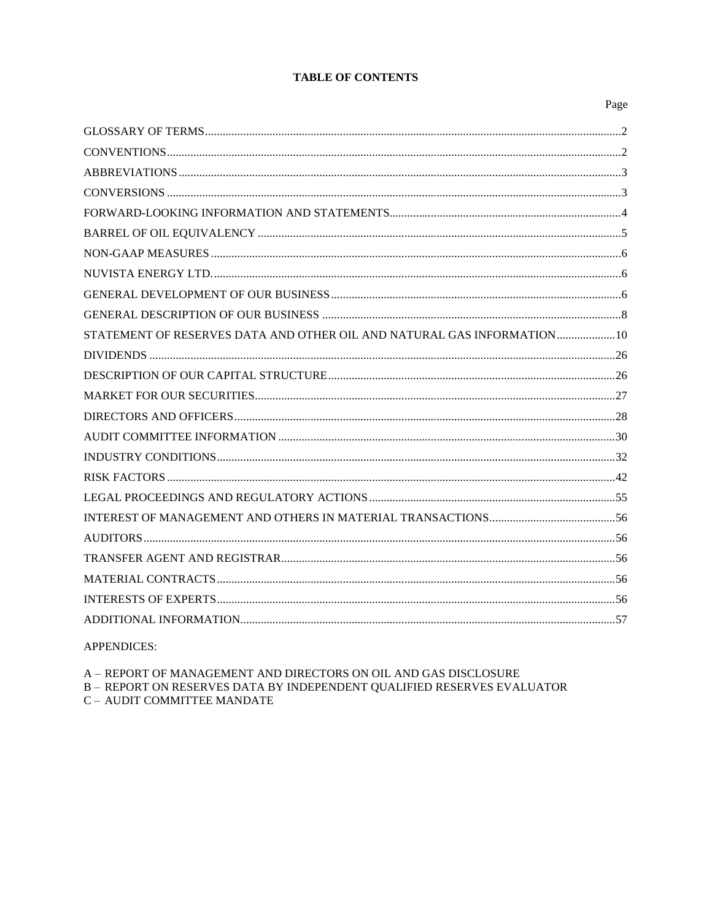## **TABLE OF CONTENTS**

## Page

| STATEMENT OF RESERVES DATA AND OTHER OIL AND NATURAL GAS INFORMATION 10 |  |
|-------------------------------------------------------------------------|--|
|                                                                         |  |
|                                                                         |  |
|                                                                         |  |
|                                                                         |  |
|                                                                         |  |
|                                                                         |  |
|                                                                         |  |
|                                                                         |  |
|                                                                         |  |
|                                                                         |  |
|                                                                         |  |
|                                                                         |  |
|                                                                         |  |
|                                                                         |  |
|                                                                         |  |

**APPENDICES:** 

A – REPORT OF MANAGEMENT AND DIRECTORS ON OIL AND GAS DISCLOSURE  $\texttt{B}-\texttt{REPORT}$ ON RESERVES DATA BY INDEPENDENT QUALIFIED RESERVES EVALUATOR **C - AUDIT COMMITTEE MANDATE**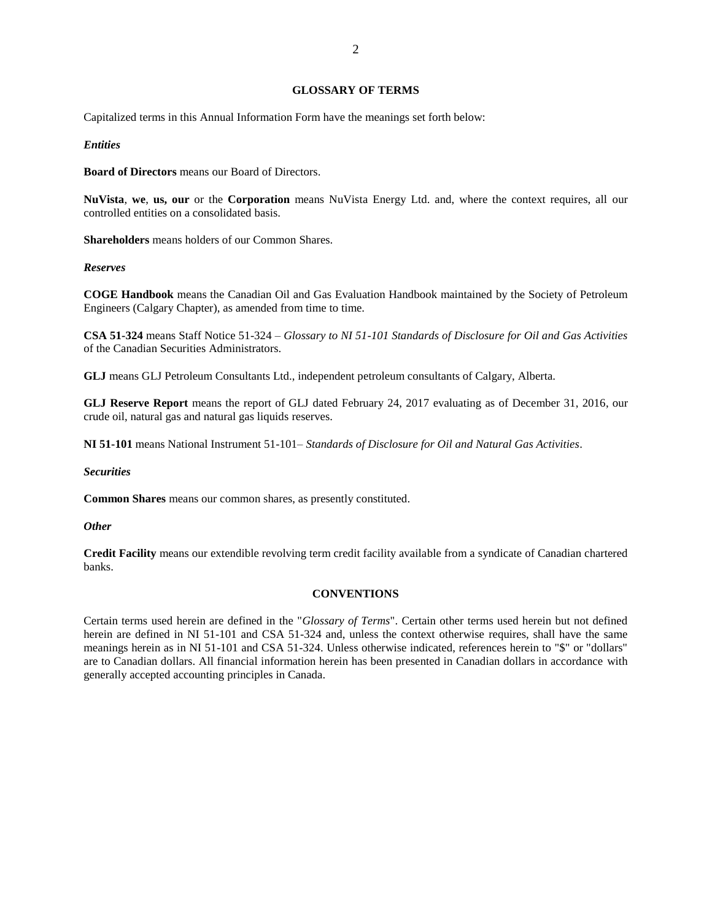## **GLOSSARY OF TERMS**

<span id="page-2-0"></span>Capitalized terms in this Annual Information Form have the meanings set forth below:

## *Entities*

**Board of Directors** means our Board of Directors.

**NuVista**, **we**, **us, our** or the **Corporation** means NuVista Energy Ltd. and, where the context requires, all our controlled entities on a consolidated basis.

**Shareholders** means holders of our Common Shares.

## *Reserves*

**COGE Handbook** means the Canadian Oil and Gas Evaluation Handbook maintained by the Society of Petroleum Engineers (Calgary Chapter), as amended from time to time.

**CSA 51-324** means Staff Notice 51-324 – *Glossary to NI 51-101 Standards of Disclosure for Oil and Gas Activities* of the Canadian Securities Administrators.

**GLJ** means GLJ Petroleum Consultants Ltd., independent petroleum consultants of Calgary, Alberta.

**GLJ Reserve Report** means the report of GLJ dated February 24, 2017 evaluating as of December 31, 2016, our crude oil, natural gas and natural gas liquids reserves.

**NI 51-101** means National Instrument 51-101– *Standards of Disclosure for Oil and Natural Gas Activities*.

#### *Securities*

**Common Shares** means our common shares, as presently constituted.

## *Other*

**Credit Facility** means our extendible revolving term credit facility available from a syndicate of Canadian chartered banks.

## **CONVENTIONS**

<span id="page-2-1"></span>Certain terms used herein are defined in the "*Glossary of Terms*". Certain other terms used herein but not defined herein are defined in NI 51-101 and CSA 51-324 and, unless the context otherwise requires, shall have the same meanings herein as in NI 51-101 and CSA 51-324. Unless otherwise indicated, references herein to "\$" or "dollars" are to Canadian dollars. All financial information herein has been presented in Canadian dollars in accordance with generally accepted accounting principles in Canada.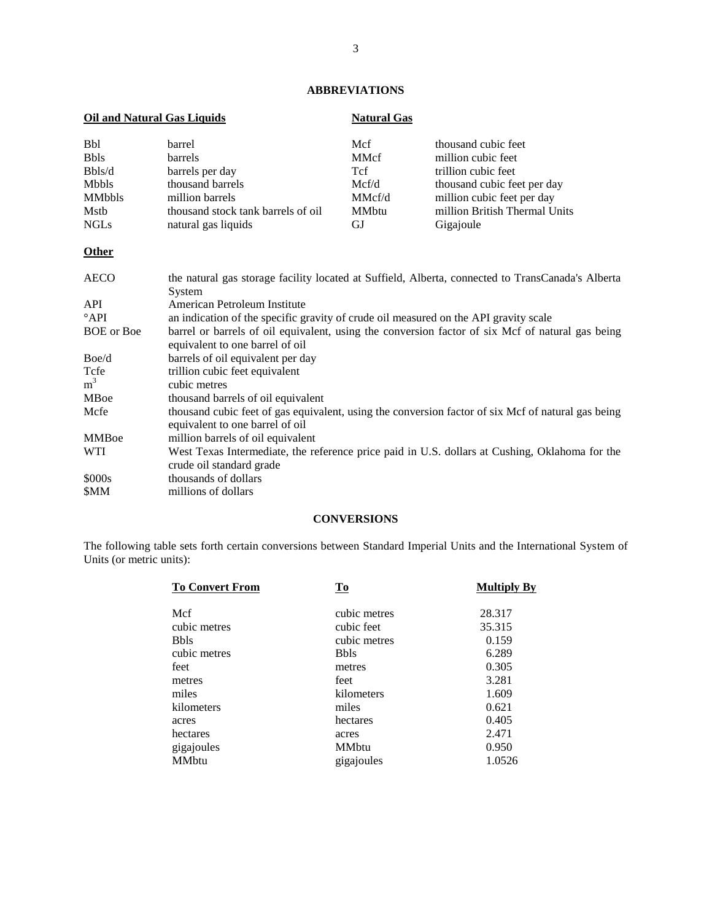# **ABBREVIATIONS**

<span id="page-3-0"></span>

| <b>Oil and Natural Gas Liquids</b> |                                    | <b>Natural Gas</b> |                               |  |  |
|------------------------------------|------------------------------------|--------------------|-------------------------------|--|--|
| <b>Bbl</b>                         | barrel                             | Mcf                | thousand cubic feet           |  |  |
| <b>Bbls</b>                        | <b>barrels</b>                     | <b>MMcf</b>        | million cubic feet            |  |  |
| Bbls/d                             | barrels per day                    | <b>T</b> cf        | trillion cubic feet           |  |  |
| Mbbls                              | thousand barrels                   | Mcf/d              | thousand cubic feet per day   |  |  |
| <b>MMbbls</b>                      | million barrels                    | MMcf/d             | million cubic feet per day    |  |  |
| Mstb                               | thousand stock tank barrels of oil | <b>MM</b> btu      | million British Thermal Units |  |  |
| <b>NGLs</b>                        | natural gas liquids                | GJ.                | Gigajoule                     |  |  |

# **Other**

| <b>AECO</b>       | the natural gas storage facility located at Suffield, Alberta, connected to TransCanada's Alberta<br>System                           |
|-------------------|---------------------------------------------------------------------------------------------------------------------------------------|
| <b>API</b>        | American Petroleum Institute                                                                                                          |
| $^{\circ}$ API    | an indication of the specific gravity of crude oil measured on the API gravity scale                                                  |
| <b>BOE</b> or Boe | barrel or barrels of oil equivalent, using the conversion factor of six Mcf of natural gas being<br>equivalent to one barrel of oil   |
| Boe/d             | barrels of oil equivalent per day                                                                                                     |
| Tcfe              | trillion cubic feet equivalent                                                                                                        |
| m <sup>3</sup>    | cubic metres                                                                                                                          |
| <b>MBoe</b>       | thousand barrels of oil equivalent                                                                                                    |
| Mcfe              | thousand cubic feet of gas equivalent, using the conversion factor of six Mcf of natural gas being<br>equivalent to one barrel of oil |
| <b>MMB</b> oe     | million barrels of oil equivalent                                                                                                     |
| <b>WTI</b>        | West Texas Intermediate, the reference price paid in U.S. dollars at Cushing, Oklahoma for the<br>crude oil standard grade            |
| \$000s            | thousands of dollars                                                                                                                  |
| <b>SMM</b>        | millions of dollars                                                                                                                   |

## **CONVERSIONS**

<span id="page-3-1"></span>The following table sets forth certain conversions between Standard Imperial Units and the International System of Units (or metric units):

| <b>To Convert From</b> | Tо            | <b>Multiply By</b> |
|------------------------|---------------|--------------------|
| Mcf                    | cubic metres  | 28.317             |
| cubic metres           | cubic feet    | 35.315             |
| <b>B</b> bls           | cubic metres  | 0.159              |
| cubic metres           | <b>Bbls</b>   | 6.289              |
| feet                   | metres        | 0.305              |
| metres                 | feet          | 3.281              |
| miles                  | kilometers    | 1.609              |
| kilometers             | miles         | 0.621              |
| acres                  | hectares      | 0.405              |
| hectares               | acres         | 2.471              |
| gigajoules             | <b>MM</b> btu | 0.950              |
| <b>MM</b> btu          | gigajoules    | 1.0526             |
|                        |               |                    |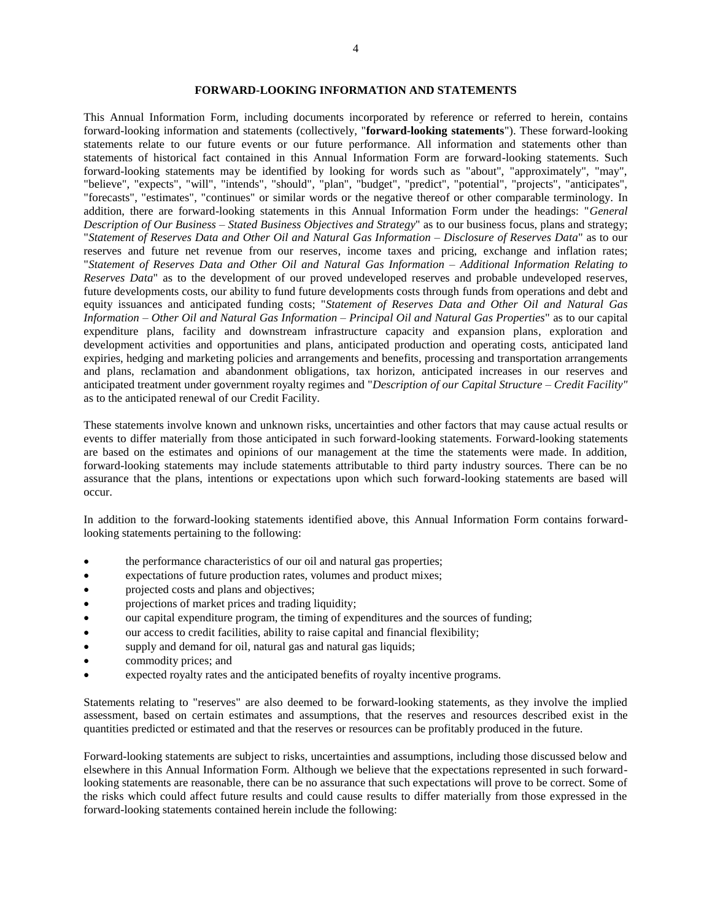## **FORWARD-LOOKING INFORMATION AND STATEMENTS**

<span id="page-4-0"></span>This Annual Information Form, including documents incorporated by reference or referred to herein, contains forward-looking information and statements (collectively, "**forward-looking statements**"). These forward-looking statements relate to our future events or our future performance. All information and statements other than statements of historical fact contained in this Annual Information Form are forward-looking statements. Such forward-looking statements may be identified by looking for words such as "about", "approximately", "may", "believe", "expects", "will", "intends", "should", "plan", "budget", "predict", "potential", "projects", "anticipates", "forecasts", "estimates", "continues" or similar words or the negative thereof or other comparable terminology. In addition, there are forward-looking statements in this Annual Information Form under the headings: "*General Description of Our Business – Stated Business Objectives and Strategy*" as to our business focus, plans and strategy; "*Statement of Reserves Data and Other Oil and Natural Gas Information – Disclosure of Reserves Data*" as to our reserves and future net revenue from our reserves, income taxes and pricing, exchange and inflation rates; "*Statement of Reserves Data and Other Oil and Natural Gas Information – Additional Information Relating to Reserves Data*" as to the development of our proved undeveloped reserves and probable undeveloped reserves, future developments costs, our ability to fund future developments costs through funds from operations and debt and equity issuances and anticipated funding costs; "*Statement of Reserves Data and Other Oil and Natural Gas Information – Other Oil and Natural Gas Information – Principal Oil and Natural Gas Properties*" as to our capital expenditure plans, facility and downstream infrastructure capacity and expansion plans, exploration and development activities and opportunities and plans, anticipated production and operating costs, anticipated land expiries, hedging and marketing policies and arrangements and benefits, processing and transportation arrangements and plans, reclamation and abandonment obligations, tax horizon, anticipated increases in our reserves and anticipated treatment under government royalty regimes and "*Description of our Capital Structure – Credit Facility"*  as to the anticipated renewal of our Credit Facility.

These statements involve known and unknown risks, uncertainties and other factors that may cause actual results or events to differ materially from those anticipated in such forward-looking statements. Forward-looking statements are based on the estimates and opinions of our management at the time the statements were made. In addition, forward-looking statements may include statements attributable to third party industry sources. There can be no assurance that the plans, intentions or expectations upon which such forward-looking statements are based will occur.

In addition to the forward-looking statements identified above, this Annual Information Form contains forwardlooking statements pertaining to the following:

- the performance characteristics of our oil and natural gas properties;
- expectations of future production rates, volumes and product mixes;
- projected costs and plans and objectives;
- projections of market prices and trading liquidity;
- our capital expenditure program, the timing of expenditures and the sources of funding;
- our access to credit facilities, ability to raise capital and financial flexibility;
- supply and demand for oil, natural gas and natural gas liquids;
- commodity prices; and
- expected royalty rates and the anticipated benefits of royalty incentive programs.

Statements relating to "reserves" are also deemed to be forward-looking statements, as they involve the implied assessment, based on certain estimates and assumptions, that the reserves and resources described exist in the quantities predicted or estimated and that the reserves or resources can be profitably produced in the future.

Forward-looking statements are subject to risks, uncertainties and assumptions, including those discussed below and elsewhere in this Annual Information Form. Although we believe that the expectations represented in such forwardlooking statements are reasonable, there can be no assurance that such expectations will prove to be correct. Some of the risks which could affect future results and could cause results to differ materially from those expressed in the forward-looking statements contained herein include the following: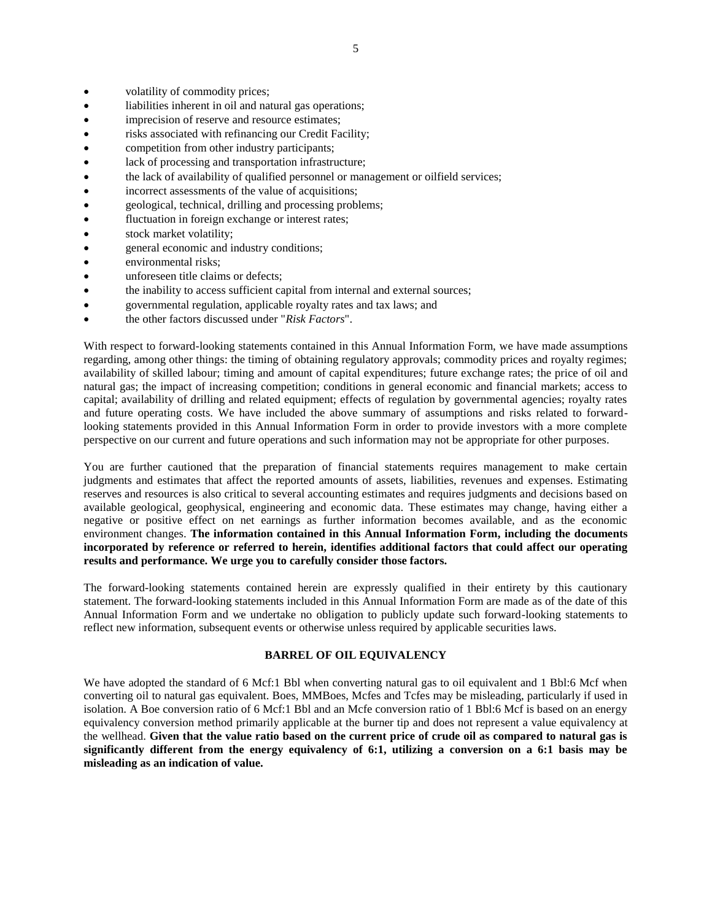- volatility of commodity prices;
- liabilities inherent in oil and natural gas operations;
- imprecision of reserve and resource estimates;
- risks associated with refinancing our Credit Facility;
- competition from other industry participants;
- lack of processing and transportation infrastructure;
- the lack of availability of qualified personnel or management or oilfield services;
- incorrect assessments of the value of acquisitions;
- geological, technical, drilling and processing problems;
- fluctuation in foreign exchange or interest rates;
- stock market volatility;
- general economic and industry conditions;
- environmental risks;
- unforeseen title claims or defects;
- the inability to access sufficient capital from internal and external sources;
- governmental regulation, applicable royalty rates and tax laws; and
- the other factors discussed under "*Risk Factors*".

With respect to forward-looking statements contained in this Annual Information Form, we have made assumptions regarding, among other things: the timing of obtaining regulatory approvals; commodity prices and royalty regimes; availability of skilled labour; timing and amount of capital expenditures; future exchange rates; the price of oil and natural gas; the impact of increasing competition; conditions in general economic and financial markets; access to capital; availability of drilling and related equipment; effects of regulation by governmental agencies; royalty rates and future operating costs. We have included the above summary of assumptions and risks related to forwardlooking statements provided in this Annual Information Form in order to provide investors with a more complete perspective on our current and future operations and such information may not be appropriate for other purposes.

You are further cautioned that the preparation of financial statements requires management to make certain judgments and estimates that affect the reported amounts of assets, liabilities, revenues and expenses. Estimating reserves and resources is also critical to several accounting estimates and requires judgments and decisions based on available geological, geophysical, engineering and economic data. These estimates may change, having either a negative or positive effect on net earnings as further information becomes available, and as the economic environment changes. **The information contained in this Annual Information Form, including the documents incorporated by reference or referred to herein, identifies additional factors that could affect our operating results and performance. We urge you to carefully consider those factors.** 

The forward-looking statements contained herein are expressly qualified in their entirety by this cautionary statement. The forward-looking statements included in this Annual Information Form are made as of the date of this Annual Information Form and we undertake no obligation to publicly update such forward-looking statements to reflect new information, subsequent events or otherwise unless required by applicable securities laws.

## **BARREL OF OIL EQUIVALENCY**

<span id="page-5-0"></span>We have adopted the standard of 6 Mcf:1 Bbl when converting natural gas to oil equivalent and 1 Bbl:6 Mcf when converting oil to natural gas equivalent. Boes, MMBoes, Mcfes and Tcfes may be misleading, particularly if used in isolation. A Boe conversion ratio of 6 Mcf:1 Bbl and an Mcfe conversion ratio of 1 Bbl:6 Mcf is based on an energy equivalency conversion method primarily applicable at the burner tip and does not represent a value equivalency at the wellhead. **Given that the value ratio based on the current price of crude oil as compared to natural gas is significantly different from the energy equivalency of 6:1, utilizing a conversion on a 6:1 basis may be misleading as an indication of value.**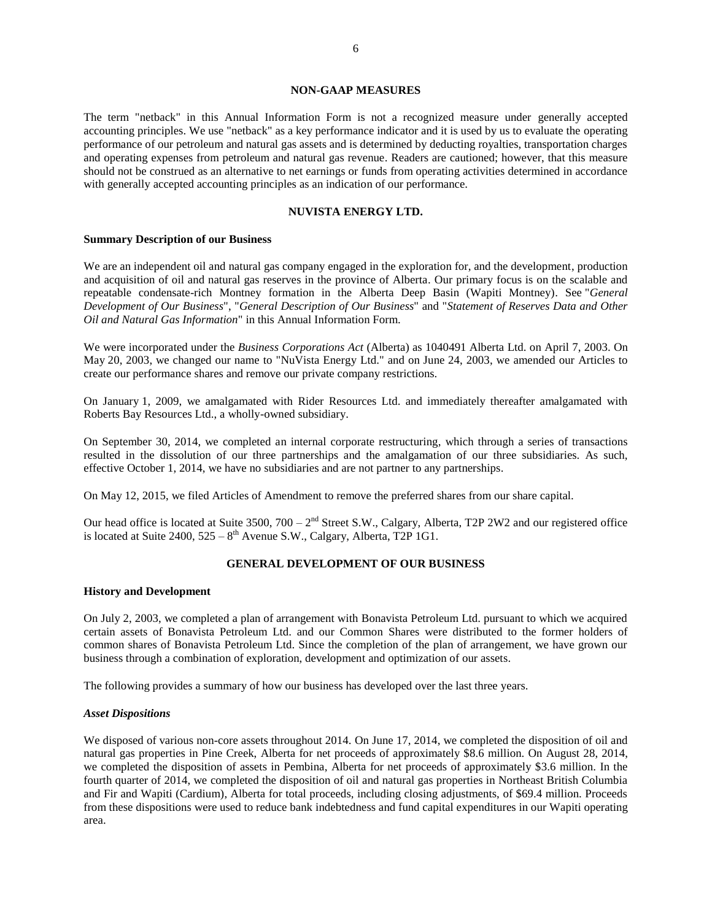### **NON-GAAP MEASURES**

<span id="page-6-0"></span>The term "netback" in this Annual Information Form is not a recognized measure under generally accepted accounting principles. We use "netback" as a key performance indicator and it is used by us to evaluate the operating performance of our petroleum and natural gas assets and is determined by deducting royalties, transportation charges and operating expenses from petroleum and natural gas revenue. Readers are cautioned; however, that this measure should not be construed as an alternative to net earnings or funds from operating activities determined in accordance with generally accepted accounting principles as an indication of our performance.

## **NUVISTA ENERGY LTD.**

#### <span id="page-6-1"></span>**Summary Description of our Business**

We are an independent oil and natural gas company engaged in the exploration for, and the development, production and acquisition of oil and natural gas reserves in the province of Alberta. Our primary focus is on the scalable and repeatable condensate-rich Montney formation in the Alberta Deep Basin (Wapiti Montney). See "*General Development of Our Business*", "*General Description of Our Business*" and "*Statement of Reserves Data and Other Oil and Natural Gas Information*" in this Annual Information Form.

We were incorporated under the *Business Corporations Act* (Alberta) as 1040491 Alberta Ltd. on April 7, 2003. On May 20, 2003, we changed our name to "NuVista Energy Ltd." and on June 24, 2003, we amended our Articles to create our performance shares and remove our private company restrictions.

On January 1, 2009, we amalgamated with Rider Resources Ltd. and immediately thereafter amalgamated with Roberts Bay Resources Ltd., a wholly-owned subsidiary.

On September 30, 2014, we completed an internal corporate restructuring, which through a series of transactions resulted in the dissolution of our three partnerships and the amalgamation of our three subsidiaries. As such, effective October 1, 2014, we have no subsidiaries and are not partner to any partnerships.

On May 12, 2015, we filed Articles of Amendment to remove the preferred shares from our share capital.

Our head office is located at Suite 3500,  $700 - 2<sup>nd</sup>$  Street S.W., Calgary, Alberta, T2P 2W2 and our registered office is located at Suite  $2400$ ,  $525 - 8$ <sup>th</sup> Avenue S.W., Calgary, Alberta, T2P 1G1.

## **GENERAL DEVELOPMENT OF OUR BUSINESS**

#### <span id="page-6-2"></span>**History and Development**

On July 2, 2003, we completed a plan of arrangement with Bonavista Petroleum Ltd. pursuant to which we acquired certain assets of Bonavista Petroleum Ltd. and our Common Shares were distributed to the former holders of common shares of Bonavista Petroleum Ltd. Since the completion of the plan of arrangement, we have grown our business through a combination of exploration, development and optimization of our assets.

The following provides a summary of how our business has developed over the last three years.

## *Asset Dispositions*

We disposed of various non-core assets throughout 2014. On June 17, 2014, we completed the disposition of oil and natural gas properties in Pine Creek, Alberta for net proceeds of approximately \$8.6 million. On August 28, 2014, we completed the disposition of assets in Pembina, Alberta for net proceeds of approximately \$3.6 million. In the fourth quarter of 2014, we completed the disposition of oil and natural gas properties in Northeast British Columbia and Fir and Wapiti (Cardium), Alberta for total proceeds, including closing adjustments, of \$69.4 million. Proceeds from these dispositions were used to reduce bank indebtedness and fund capital expenditures in our Wapiti operating area.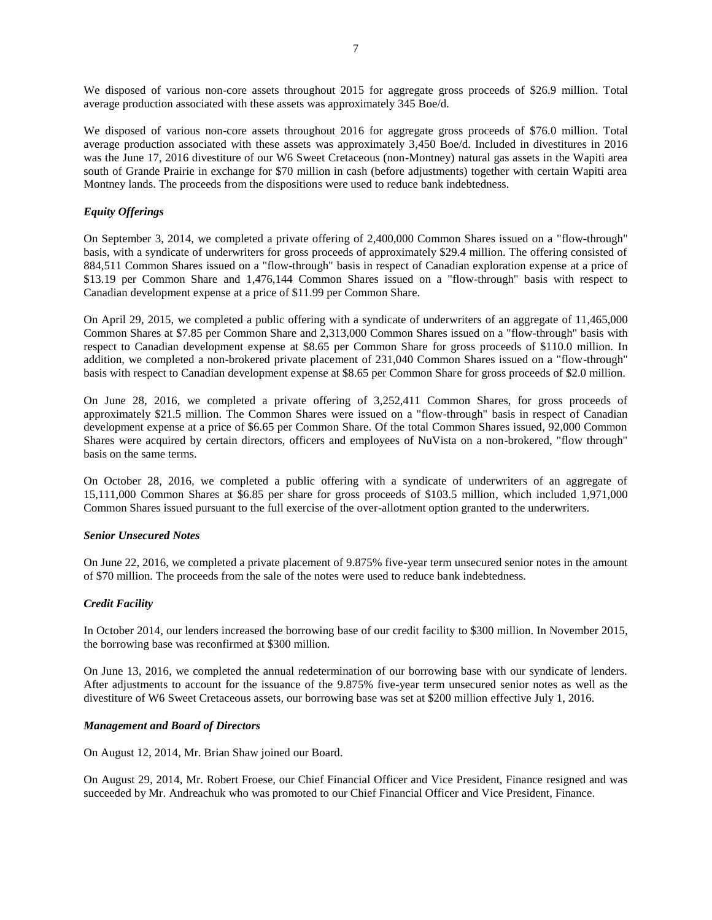We disposed of various non-core assets throughout 2015 for aggregate gross proceeds of \$26.9 million. Total average production associated with these assets was approximately 345 Boe/d.

We disposed of various non-core assets throughout 2016 for aggregate gross proceeds of \$76.0 million. Total average production associated with these assets was approximately 3,450 Boe/d. Included in divestitures in 2016 was the June 17, 2016 divestiture of our W6 Sweet Cretaceous (non-Montney) natural gas assets in the Wapiti area south of Grande Prairie in exchange for \$70 million in cash (before adjustments) together with certain Wapiti area Montney lands. The proceeds from the dispositions were used to reduce bank indebtedness.

## *Equity Offerings*

On September 3, 2014, we completed a private offering of 2,400,000 Common Shares issued on a "flow-through" basis, with a syndicate of underwriters for gross proceeds of approximately \$29.4 million. The offering consisted of 884,511 Common Shares issued on a "flow-through" basis in respect of Canadian exploration expense at a price of \$13.19 per Common Share and 1,476,144 Common Shares issued on a "flow-through" basis with respect to Canadian development expense at a price of \$11.99 per Common Share.

On April 29, 2015, we completed a public offering with a syndicate of underwriters of an aggregate of 11,465,000 Common Shares at \$7.85 per Common Share and 2,313,000 Common Shares issued on a "flow-through" basis with respect to Canadian development expense at \$8.65 per Common Share for gross proceeds of \$110.0 million. In addition, we completed a non-brokered private placement of 231,040 Common Shares issued on a "flow-through" basis with respect to Canadian development expense at \$8.65 per Common Share for gross proceeds of \$2.0 million.

On June 28, 2016, we completed a private offering of 3,252,411 Common Shares, for gross proceeds of approximately \$21.5 million. The Common Shares were issued on a "flow-through" basis in respect of Canadian development expense at a price of \$6.65 per Common Share. Of the total Common Shares issued, 92,000 Common Shares were acquired by certain directors, officers and employees of NuVista on a non-brokered, "flow through" basis on the same terms.

On October 28, 2016, we completed a public offering with a syndicate of underwriters of an aggregate of 15,111,000 Common Shares at \$6.85 per share for gross proceeds of \$103.5 million, which included 1,971,000 Common Shares issued pursuant to the full exercise of the over-allotment option granted to the underwriters.

## *Senior Unsecured Notes*

On June 22, 2016, we completed a private placement of 9.875% five-year term unsecured senior notes in the amount of \$70 million. The proceeds from the sale of the notes were used to reduce bank indebtedness.

## *Credit Facility*

In October 2014, our lenders increased the borrowing base of our credit facility to \$300 million. In November 2015, the borrowing base was reconfirmed at \$300 million.

On June 13, 2016, we completed the annual redetermination of our borrowing base with our syndicate of lenders. After adjustments to account for the issuance of the 9.875% five-year term unsecured senior notes as well as the divestiture of W6 Sweet Cretaceous assets, our borrowing base was set at \$200 million effective July 1, 2016.

### *Management and Board of Directors*

On August 12, 2014, Mr. Brian Shaw joined our Board.

On August 29, 2014, Mr. Robert Froese, our Chief Financial Officer and Vice President, Finance resigned and was succeeded by Mr. Andreachuk who was promoted to our Chief Financial Officer and Vice President, Finance.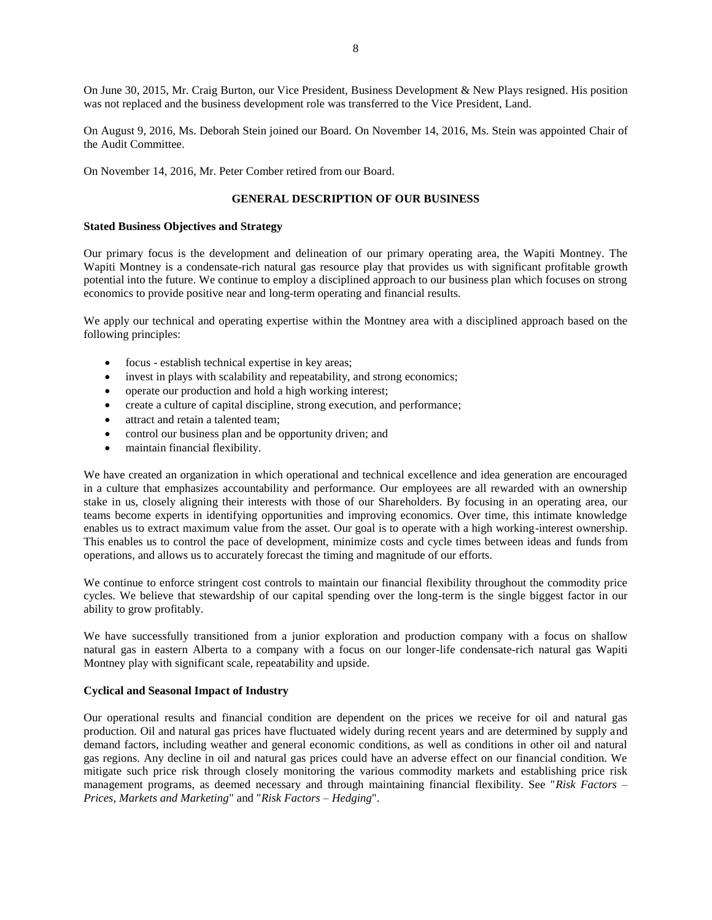On June 30, 2015, Mr. Craig Burton, our Vice President, Business Development & New Plays resigned. His position was not replaced and the business development role was transferred to the Vice President, Land.

On August 9, 2016, Ms. Deborah Stein joined our Board. On November 14, 2016, Ms. Stein was appointed Chair of the Audit Committee.

<span id="page-8-0"></span>On November 14, 2016, Mr. Peter Comber retired from our Board.

## **GENERAL DESCRIPTION OF OUR BUSINESS**

#### **Stated Business Objectives and Strategy**

Our primary focus is the development and delineation of our primary operating area, the Wapiti Montney. The Wapiti Montney is a condensate-rich natural gas resource play that provides us with significant profitable growth potential into the future. We continue to employ a disciplined approach to our business plan which focuses on strong economics to provide positive near and long-term operating and financial results.

We apply our technical and operating expertise within the Montney area with a disciplined approach based on the following principles:

- focus establish technical expertise in key areas;
- invest in plays with scalability and repeatability, and strong economics;
- operate our production and hold a high working interest;
- create a culture of capital discipline, strong execution, and performance;
- attract and retain a talented team;
- control our business plan and be opportunity driven; and
- maintain financial flexibility.

We have created an organization in which operational and technical excellence and idea generation are encouraged in a culture that emphasizes accountability and performance. Our employees are all rewarded with an ownership stake in us, closely aligning their interests with those of our Shareholders. By focusing in an operating area, our teams become experts in identifying opportunities and improving economics. Over time, this intimate knowledge enables us to extract maximum value from the asset. Our goal is to operate with a high working-interest ownership. This enables us to control the pace of development, minimize costs and cycle times between ideas and funds from operations, and allows us to accurately forecast the timing and magnitude of our efforts.

We continue to enforce stringent cost controls to maintain our financial flexibility throughout the commodity price cycles. We believe that stewardship of our capital spending over the long-term is the single biggest factor in our ability to grow profitably.

We have successfully transitioned from a junior exploration and production company with a focus on shallow natural gas in eastern Alberta to a company with a focus on our longer-life condensate-rich natural gas Wapiti Montney play with significant scale, repeatability and upside.

## **Cyclical and Seasonal Impact of Industry**

Our operational results and financial condition are dependent on the prices we receive for oil and natural gas production. Oil and natural gas prices have fluctuated widely during recent years and are determined by supply and demand factors, including weather and general economic conditions, as well as conditions in other oil and natural gas regions. Any decline in oil and natural gas prices could have an adverse effect on our financial condition. We mitigate such price risk through closely monitoring the various commodity markets and establishing price risk management programs, as deemed necessary and through maintaining financial flexibility. See "*Risk Factors – Prices, Markets and Marketing*" and "*Risk Factors – Hedging*".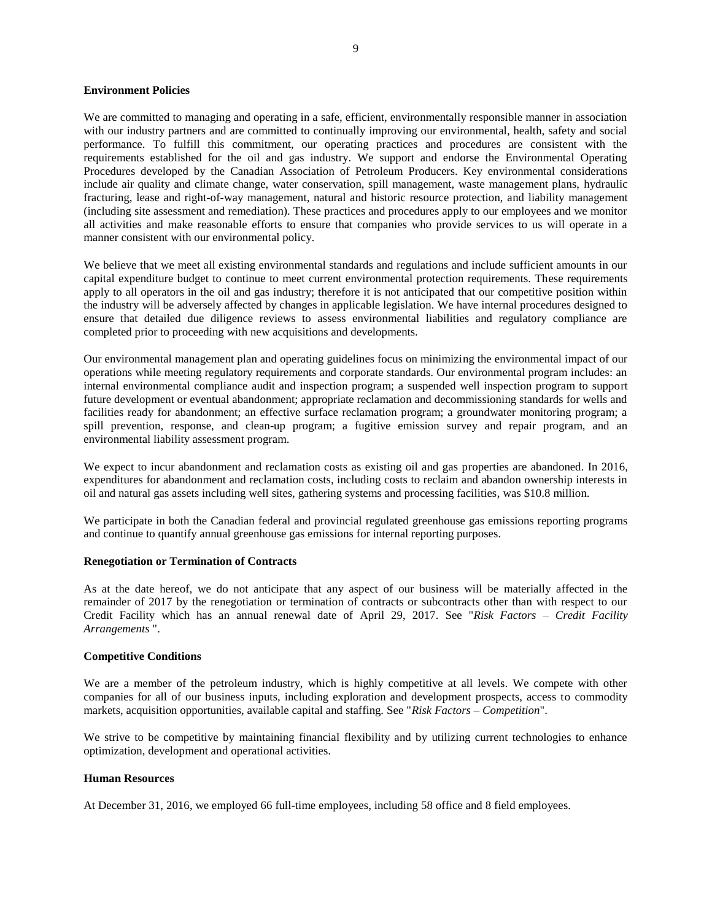## **Environment Policies**

We are committed to managing and operating in a safe, efficient, environmentally responsible manner in association with our industry partners and are committed to continually improving our environmental, health, safety and social performance. To fulfill this commitment, our operating practices and procedures are consistent with the requirements established for the oil and gas industry. We support and endorse the Environmental Operating Procedures developed by the Canadian Association of Petroleum Producers. Key environmental considerations include air quality and climate change, water conservation, spill management, waste management plans, hydraulic fracturing, lease and right-of-way management, natural and historic resource protection, and liability management (including site assessment and remediation). These practices and procedures apply to our employees and we monitor all activities and make reasonable efforts to ensure that companies who provide services to us will operate in a manner consistent with our environmental policy.

We believe that we meet all existing environmental standards and regulations and include sufficient amounts in our capital expenditure budget to continue to meet current environmental protection requirements. These requirements apply to all operators in the oil and gas industry; therefore it is not anticipated that our competitive position within the industry will be adversely affected by changes in applicable legislation. We have internal procedures designed to ensure that detailed due diligence reviews to assess environmental liabilities and regulatory compliance are completed prior to proceeding with new acquisitions and developments.

Our environmental management plan and operating guidelines focus on minimizing the environmental impact of our operations while meeting regulatory requirements and corporate standards. Our environmental program includes: an internal environmental compliance audit and inspection program; a suspended well inspection program to support future development or eventual abandonment; appropriate reclamation and decommissioning standards for wells and facilities ready for abandonment; an effective surface reclamation program; a groundwater monitoring program; a spill prevention, response, and clean-up program; a fugitive emission survey and repair program, and an environmental liability assessment program.

We expect to incur abandonment and reclamation costs as existing oil and gas properties are abandoned. In 2016, expenditures for abandonment and reclamation costs, including costs to reclaim and abandon ownership interests in oil and natural gas assets including well sites, gathering systems and processing facilities, was \$10.8 million.

We participate in both the Canadian federal and provincial regulated greenhouse gas emissions reporting programs and continue to quantify annual greenhouse gas emissions for internal reporting purposes.

## **Renegotiation or Termination of Contracts**

As at the date hereof, we do not anticipate that any aspect of our business will be materially affected in the remainder of 2017 by the renegotiation or termination of contracts or subcontracts other than with respect to our Credit Facility which has an annual renewal date of April 29, 2017. See "*Risk Factors – Credit Facility Arrangements* ".

#### **Competitive Conditions**

We are a member of the petroleum industry, which is highly competitive at all levels. We compete with other companies for all of our business inputs, including exploration and development prospects, access to commodity markets, acquisition opportunities, available capital and staffing. See "*Risk Factors – Competition*".

We strive to be competitive by maintaining financial flexibility and by utilizing current technologies to enhance optimization, development and operational activities.

#### **Human Resources**

At December 31, 2016, we employed 66 full-time employees, including 58 office and 8 field employees.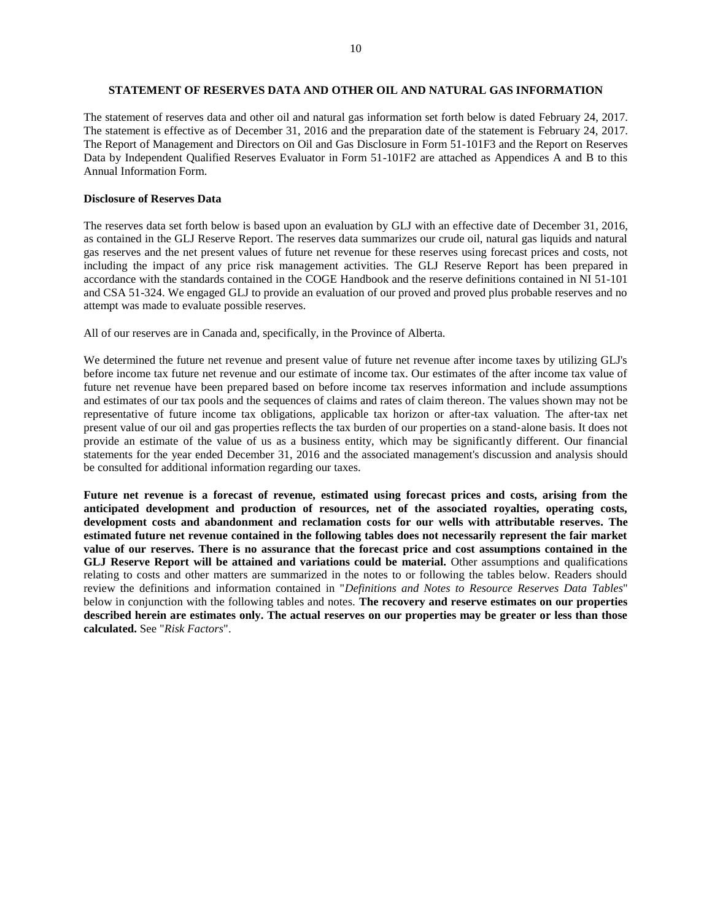## <span id="page-10-0"></span>**STATEMENT OF RESERVES DATA AND OTHER OIL AND NATURAL GAS INFORMATION**

The statement of reserves data and other oil and natural gas information set forth below is dated February 24, 2017. The statement is effective as of December 31, 2016 and the preparation date of the statement is February 24, 2017. The Report of Management and Directors on Oil and Gas Disclosure in Form 51-101F3 and the Report on Reserves Data by Independent Qualified Reserves Evaluator in Form 51-101F2 are attached as Appendices A and B to this Annual Information Form.

## **Disclosure of Reserves Data**

The reserves data set forth below is based upon an evaluation by GLJ with an effective date of December 31, 2016, as contained in the GLJ Reserve Report. The reserves data summarizes our crude oil, natural gas liquids and natural gas reserves and the net present values of future net revenue for these reserves using forecast prices and costs, not including the impact of any price risk management activities. The GLJ Reserve Report has been prepared in accordance with the standards contained in the COGE Handbook and the reserve definitions contained in NI 51-101 and CSA 51-324. We engaged GLJ to provide an evaluation of our proved and proved plus probable reserves and no attempt was made to evaluate possible reserves.

All of our reserves are in Canada and, specifically, in the Province of Alberta.

We determined the future net revenue and present value of future net revenue after income taxes by utilizing GLJ's before income tax future net revenue and our estimate of income tax. Our estimates of the after income tax value of future net revenue have been prepared based on before income tax reserves information and include assumptions and estimates of our tax pools and the sequences of claims and rates of claim thereon. The values shown may not be representative of future income tax obligations, applicable tax horizon or after-tax valuation. The after‐tax net present value of our oil and gas properties reflects the tax burden of our properties on a stand‐alone basis. It does not provide an estimate of the value of us as a business entity, which may be significantly different. Our financial statements for the year ended December 31, 2016 and the associated management's discussion and analysis should be consulted for additional information regarding our taxes.

**Future net revenue is a forecast of revenue, estimated using forecast prices and costs, arising from the anticipated development and production of resources, net of the associated royalties, operating costs, development costs and abandonment and reclamation costs for our wells with attributable reserves. The estimated future net revenue contained in the following tables does not necessarily represent the fair market value of our reserves. There is no assurance that the forecast price and cost assumptions contained in the GLJ Reserve Report will be attained and variations could be material.** Other assumptions and qualifications relating to costs and other matters are summarized in the notes to or following the tables below. Readers should review the definitions and information contained in "*Definitions and Notes to Resource Reserves Data Tables*" below in conjunction with the following tables and notes. **The recovery and reserve estimates on our properties described herein are estimates only. The actual reserves on our properties may be greater or less than those calculated.** See "*Risk Factors*".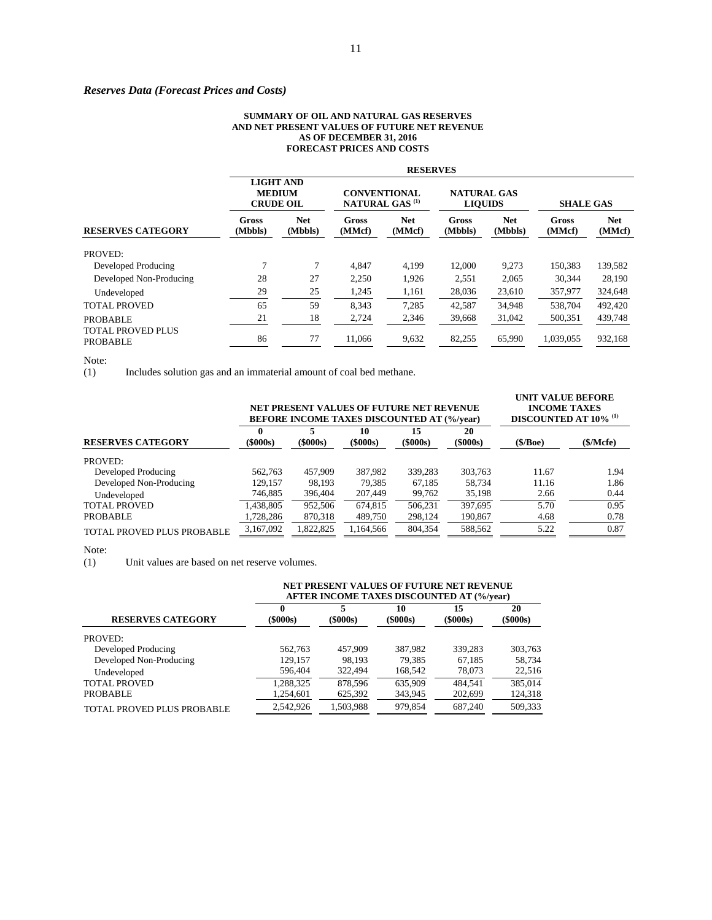## *Reserves Data (Forecast Prices and Costs)*

#### **SUMMARY OF OIL AND NATURAL GAS RESERVES AND NET PRESENT VALUES OF FUTURE NET REVENUE AS OF DECEMBER 31, 2016 FORECAST PRICES AND COSTS**

|                                             | <b>RESERVES</b>                                       |                       |                                                          |                      |                                      |                       |                  |                      |  |  |
|---------------------------------------------|-------------------------------------------------------|-----------------------|----------------------------------------------------------|----------------------|--------------------------------------|-----------------------|------------------|----------------------|--|--|
|                                             | <b>LIGHT AND</b><br><b>MEDIUM</b><br><b>CRUDE OIL</b> |                       | <b>CONVENTIONAL</b><br><b>NATURAL GAS</b> <sup>(1)</sup> |                      | <b>NATURAL GAS</b><br><b>LIQUIDS</b> |                       | <b>SHALE GAS</b> |                      |  |  |
| <b>RESERVES CATEGORY</b>                    | Gross<br>(Mbbls)                                      | <b>Net</b><br>(Mbbls) | Gross<br>(MMcf)                                          | <b>Net</b><br>(MMcf) | Gross<br>(Mbbls)                     | <b>Net</b><br>(Mbbls) | Gross<br>(MMcf)  | <b>Net</b><br>(MMcf) |  |  |
| PROVED:                                     |                                                       |                       |                                                          |                      |                                      |                       |                  |                      |  |  |
| Developed Producing                         | $\mathcal{I}$                                         | 7                     | 4.847                                                    | 4,199                | 12,000                               | 9,273                 | 150.383          | 139,582              |  |  |
| Developed Non-Producing                     | 28                                                    | 27                    | 2,250                                                    | 1,926                | 2,551                                | 2.065                 | 30.344           | 28,190               |  |  |
| Undeveloped                                 | 29                                                    | 25                    | 1,245                                                    | 1,161                | 28,036                               | 23,610                | 357,977          | 324,648              |  |  |
| <b>TOTAL PROVED</b>                         | 65                                                    | 59                    | 8,343                                                    | 7,285                | 42,587                               | 34,948                | 538,704          | 492,420              |  |  |
| <b>PROBABLE</b><br><b>TOTAL PROVED PLUS</b> | 21                                                    | 18                    | 2,724                                                    | 2,346                | 39,668                               | 31,042                | 500,351          | 439,748              |  |  |
| <b>PROBABLE</b>                             | 86                                                    | 77                    | 11,066                                                   | 9,632                | 82,255                               | 65,990                | 1,039,055        | 932,168              |  |  |

Note:<br> $(1)$ Includes solution gas and an immaterial amount of coal bed methane.

|                            |                 | NET PRESENT VALUES OF FUTURE NET REVENUE<br><b>BEFORE INCOME TAXES DISCOUNTED AT (%/year)</b> | <b>UNIT VALUE BEFORE</b><br><b>INCOME TAXES</b><br><b>DISCOUNTED AT 10% (1)</b> |                      |                      |            |           |
|----------------------------|-----------------|-----------------------------------------------------------------------------------------------|---------------------------------------------------------------------------------|----------------------|----------------------|------------|-----------|
| <b>RESERVES CATEGORY</b>   | 0<br>$(\$000s)$ | $(\$000s)$                                                                                    | 10<br>$(\$000s)$                                                                | 15<br>$($ \$000s $)$ | 20<br>$($ \$000s $)$ | $(\$/Boe)$ | (\$/Mcfe) |
| PROVED:                    |                 |                                                                                               |                                                                                 |                      |                      |            |           |
| Developed Producing        | 562,763         | 457,909                                                                                       | 387.982                                                                         | 339.283              | 303,763              | 11.67      | 1.94      |
| Developed Non-Producing    | 129,157         | 98.193                                                                                        | 79,385                                                                          | 67.185               | 58.734               | 11.16      | 1.86      |
| Undeveloped                | 746,885         | 396,404                                                                                       | 207,449                                                                         | 99,762               | 35,198               | 2.66       | 0.44      |
| <b>TOTAL PROVED</b>        | .438,805        | 952,506                                                                                       | 674,815                                                                         | 506.231              | 397.695              | 5.70       | 0.95      |
| <b>PROBABLE</b>            | ,728,286        | 870,318                                                                                       | 489,750                                                                         | 298,124              | 190,867              | 4.68       | 0.78      |
| TOTAL PROVED PLUS PROBABLE | 3,167,092       | 1.822.825                                                                                     | 1.164.566                                                                       | 804.354              | 588.562              | 5.22       | 0.87      |

Note:<br> $(1)$ Unit values are based on net reserve volumes.

|                            | NET PRESENT VALUES OF FUTURE NET REVENUE<br><b>AFTER INCOME TAXES DISCOUNTED AT (%/year)</b> |                     |                      |                  |                  |  |  |  |
|----------------------------|----------------------------------------------------------------------------------------------|---------------------|----------------------|------------------|------------------|--|--|--|
| <b>RESERVES CATEGORY</b>   | 0<br>$(\$000s)$                                                                              | 5<br>$($ \$000s $)$ | 10<br>$($ \$000s $)$ | 15<br>$(\$000s)$ | 20<br>$(\$000s)$ |  |  |  |
| PROVED:                    |                                                                                              |                     |                      |                  |                  |  |  |  |
| Developed Producing        | 562,763                                                                                      | 457,909             | 387,982              | 339,283          | 303,763          |  |  |  |
| Developed Non-Producing    | 129.157                                                                                      | 98.193              | 79.385               | 67.185           | 58.734           |  |  |  |
| Undeveloped                | 596,404                                                                                      | 322.494             | 168,542              | 78.073           | 22,516           |  |  |  |
| <b>TOTAL PROVED</b>        | 1,288,325                                                                                    | 878.596             | 635,909              | 484.541          | 385,014          |  |  |  |
| <b>PROBABLE</b>            | 1,254,601                                                                                    | 625,392             | 343,945              | 202,699          | 124,318          |  |  |  |
| TOTAL PROVED PLUS PROBABLE | 2.542.926                                                                                    | 1.503.988           | 979.854              | 687.240          | 509.333          |  |  |  |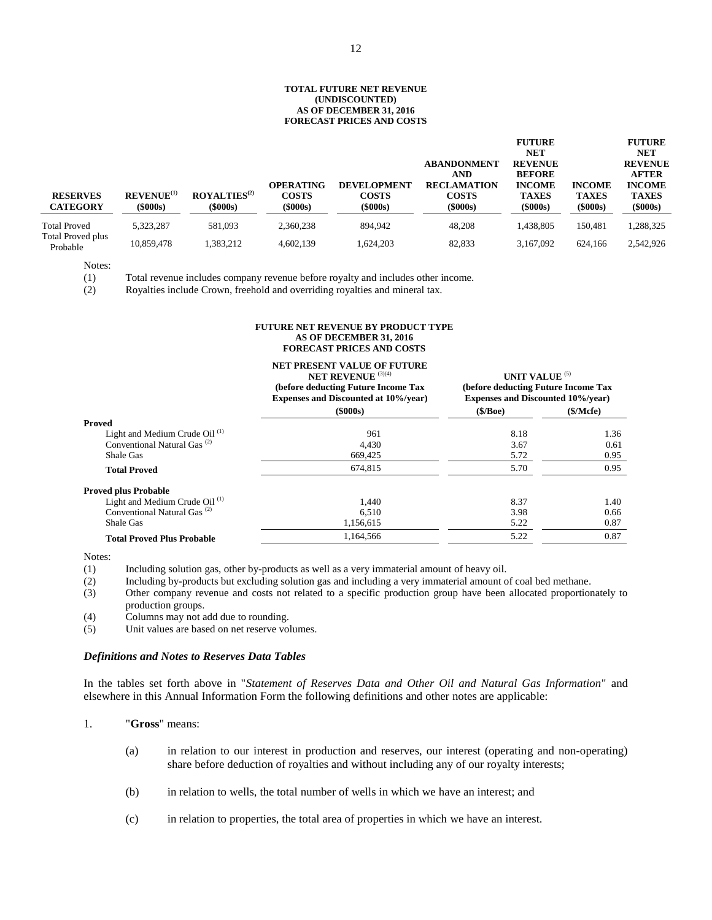#### **TOTAL FUTURE NET REVENUE (UNDISCOUNTED) AS OF DECEMBER 31, 2016 FORECAST PRICES AND COSTS**

| <b>RESERVES</b><br><b>CATEGORY</b> | REVENUE <sup>(1)</sup><br>$(\$000s)$ | ROYALTIES <sup>(2)</sup><br>$(\$000s)$ | <b>OPERATING</b><br><b>COSTS</b><br>$(\$000s)$ | <b>DEVELOPMENT</b><br><b>COSTS</b><br>$(\$000s)$ | <b>ABANDONMENT</b><br><b>AND</b><br><b>RECLAMATION</b><br><b>COSTS</b><br>$(\$000s)$ | <b>FUTURE</b><br><b>NET</b><br><b>REVENUE</b><br><b>BEFORE</b><br><b>INCOME</b><br><b>TAXES</b><br>$($ \$000s $)$ | <b>INCOME</b><br><b>TAXES</b><br>$($ \$000s $)$ | <b>FUTURE</b><br>NET<br><b>REVENUE</b><br><b>AFTER</b><br><b>INCOME</b><br><b>TAXES</b><br>$(\$000s)$ |
|------------------------------------|--------------------------------------|----------------------------------------|------------------------------------------------|--------------------------------------------------|--------------------------------------------------------------------------------------|-------------------------------------------------------------------------------------------------------------------|-------------------------------------------------|-------------------------------------------------------------------------------------------------------|
| <b>Total Proved</b>                | 5.323.287                            | 581.093                                | 2.360.238                                      | 894.942                                          | 48.208                                                                               | 1,438,805                                                                                                         | 150.481                                         | 1,288,325                                                                                             |
| Total Proved plus<br>Probable      | 10,859,478                           | 1,383,212                              | 4,602,139                                      | 1.624.203                                        | 82,833                                                                               | 3.167.092                                                                                                         | 624.166                                         | 2,542,926                                                                                             |

Notes:

 $\overline{\phantom{0}}$ 

(1) Total revenue includes company revenue before royalty and includes other income.

(2) Royalties include Crown, freehold and overriding royalties and mineral tax.

#### **FUTURE NET REVENUE BY PRODUCT TYPE AS OF DECEMBER 31, 2016 FORECAST PRICES AND COSTS**

|                                           | <b>NET PRESENT VALUE OF FUTURE</b><br><b>NET REVENUE</b> (3)(4)<br>(before deducting Future Income Tax<br><b>Expenses and Discounted at 10%/year)</b> | UNIT VALUE <sup>(5)</sup><br>(before deducting Future Income Tax<br><b>Expenses and Discounted 10%/year)</b> |          |  |
|-------------------------------------------|-------------------------------------------------------------------------------------------------------------------------------------------------------|--------------------------------------------------------------------------------------------------------------|----------|--|
|                                           | $($ \$000s $)$                                                                                                                                        | (\$/Boe)                                                                                                     | \$/Mcfe) |  |
| Proved                                    |                                                                                                                                                       |                                                                                                              |          |  |
| Light and Medium Crude Oil <sup>(1)</sup> | 961                                                                                                                                                   | 8.18                                                                                                         | 1.36     |  |
| Conventional Natural Gas <sup>(2)</sup>   | 4.430                                                                                                                                                 | 3.67                                                                                                         | 0.61     |  |
| Shale Gas                                 | 669,425                                                                                                                                               | 5.72                                                                                                         | 0.95     |  |
| <b>Total Proved</b>                       | 674,815                                                                                                                                               | 5.70                                                                                                         | 0.95     |  |
| <b>Proved plus Probable</b>               |                                                                                                                                                       |                                                                                                              |          |  |
| Light and Medium Crude Oil <sup>(1)</sup> | 1,440                                                                                                                                                 | 8.37                                                                                                         | 1.40     |  |
| Conventional Natural Gas <sup>(2)</sup>   | 6.510                                                                                                                                                 | 3.98                                                                                                         | 0.66     |  |
| Shale Gas                                 | 1,156,615                                                                                                                                             | 5.22                                                                                                         | 0.87     |  |
| <b>Total Proved Plus Probable</b>         | 1.164.566                                                                                                                                             | 5.22                                                                                                         | 0.87     |  |

Notes:

- (1) Including solution gas, other by-products as well as a very immaterial amount of heavy oil.
- (2) Including by-products but excluding solution gas and including a very immaterial amount of coal bed methane.
- (3) Other company revenue and costs not related to a specific production group have been allocated proportionately to production groups.
- (4) Columns may not add due to rounding.<br>(5) Unit values are based on net reserve vol
- Unit values are based on net reserve volumes.

#### *Definitions and Notes to Reserves Data Tables*

In the tables set forth above in "*Statement of Reserves Data and Other Oil and Natural Gas Information*" and elsewhere in this Annual Information Form the following definitions and other notes are applicable:

1. "**Gross**" means:

- (a) in relation to our interest in production and reserves, our interest (operating and non-operating) share before deduction of royalties and without including any of our royalty interests;
- (b) in relation to wells, the total number of wells in which we have an interest; and
- (c) in relation to properties, the total area of properties in which we have an interest.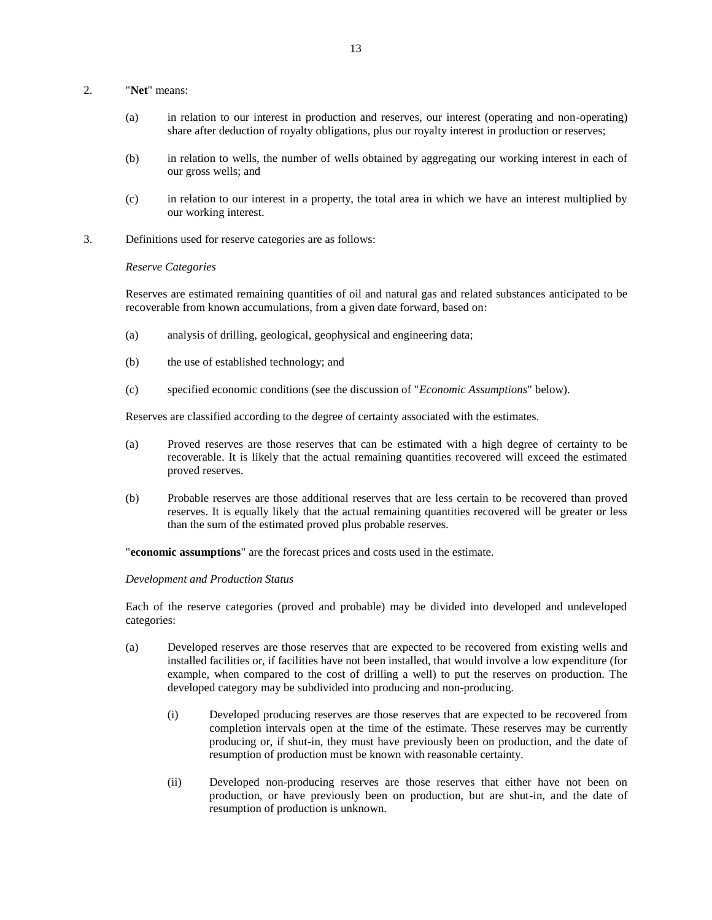## 2. "**Net**" means:

- (a) in relation to our interest in production and reserves, our interest (operating and non-operating) share after deduction of royalty obligations, plus our royalty interest in production or reserves;
- (b) in relation to wells, the number of wells obtained by aggregating our working interest in each of our gross wells; and
- (c) in relation to our interest in a property, the total area in which we have an interest multiplied by our working interest.
- 3. Definitions used for reserve categories are as follows:

## *Reserve Categories*

Reserves are estimated remaining quantities of oil and natural gas and related substances anticipated to be recoverable from known accumulations, from a given date forward, based on:

- (a) analysis of drilling, geological, geophysical and engineering data;
- (b) the use of established technology; and
- (c) specified economic conditions (see the discussion of "*Economic Assumptions*" below).

Reserves are classified according to the degree of certainty associated with the estimates.

- (a) Proved reserves are those reserves that can be estimated with a high degree of certainty to be recoverable. It is likely that the actual remaining quantities recovered will exceed the estimated proved reserves.
- (b) Probable reserves are those additional reserves that are less certain to be recovered than proved reserves. It is equally likely that the actual remaining quantities recovered will be greater or less than the sum of the estimated proved plus probable reserves.

"**economic assumptions**" are the forecast prices and costs used in the estimate.

## *Development and Production Status*

Each of the reserve categories (proved and probable) may be divided into developed and undeveloped categories:

- (a) Developed reserves are those reserves that are expected to be recovered from existing wells and installed facilities or, if facilities have not been installed, that would involve a low expenditure (for example, when compared to the cost of drilling a well) to put the reserves on production. The developed category may be subdivided into producing and non-producing.
	- (i) Developed producing reserves are those reserves that are expected to be recovered from completion intervals open at the time of the estimate. These reserves may be currently producing or, if shut-in, they must have previously been on production, and the date of resumption of production must be known with reasonable certainty.
	- (ii) Developed non-producing reserves are those reserves that either have not been on production, or have previously been on production, but are shut-in, and the date of resumption of production is unknown.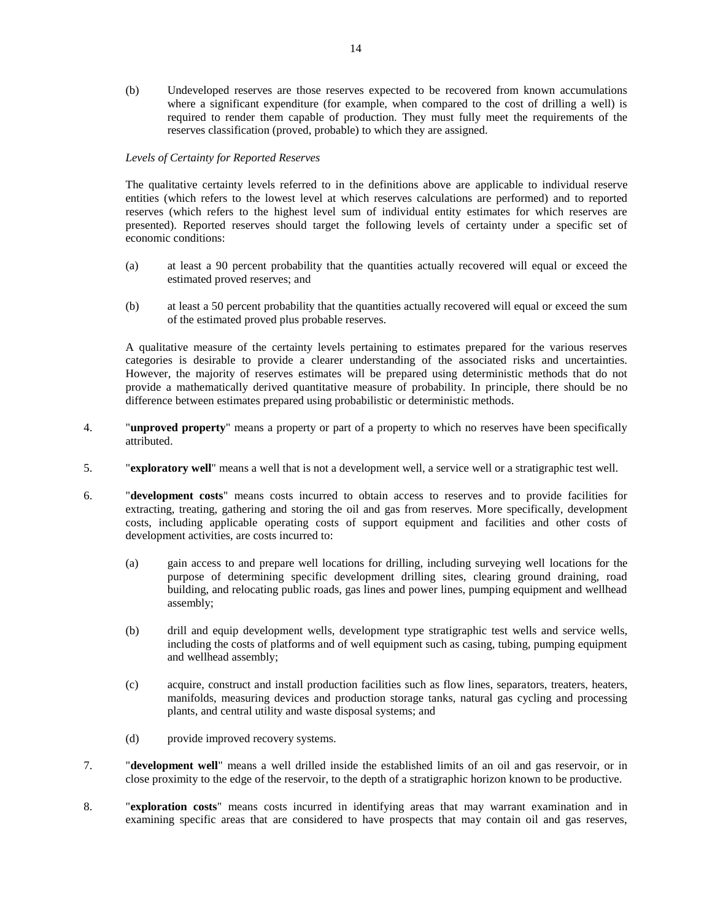(b) Undeveloped reserves are those reserves expected to be recovered from known accumulations where a significant expenditure (for example, when compared to the cost of drilling a well) is required to render them capable of production. They must fully meet the requirements of the reserves classification (proved, probable) to which they are assigned.

## *Levels of Certainty for Reported Reserves*

The qualitative certainty levels referred to in the definitions above are applicable to individual reserve entities (which refers to the lowest level at which reserves calculations are performed) and to reported reserves (which refers to the highest level sum of individual entity estimates for which reserves are presented). Reported reserves should target the following levels of certainty under a specific set of economic conditions:

- (a) at least a 90 percent probability that the quantities actually recovered will equal or exceed the estimated proved reserves; and
- (b) at least a 50 percent probability that the quantities actually recovered will equal or exceed the sum of the estimated proved plus probable reserves.

A qualitative measure of the certainty levels pertaining to estimates prepared for the various reserves categories is desirable to provide a clearer understanding of the associated risks and uncertainties. However, the majority of reserves estimates will be prepared using deterministic methods that do not provide a mathematically derived quantitative measure of probability. In principle, there should be no difference between estimates prepared using probabilistic or deterministic methods.

- 4. "**unproved property**" means a property or part of a property to which no reserves have been specifically attributed.
- 5. "**exploratory well**" means a well that is not a development well, a service well or a stratigraphic test well.
- 6. "**development costs**" means costs incurred to obtain access to reserves and to provide facilities for extracting, treating, gathering and storing the oil and gas from reserves. More specifically, development costs, including applicable operating costs of support equipment and facilities and other costs of development activities, are costs incurred to:
	- (a) gain access to and prepare well locations for drilling, including surveying well locations for the purpose of determining specific development drilling sites, clearing ground draining, road building, and relocating public roads, gas lines and power lines, pumping equipment and wellhead assembly;
	- (b) drill and equip development wells, development type stratigraphic test wells and service wells, including the costs of platforms and of well equipment such as casing, tubing, pumping equipment and wellhead assembly;
	- (c) acquire, construct and install production facilities such as flow lines, separators, treaters, heaters, manifolds, measuring devices and production storage tanks, natural gas cycling and processing plants, and central utility and waste disposal systems; and
	- (d) provide improved recovery systems.
- 7. "**development well**" means a well drilled inside the established limits of an oil and gas reservoir, or in close proximity to the edge of the reservoir, to the depth of a stratigraphic horizon known to be productive.
- 8. "**exploration costs**" means costs incurred in identifying areas that may warrant examination and in examining specific areas that are considered to have prospects that may contain oil and gas reserves,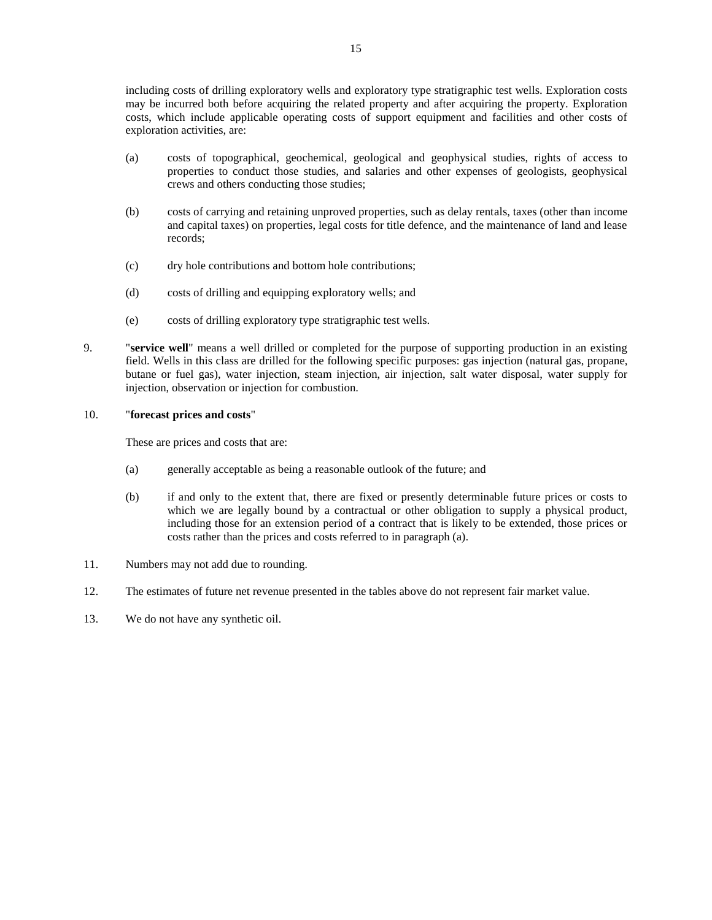including costs of drilling exploratory wells and exploratory type stratigraphic test wells. Exploration costs may be incurred both before acquiring the related property and after acquiring the property. Exploration costs, which include applicable operating costs of support equipment and facilities and other costs of exploration activities, are:

- (a) costs of topographical, geochemical, geological and geophysical studies, rights of access to properties to conduct those studies, and salaries and other expenses of geologists, geophysical crews and others conducting those studies;
- (b) costs of carrying and retaining unproved properties, such as delay rentals, taxes (other than income and capital taxes) on properties, legal costs for title defence, and the maintenance of land and lease records;
- (c) dry hole contributions and bottom hole contributions;
- (d) costs of drilling and equipping exploratory wells; and
- (e) costs of drilling exploratory type stratigraphic test wells.
- 9. "**service well**" means a well drilled or completed for the purpose of supporting production in an existing field. Wells in this class are drilled for the following specific purposes: gas injection (natural gas, propane, butane or fuel gas), water injection, steam injection, air injection, salt water disposal, water supply for injection, observation or injection for combustion.

## 10. "**forecast prices and costs**"

These are prices and costs that are:

- (a) generally acceptable as being a reasonable outlook of the future; and
- (b) if and only to the extent that, there are fixed or presently determinable future prices or costs to which we are legally bound by a contractual or other obligation to supply a physical product, including those for an extension period of a contract that is likely to be extended, those prices or costs rather than the prices and costs referred to in paragraph (a).
- 11. Numbers may not add due to rounding.
- 12. The estimates of future net revenue presented in the tables above do not represent fair market value.
- 13. We do not have any synthetic oil.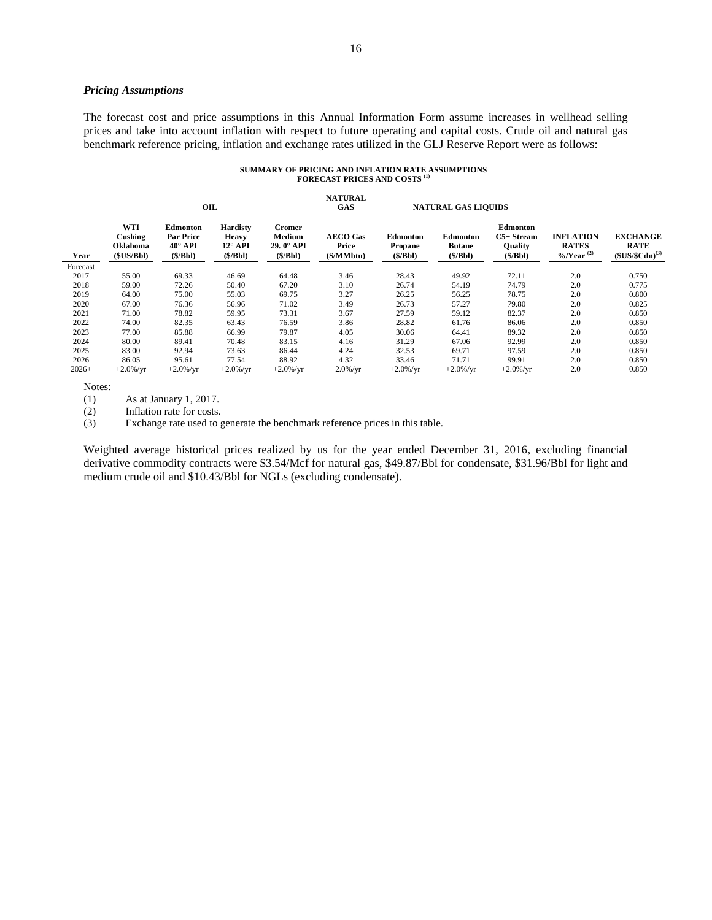## *Pricing Assumptions*

The forecast cost and price assumptions in this Annual Information Form assume increases in wellhead selling prices and take into account inflation with respect to future operating and capital costs. Crude oil and natural gas benchmark reference pricing, inflation and exchange rates utilized in the GLJ Reserve Report were as follows:

| SUMMARY OF PRICING AND INFLATION RATE ASSUMPTIONS |  |
|---------------------------------------------------|--|
| <b>FORECAST PRICES AND COSTS (1)</b>              |  |

|          |                                         | OIL                                                              |                                                                |                                          | <b>NATURAL</b><br><b>GAS</b>                 | <b>NATURAL GAS LIQUIDS</b>            |                                             |                                                      |                                                           |                                                             |
|----------|-----------------------------------------|------------------------------------------------------------------|----------------------------------------------------------------|------------------------------------------|----------------------------------------------|---------------------------------------|---------------------------------------------|------------------------------------------------------|-----------------------------------------------------------|-------------------------------------------------------------|
| Year     | WTI<br>Cushing<br>Oklahoma<br>(SUS/Bbl) | <b>Edmonton</b><br><b>Par Price</b><br>$40^\circ$ API<br>(S/Bbl) | <b>Hardisty</b><br><b>Heavy</b><br>$12^{\circ}$ API<br>(S/Bbl) | Cromer<br>Medium<br>29.0° API<br>(S/Bbl) | <b>AECO</b> Gas<br>Price<br>$(\frac{5}{M}M)$ | Edmonton<br><b>Propane</b><br>(S/Bbl) | <b>Edmonton</b><br><b>Butane</b><br>(S/Bbl) | Edmonton<br>$C5+Stream$<br><b>Quality</b><br>(S/Bbl) | <b>INFLATION</b><br><b>RATES</b><br>%/Year <sup>(2)</sup> | <b>EXCHANGE</b><br><b>RATE</b><br>$$US/$Cdn$ <sup>(3)</sup> |
| Forecast |                                         |                                                                  |                                                                |                                          |                                              |                                       |                                             |                                                      |                                                           |                                                             |
| 2017     | 55.00                                   | 69.33                                                            | 46.69                                                          | 64.48                                    | 3.46                                         | 28.43                                 | 49.92                                       | 72.11                                                | 2.0                                                       | 0.750                                                       |
| 2018     | 59.00                                   | 72.26                                                            | 50.40                                                          | 67.20                                    | 3.10                                         | 26.74                                 | 54.19                                       | 74.79                                                | 2.0                                                       | 0.775                                                       |
| 2019     | 64.00                                   | 75.00                                                            | 55.03                                                          | 69.75                                    | 3.27                                         | 26.25                                 | 56.25                                       | 78.75                                                | 2.0                                                       | 0.800                                                       |
| 2020     | 67.00                                   | 76.36                                                            | 56.96                                                          | 71.02                                    | 3.49                                         | 26.73                                 | 57.27                                       | 79.80                                                | 2.0                                                       | 0.825                                                       |
| 2021     | 71.00                                   | 78.82                                                            | 59.95                                                          | 73.31                                    | 3.67                                         | 27.59                                 | 59.12                                       | 82.37                                                | 2.0                                                       | 0.850                                                       |
| 2022     | 74.00                                   | 82.35                                                            | 63.43                                                          | 76.59                                    | 3.86                                         | 28.82                                 | 61.76                                       | 86.06                                                | 2.0                                                       | 0.850                                                       |
| 2023     | 77.00                                   | 85.88                                                            | 66.99                                                          | 79.87                                    | 4.05                                         | 30.06                                 | 64.41                                       | 89.32                                                | 2.0                                                       | 0.850                                                       |
| 2024     | 80.00                                   | 89.41                                                            | 70.48                                                          | 83.15                                    | 4.16                                         | 31.29                                 | 67.06                                       | 92.99                                                | 2.0                                                       | 0.850                                                       |
| 2025     | 83.00                                   | 92.94                                                            | 73.63                                                          | 86.44                                    | 4.24                                         | 32.53                                 | 69.71                                       | 97.59                                                | 2.0                                                       | 0.850                                                       |
| 2026     | 86.05                                   | 95.61                                                            | 77.54                                                          | 88.92                                    | 4.32                                         | 33.46                                 | 71.71                                       | 99.91                                                | 2.0                                                       | 0.850                                                       |
| $2026+$  | $+2.0\%$ /yr                            | $+2.0\%$ /yr                                                     | $+2.0\%$ /yr                                                   | $+2.0\%$ /yr                             | $+2.0\%$ /yr                                 | $+2.0\%$ /yr                          | $+2.0\%$ /yr                                | $+2.0\%$ /yr                                         | 2.0                                                       | 0.850                                                       |

Notes:

(1) As at January 1, 2017.

(2) Inflation rate for costs.

(3) Exchange rate used to generate the benchmark reference prices in this table.

Weighted average historical prices realized by us for the year ended December 31, 2016, excluding financial derivative commodity contracts were \$3.54/Mcf for natural gas, \$49.87/Bbl for condensate, \$31.96/Bbl for light and medium crude oil and \$10.43/Bbl for NGLs (excluding condensate).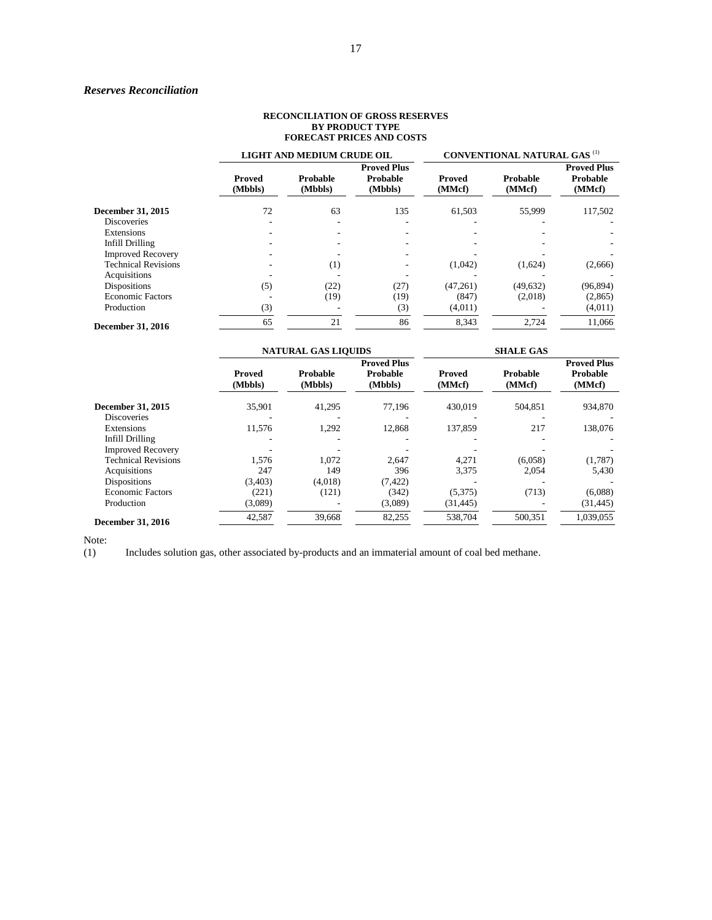## *Reserves Reconciliation*

#### **RECONCILIATION OF GROSS RESERVES BY PRODUCT TYPE FORECAST PRICES AND COSTS**

|                            |                          | LIGHT AND MEDIUM CRUDE OIL |                                           | <b>CONVENTIONAL NATURAL GAS (1)</b> |                    |                                          |  |
|----------------------------|--------------------------|----------------------------|-------------------------------------------|-------------------------------------|--------------------|------------------------------------------|--|
|                            | <b>Proved</b><br>(Mbbls) | Probable<br>(Mbbls)        | <b>Proved Plus</b><br>Probable<br>(Mbbls) | Proved<br>(MMcf)                    | Probable<br>(MMcf) | <b>Proved Plus</b><br>Probable<br>(MMcf) |  |
| December 31, 2015          | 72                       | 63                         | 135                                       | 61,503                              | 55,999             | 117,502                                  |  |
| <b>Discoveries</b>         |                          |                            |                                           |                                     | ۰                  |                                          |  |
| Extensions                 |                          |                            |                                           |                                     |                    |                                          |  |
| Infill Drilling            |                          |                            |                                           |                                     |                    |                                          |  |
| <b>Improved Recovery</b>   |                          |                            |                                           |                                     |                    |                                          |  |
| <b>Technical Revisions</b> |                          | (1)                        |                                           | (1,042)                             | (1,624)            | (2,666)                                  |  |
| Acquisitions               |                          |                            |                                           |                                     |                    |                                          |  |
| <b>Dispositions</b>        | (5)                      | (22)                       | (27)                                      | (47,261)                            | (49, 632)          | (96, 894)                                |  |
| <b>Economic Factors</b>    |                          | (19)                       | (19)                                      | (847)                               | (2,018)            | (2,865)                                  |  |
| Production                 | (3)                      |                            | (3)                                       | (4,011)                             |                    | (4,011)                                  |  |
| <b>December 31, 2016</b>   | 65                       | 21                         | 86                                        | 8,343                               | 2,724              | 11,066                                   |  |

|                            | <b>NATURAL GAS LIQUIDS</b> |                     |                                           | <b>SHALE GAS</b>        |                    |                                          |
|----------------------------|----------------------------|---------------------|-------------------------------------------|-------------------------|--------------------|------------------------------------------|
|                            | <b>Proved</b><br>(Mbbls)   | Probable<br>(Mbbls) | <b>Proved Plus</b><br>Probable<br>(Mbbls) | <b>Proved</b><br>(MMcf) | Probable<br>(MMcf) | <b>Proved Plus</b><br>Probable<br>(MMcf) |
| December 31, 2015          | 35,901                     | 41,295              | 77,196                                    | 430,019                 | 504,851            | 934,870                                  |
| <b>Discoveries</b>         |                            |                     |                                           |                         |                    |                                          |
| Extensions                 | 11.576                     | 1,292               | 12,868                                    | 137,859                 | 217                | 138,076                                  |
| Infill Drilling            |                            |                     |                                           |                         |                    |                                          |
| <b>Improved Recovery</b>   |                            |                     |                                           |                         |                    |                                          |
| <b>Technical Revisions</b> | 1,576                      | 1,072               | 2,647                                     | 4,271                   | (6,058)            | (1,787)                                  |
| Acquisitions               | 247                        | 149                 | 396                                       | 3,375                   | 2,054              | 5,430                                    |
| <b>Dispositions</b>        | (3,403)                    | (4,018)             | (7, 422)                                  |                         |                    |                                          |
| <b>Economic Factors</b>    | (221)                      | (121)               | (342)                                     | (5,375)                 | (713)              | (6,088)                                  |
| Production                 | (3,089)                    |                     | (3,089)                                   | (31, 445)               |                    | (31, 445)                                |
| <b>December 31, 2016</b>   | 42,587                     | 39,668              | 82,255                                    | 538,704                 | 500,351            | 1,039,055                                |

Note:<br>(1) Includes solution gas, other associated by-products and an immaterial amount of coal bed methane.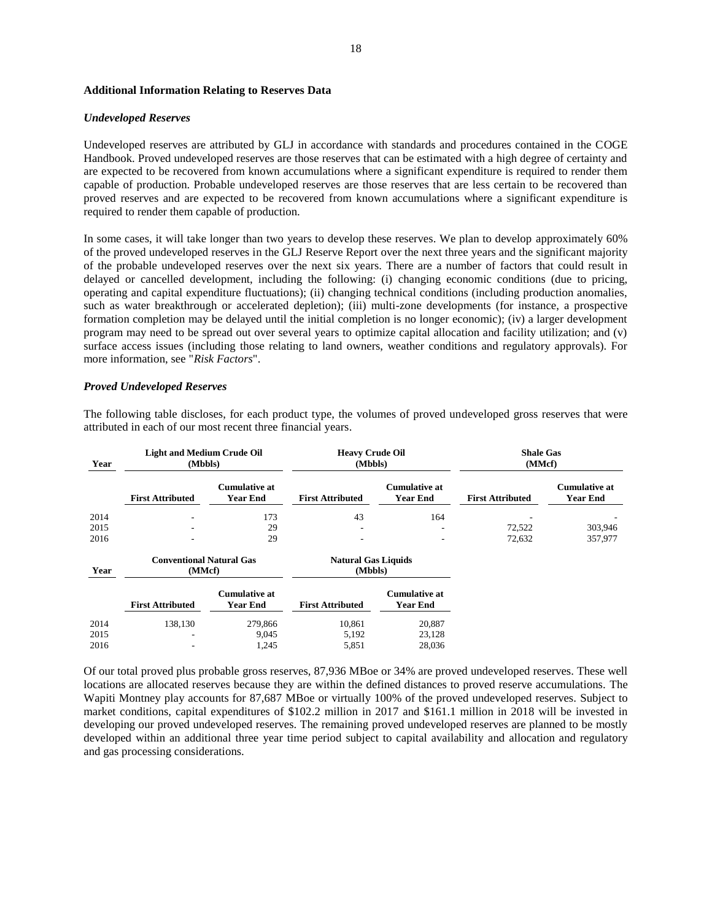#### **Additional Information Relating to Reserves Data**

#### *Undeveloped Reserves*

Undeveloped reserves are attributed by GLJ in accordance with standards and procedures contained in the COGE Handbook. Proved undeveloped reserves are those reserves that can be estimated with a high degree of certainty and are expected to be recovered from known accumulations where a significant expenditure is required to render them capable of production. Probable undeveloped reserves are those reserves that are less certain to be recovered than proved reserves and are expected to be recovered from known accumulations where a significant expenditure is required to render them capable of production.

In some cases, it will take longer than two years to develop these reserves. We plan to develop approximately 60% of the proved undeveloped reserves in the GLJ Reserve Report over the next three years and the significant majority of the probable undeveloped reserves over the next six years. There are a number of factors that could result in delayed or cancelled development, including the following: (i) changing economic conditions (due to pricing, operating and capital expenditure fluctuations); (ii) changing technical conditions (including production anomalies, such as water breakthrough or accelerated depletion); (iii) multi-zone developments (for instance, a prospective formation completion may be delayed until the initial completion is no longer economic); (iv) a larger development program may need to be spread out over several years to optimize capital allocation and facility utilization; and (v) surface access issues (including those relating to land owners, weather conditions and regulatory approvals). For more information, see "*Risk Factors*".

#### *Proved Undeveloped Reserves*

The following table discloses, for each product type, the volumes of proved undeveloped gross reserves that were attributed in each of our most recent three financial years.

| Year | <b>Light and Medium Crude Oil</b><br>(Mbbls) |                                         |                                       | <b>Heavy Crude Oil</b><br>(Mbbls)       |                         | <b>Shale Gas</b><br>(MMcf)              |
|------|----------------------------------------------|-----------------------------------------|---------------------------------------|-----------------------------------------|-------------------------|-----------------------------------------|
|      | <b>First Attributed</b>                      | <b>Cumulative at</b><br><b>Year End</b> | <b>First Attributed</b>               | <b>Cumulative at</b><br><b>Year End</b> | <b>First Attributed</b> | <b>Cumulative at</b><br><b>Year End</b> |
| 2014 |                                              | 173                                     | 43                                    | 164                                     |                         |                                         |
| 2015 |                                              | 29                                      |                                       |                                         | 72,522                  | 303,946                                 |
| 2016 |                                              | 29                                      |                                       |                                         | 72,632                  | 357,977                                 |
| Year | <b>Conventional Natural Gas</b><br>(MMcf)    |                                         | <b>Natural Gas Liquids</b><br>(Mbbls) |                                         |                         |                                         |
|      | <b>First Attributed</b>                      | <b>Cumulative at</b><br><b>Year End</b> | <b>First Attributed</b>               | <b>Cumulative at</b><br>Year End        |                         |                                         |
| 2014 | 138,130                                      | 279,866                                 | 10,861                                | 20,887                                  |                         |                                         |
| 2015 |                                              | 9,045                                   | 5,192                                 | 23,128                                  |                         |                                         |
| 2016 |                                              | 1,245                                   | 5,851                                 | 28,036                                  |                         |                                         |

Of our total proved plus probable gross reserves, 87,936 MBoe or 34% are proved undeveloped reserves. These well locations are allocated reserves because they are within the defined distances to proved reserve accumulations. The Wapiti Montney play accounts for 87,687 MBoe or virtually 100% of the proved undeveloped reserves. Subject to market conditions, capital expenditures of \$102.2 million in 2017 and \$161.1 million in 2018 will be invested in developing our proved undeveloped reserves. The remaining proved undeveloped reserves are planned to be mostly developed within an additional three year time period subject to capital availability and allocation and regulatory and gas processing considerations.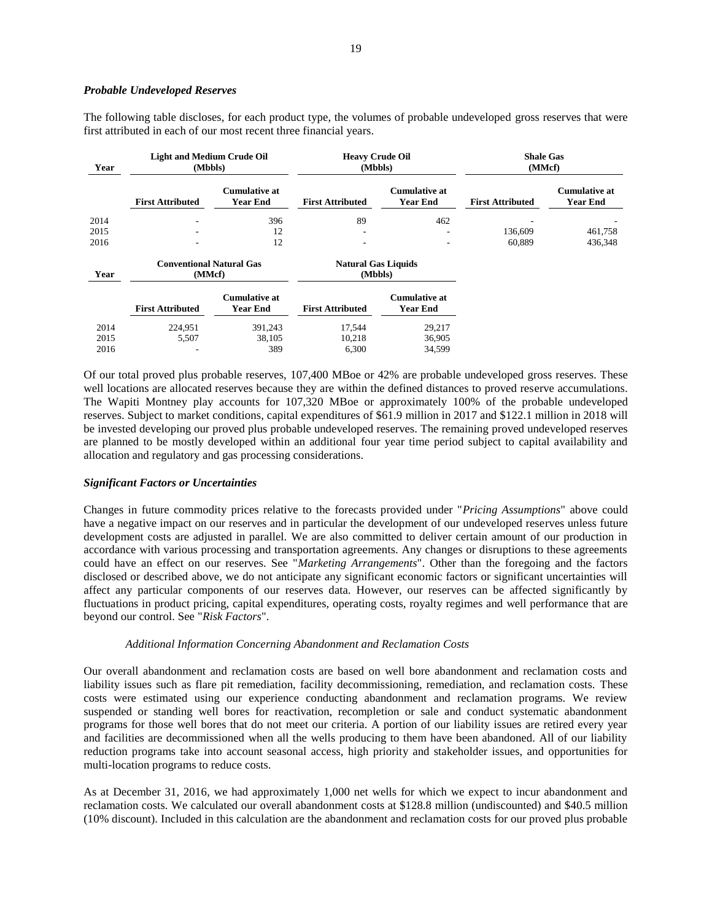#### *Probable Undeveloped Reserves*

The following table discloses, for each product type, the volumes of probable undeveloped gross reserves that were first attributed in each of our most recent three financial years.

| Year | <b>Light and Medium Crude Oil</b><br>(Mbbls) |                                  | <b>Heavy Crude Oil</b><br>(Mbbls)     |                                         | <b>Shale Gas</b><br>(MMcf) |                                         |
|------|----------------------------------------------|----------------------------------|---------------------------------------|-----------------------------------------|----------------------------|-----------------------------------------|
|      | <b>First Attributed</b>                      | <b>Cumulative at</b><br>Year End | <b>First Attributed</b>               | <b>Cumulative at</b><br><b>Year End</b> | <b>First Attributed</b>    | <b>Cumulative at</b><br><b>Year End</b> |
| 2014 |                                              | 396                              | 89                                    | 462                                     |                            |                                         |
| 2015 |                                              | 12                               | $\overline{\phantom{a}}$              | ۰                                       | 136,609                    | 461,758                                 |
| 2016 |                                              | 12                               |                                       | ۰                                       | 60.889                     | 436,348                                 |
| Year | <b>Conventional Natural Gas</b><br>(MMcf)    |                                  | <b>Natural Gas Liquids</b><br>(Mbbls) |                                         |                            |                                         |
|      | <b>First Attributed</b>                      | <b>Cumulative at</b><br>Year End | <b>First Attributed</b>               | <b>Cumulative at</b><br><b>Year End</b> |                            |                                         |
| 2014 | 224,951                                      | 391,243                          | 17,544                                | 29,217                                  |                            |                                         |
| 2015 | 5,507                                        | 38,105                           | 10,218                                | 36,905                                  |                            |                                         |
| 2016 |                                              | 389                              | 6,300                                 | 34,599                                  |                            |                                         |

Of our total proved plus probable reserves, 107,400 MBoe or 42% are probable undeveloped gross reserves. These well locations are allocated reserves because they are within the defined distances to proved reserve accumulations. The Wapiti Montney play accounts for 107,320 MBoe or approximately 100% of the probable undeveloped reserves. Subject to market conditions, capital expenditures of \$61.9 million in 2017 and \$122.1 million in 2018 will be invested developing our proved plus probable undeveloped reserves. The remaining proved undeveloped reserves are planned to be mostly developed within an additional four year time period subject to capital availability and allocation and regulatory and gas processing considerations.

## *Significant Factors or Uncertainties*

Changes in future commodity prices relative to the forecasts provided under "*Pricing Assumptions*" above could have a negative impact on our reserves and in particular the development of our undeveloped reserves unless future development costs are adjusted in parallel. We are also committed to deliver certain amount of our production in accordance with various processing and transportation agreements. Any changes or disruptions to these agreements could have an effect on our reserves. See "*Marketing Arrangements*". Other than the foregoing and the factors disclosed or described above, we do not anticipate any significant economic factors or significant uncertainties will affect any particular components of our reserves data. However, our reserves can be affected significantly by fluctuations in product pricing, capital expenditures, operating costs, royalty regimes and well performance that are beyond our control. See "*Risk Factors*".

### *Additional Information Concerning Abandonment and Reclamation Costs*

Our overall abandonment and reclamation costs are based on well bore abandonment and reclamation costs and liability issues such as flare pit remediation, facility decommissioning, remediation, and reclamation costs. These costs were estimated using our experience conducting abandonment and reclamation programs. We review suspended or standing well bores for reactivation, recompletion or sale and conduct systematic abandonment programs for those well bores that do not meet our criteria. A portion of our liability issues are retired every year and facilities are decommissioned when all the wells producing to them have been abandoned. All of our liability reduction programs take into account seasonal access, high priority and stakeholder issues, and opportunities for multi-location programs to reduce costs.

As at December 31, 2016, we had approximately 1,000 net wells for which we expect to incur abandonment and reclamation costs. We calculated our overall abandonment costs at \$128.8 million (undiscounted) and \$40.5 million (10% discount). Included in this calculation are the abandonment and reclamation costs for our proved plus probable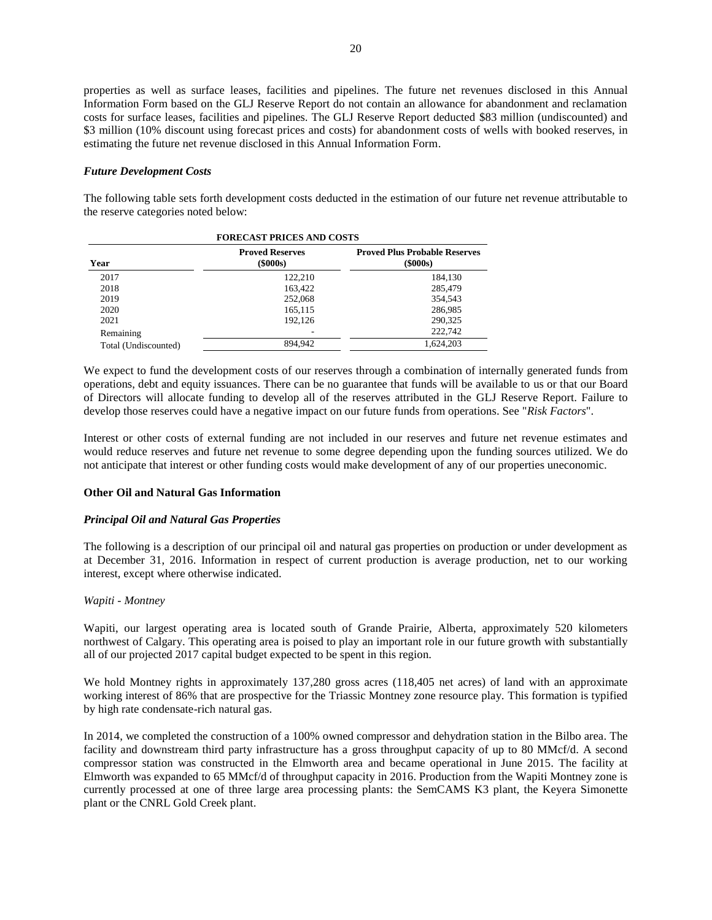properties as well as surface leases, facilities and pipelines. The future net revenues disclosed in this Annual Information Form based on the GLJ Reserve Report do not contain an allowance for abandonment and reclamation costs for surface leases, facilities and pipelines. The GLJ Reserve Report deducted \$83 million (undiscounted) and \$3 million (10% discount using forecast prices and costs) for abandonment costs of wells with booked reserves, in estimating the future net revenue disclosed in this Annual Information Form.

### *Future Development Costs*

The following table sets forth development costs deducted in the estimation of our future net revenue attributable to the reserve categories noted below:

| <b>FORECAST PRICES AND COSTS</b> |                                          |                                                        |  |  |
|----------------------------------|------------------------------------------|--------------------------------------------------------|--|--|
| Year                             | <b>Proved Reserves</b><br>$($ \$000s $)$ | <b>Proved Plus Probable Reserves</b><br>$($ \$000s $)$ |  |  |
| 2017                             | 122.210                                  | 184.130                                                |  |  |
| 2018                             | 163.422                                  | 285,479                                                |  |  |
| 2019                             | 252,068                                  | 354.543                                                |  |  |
| 2020                             | 165.115                                  | 286,985                                                |  |  |
| 2021                             | 192.126                                  | 290,325                                                |  |  |
| Remaining                        |                                          | 222,742                                                |  |  |
| Total (Undiscounted)             | 894.942                                  | 1,624,203                                              |  |  |

We expect to fund the development costs of our reserves through a combination of internally generated funds from operations, debt and equity issuances. There can be no guarantee that funds will be available to us or that our Board of Directors will allocate funding to develop all of the reserves attributed in the GLJ Reserve Report. Failure to develop those reserves could have a negative impact on our future funds from operations. See "*Risk Factors*".

Interest or other costs of external funding are not included in our reserves and future net revenue estimates and would reduce reserves and future net revenue to some degree depending upon the funding sources utilized. We do not anticipate that interest or other funding costs would make development of any of our properties uneconomic.

## **Other Oil and Natural Gas Information**

#### *Principal Oil and Natural Gas Properties*

The following is a description of our principal oil and natural gas properties on production or under development as at December 31, 2016. Information in respect of current production is average production, net to our working interest, except where otherwise indicated.

## *Wapiti - Montney*

Wapiti, our largest operating area is located south of Grande Prairie, Alberta, approximately 520 kilometers northwest of Calgary. This operating area is poised to play an important role in our future growth with substantially all of our projected 2017 capital budget expected to be spent in this region.

We hold Montney rights in approximately 137,280 gross acres (118,405 net acres) of land with an approximate working interest of 86% that are prospective for the Triassic Montney zone resource play. This formation is typified by high rate condensate-rich natural gas.

In 2014, we completed the construction of a 100% owned compressor and dehydration station in the Bilbo area. The facility and downstream third party infrastructure has a gross throughput capacity of up to 80 MMcf/d. A second compressor station was constructed in the Elmworth area and became operational in June 2015. The facility at Elmworth was expanded to 65 MMcf/d of throughput capacity in 2016. Production from the Wapiti Montney zone is currently processed at one of three large area processing plants: the SemCAMS K3 plant, the Keyera Simonette plant or the CNRL Gold Creek plant.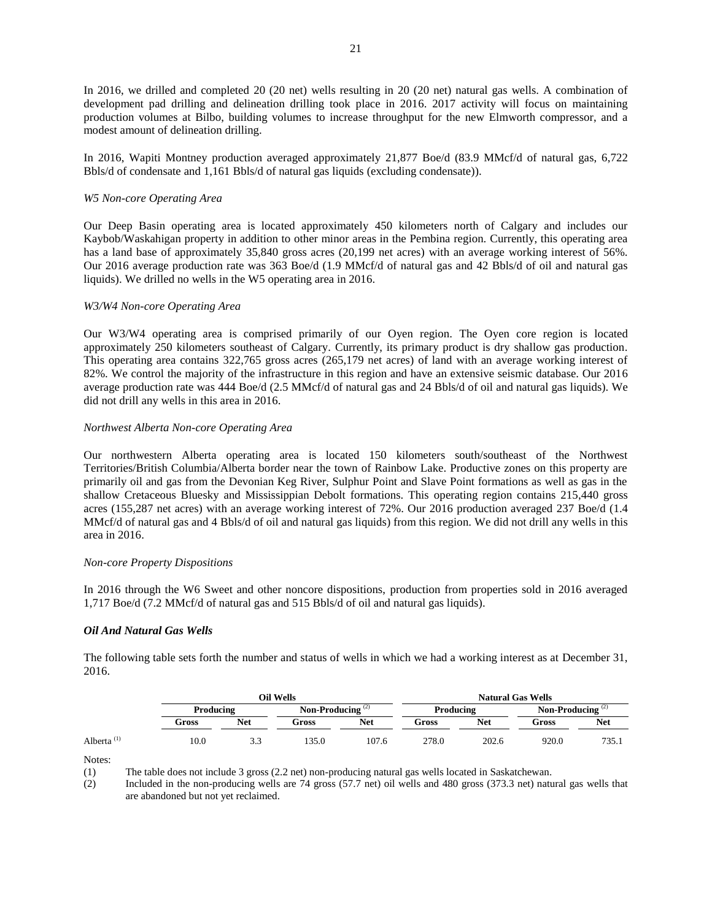In 2016, we drilled and completed 20 (20 net) wells resulting in 20 (20 net) natural gas wells. A combination of development pad drilling and delineation drilling took place in 2016. 2017 activity will focus on maintaining production volumes at Bilbo, building volumes to increase throughput for the new Elmworth compressor, and a modest amount of delineation drilling.

In 2016, Wapiti Montney production averaged approximately 21,877 Boe/d (83.9 MMcf/d of natural gas, 6,722 Bbls/d of condensate and 1,161 Bbls/d of natural gas liquids (excluding condensate)).

## *W5 Non-core Operating Area*

Our Deep Basin operating area is located approximately 450 kilometers north of Calgary and includes our Kaybob/Waskahigan property in addition to other minor areas in the Pembina region. Currently, this operating area has a land base of approximately 35,840 gross acres (20,199 net acres) with an average working interest of 56%. Our 2016 average production rate was 363 Boe/d (1.9 MMcf/d of natural gas and 42 Bbls/d of oil and natural gas liquids). We drilled no wells in the W5 operating area in 2016.

## *W3/W4 Non-core Operating Area*

Our W3/W4 operating area is comprised primarily of our Oyen region. The Oyen core region is located approximately 250 kilometers southeast of Calgary. Currently, its primary product is dry shallow gas production. This operating area contains 322,765 gross acres (265,179 net acres) of land with an average working interest of 82%. We control the majority of the infrastructure in this region and have an extensive seismic database. Our 2016 average production rate was 444 Boe/d (2.5 MMcf/d of natural gas and 24 Bbls/d of oil and natural gas liquids). We did not drill any wells in this area in 2016.

## *Northwest Alberta Non-core Operating Area*

Our northwestern Alberta operating area is located 150 kilometers south/southeast of the Northwest Territories/British Columbia/Alberta border near the town of Rainbow Lake. Productive zones on this property are primarily oil and gas from the Devonian Keg River, Sulphur Point and Slave Point formations as well as gas in the shallow Cretaceous Bluesky and Mississippian Debolt formations. This operating region contains 215,440 gross acres (155,287 net acres) with an average working interest of 72%. Our 2016 production averaged 237 Boe/d (1.4 MMcf/d of natural gas and 4 Bbls/d of oil and natural gas liquids) from this region. We did not drill any wells in this area in 2016.

## *Non-core Property Dispositions*

In 2016 through the W6 Sweet and other noncore dispositions, production from properties sold in 2016 averaged 1,717 Boe/d (7.2 MMcf/d of natural gas and 515 Bbls/d of oil and natural gas liquids).

## *Oil And Natural Gas Wells*

The following table sets forth the number and status of wells in which we had a working interest as at December 31, 2016.

|                        |           | Oil Wells  |                     |       |           | <b>Natural Gas Wells</b> |                     |       |  |
|------------------------|-----------|------------|---------------------|-------|-----------|--------------------------|---------------------|-------|--|
|                        | Producing |            | Non-Producing $(2)$ |       | Producing |                          | Non-Producing $(2)$ |       |  |
|                        | Gross     | <b>Net</b> | Gross               | Net   | Gross     | <b>Net</b>               | Gross               | Net   |  |
| Alberta <sup>(1)</sup> | 10.0      | 3.3        | 135.0               | 107.6 | 278.0     | 202.6                    | 920.0               | 735.1 |  |

Notes:

(1) The table does not include 3 gross (2.2 net) non-producing natural gas wells located in Saskatchewan.

(2) Included in the non-producing wells are 74 gross (57.7 net) oil wells and 480 gross (373.3 net) natural gas wells that are abandoned but not yet reclaimed.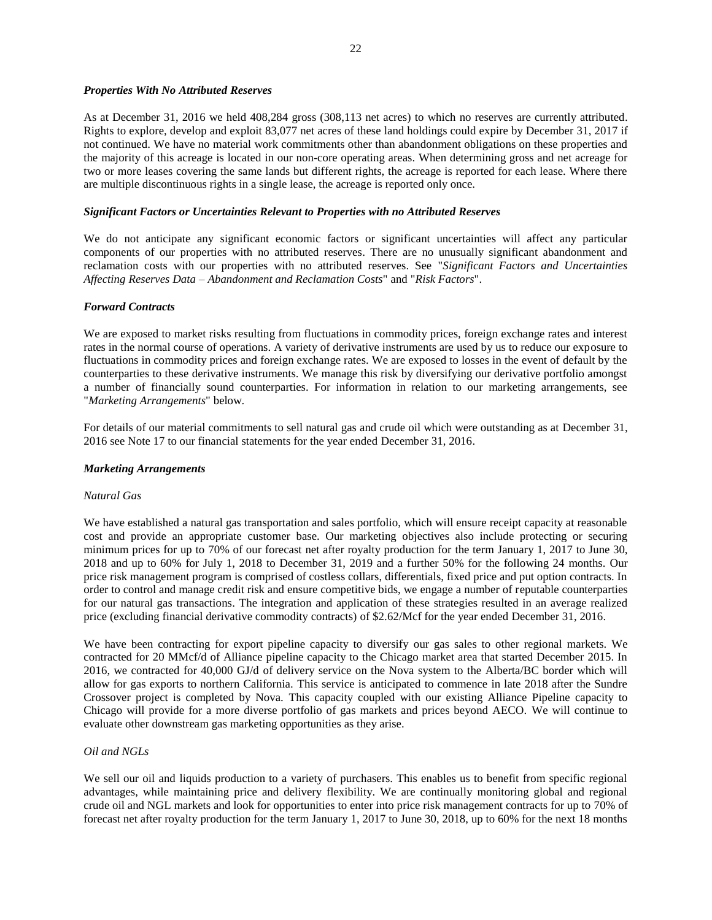## *Properties With No Attributed Reserves*

As at December 31, 2016 we held 408,284 gross (308,113 net acres) to which no reserves are currently attributed. Rights to explore, develop and exploit 83,077 net acres of these land holdings could expire by December 31, 2017 if not continued. We have no material work commitments other than abandonment obligations on these properties and the majority of this acreage is located in our non-core operating areas. When determining gross and net acreage for two or more leases covering the same lands but different rights, the acreage is reported for each lease. Where there are multiple discontinuous rights in a single lease, the acreage is reported only once.

## *Significant Factors or Uncertainties Relevant to Properties with no Attributed Reserves*

We do not anticipate any significant economic factors or significant uncertainties will affect any particular components of our properties with no attributed reserves. There are no unusually significant abandonment and reclamation costs with our properties with no attributed reserves. See "*Significant Factors and Uncertainties Affecting Reserves Data – Abandonment and Reclamation Costs*" and "*Risk Factors*".

## *Forward Contracts*

We are exposed to market risks resulting from fluctuations in commodity prices, foreign exchange rates and interest rates in the normal course of operations. A variety of derivative instruments are used by us to reduce our exposure to fluctuations in commodity prices and foreign exchange rates. We are exposed to losses in the event of default by the counterparties to these derivative instruments. We manage this risk by diversifying our derivative portfolio amongst a number of financially sound counterparties. For information in relation to our marketing arrangements, see "*Marketing Arrangements*" below.

For details of our material commitments to sell natural gas and crude oil which were outstanding as at December 31, 2016 see Note 17 to our financial statements for the year ended December 31, 2016.

## *Marketing Arrangements*

## *Natural Gas*

We have established a natural gas transportation and sales portfolio, which will ensure receipt capacity at reasonable cost and provide an appropriate customer base. Our marketing objectives also include protecting or securing minimum prices for up to 70% of our forecast net after royalty production for the term January 1, 2017 to June 30, 2018 and up to 60% for July 1, 2018 to December 31, 2019 and a further 50% for the following 24 months. Our price risk management program is comprised of costless collars, differentials, fixed price and put option contracts. In order to control and manage credit risk and ensure competitive bids, we engage a number of reputable counterparties for our natural gas transactions. The integration and application of these strategies resulted in an average realized price (excluding financial derivative commodity contracts) of \$2.62/Mcf for the year ended December 31, 2016.

We have been contracting for export pipeline capacity to diversify our gas sales to other regional markets. We contracted for 20 MMcf/d of Alliance pipeline capacity to the Chicago market area that started December 2015. In 2016, we contracted for 40,000 GJ/d of delivery service on the Nova system to the Alberta/BC border which will allow for gas exports to northern California. This service is anticipated to commence in late 2018 after the Sundre Crossover project is completed by Nova. This capacity coupled with our existing Alliance Pipeline capacity to Chicago will provide for a more diverse portfolio of gas markets and prices beyond AECO. We will continue to evaluate other downstream gas marketing opportunities as they arise.

## *Oil and NGLs*

We sell our oil and liquids production to a variety of purchasers. This enables us to benefit from specific regional advantages, while maintaining price and delivery flexibility. We are continually monitoring global and regional crude oil and NGL markets and look for opportunities to enter into price risk management contracts for up to 70% of forecast net after royalty production for the term January 1, 2017 to June 30, 2018, up to 60% for the next 18 months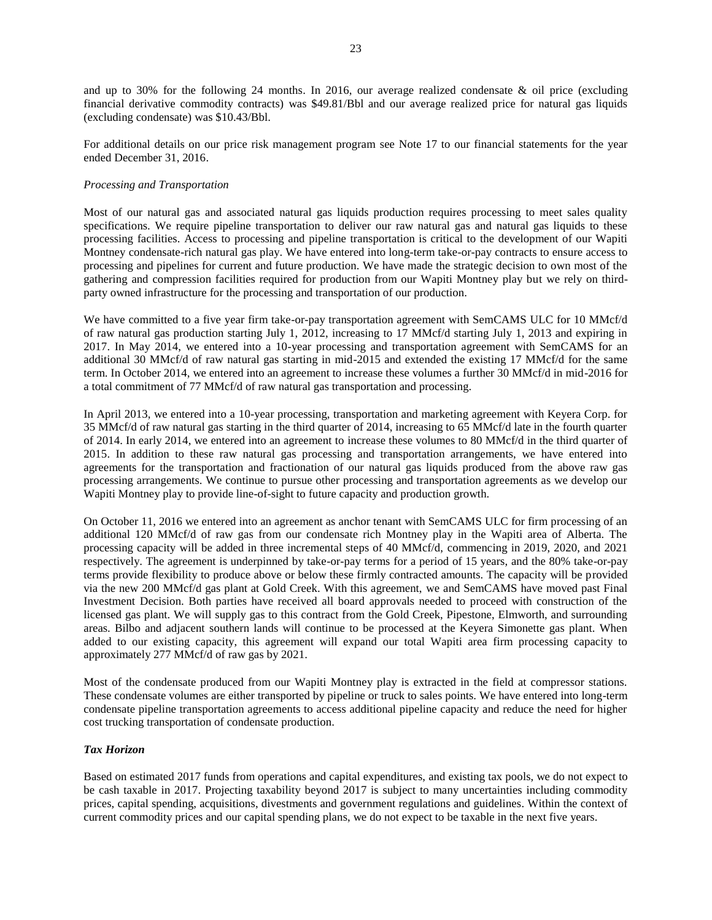and up to 30% for the following 24 months. In 2016, our average realized condensate & oil price (excluding financial derivative commodity contracts) was \$49.81/Bbl and our average realized price for natural gas liquids (excluding condensate) was \$10.43/Bbl.

For additional details on our price risk management program see Note 17 to our financial statements for the year ended December 31, 2016.

## *Processing and Transportation*

Most of our natural gas and associated natural gas liquids production requires processing to meet sales quality specifications. We require pipeline transportation to deliver our raw natural gas and natural gas liquids to these processing facilities. Access to processing and pipeline transportation is critical to the development of our Wapiti Montney condensate-rich natural gas play. We have entered into long-term take-or-pay contracts to ensure access to processing and pipelines for current and future production. We have made the strategic decision to own most of the gathering and compression facilities required for production from our Wapiti Montney play but we rely on thirdparty owned infrastructure for the processing and transportation of our production.

We have committed to a five year firm take-or-pay transportation agreement with SemCAMS ULC for 10 MMcf/d of raw natural gas production starting July 1, 2012, increasing to 17 MMcf/d starting July 1, 2013 and expiring in 2017. In May 2014, we entered into a 10-year processing and transportation agreement with SemCAMS for an additional 30 MMcf/d of raw natural gas starting in mid-2015 and extended the existing 17 MMcf/d for the same term. In October 2014, we entered into an agreement to increase these volumes a further 30 MMcf/d in mid-2016 for a total commitment of 77 MMcf/d of raw natural gas transportation and processing.

In April 2013, we entered into a 10-year processing, transportation and marketing agreement with Keyera Corp. for 35 MMcf/d of raw natural gas starting in the third quarter of 2014, increasing to 65 MMcf/d late in the fourth quarter of 2014. In early 2014, we entered into an agreement to increase these volumes to 80 MMcf/d in the third quarter of 2015. In addition to these raw natural gas processing and transportation arrangements, we have entered into agreements for the transportation and fractionation of our natural gas liquids produced from the above raw gas processing arrangements. We continue to pursue other processing and transportation agreements as we develop our Wapiti Montney play to provide line-of-sight to future capacity and production growth.

On October 11, 2016 we entered into an agreement as anchor tenant with SemCAMS ULC for firm processing of an additional 120 MMcf/d of raw gas from our condensate rich Montney play in the Wapiti area of Alberta. The processing capacity will be added in three incremental steps of 40 MMcf/d, commencing in 2019, 2020, and 2021 respectively. The agreement is underpinned by take-or-pay terms for a period of 15 years, and the 80% take-or-pay terms provide flexibility to produce above or below these firmly contracted amounts. The capacity will be provided via the new 200 MMcf/d gas plant at Gold Creek. With this agreement, we and SemCAMS have moved past Final Investment Decision. Both parties have received all board approvals needed to proceed with construction of the licensed gas plant. We will supply gas to this contract from the Gold Creek, Pipestone, Elmworth, and surrounding areas. Bilbo and adjacent southern lands will continue to be processed at the Keyera Simonette gas plant. When added to our existing capacity, this agreement will expand our total Wapiti area firm processing capacity to approximately 277 MMcf/d of raw gas by 2021.

Most of the condensate produced from our Wapiti Montney play is extracted in the field at compressor stations. These condensate volumes are either transported by pipeline or truck to sales points. We have entered into long-term condensate pipeline transportation agreements to access additional pipeline capacity and reduce the need for higher cost trucking transportation of condensate production.

## *Tax Horizon*

Based on estimated 2017 funds from operations and capital expenditures, and existing tax pools, we do not expect to be cash taxable in 2017. Projecting taxability beyond 2017 is subject to many uncertainties including commodity prices, capital spending, acquisitions, divestments and government regulations and guidelines. Within the context of current commodity prices and our capital spending plans, we do not expect to be taxable in the next five years.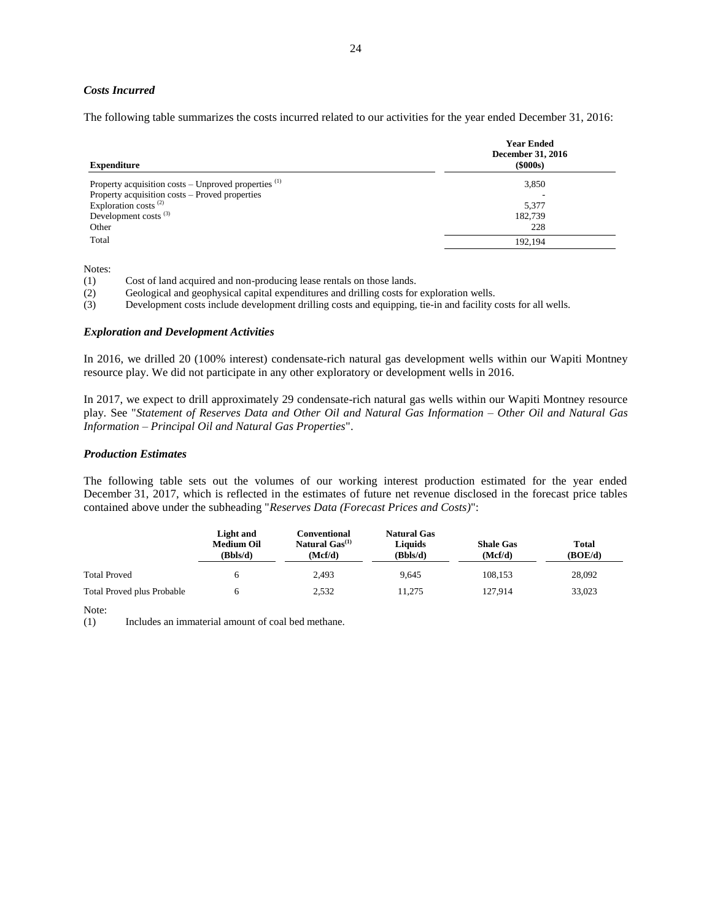## *Costs Incurred*

The following table summarizes the costs incurred related to our activities for the year ended December 31, 2016:

| <b>Year Ended</b><br>December 31, 2016<br>$($ \$000s $)$ |
|----------------------------------------------------------|
| 3,850                                                    |
|                                                          |
| 5,377                                                    |
| 182,739                                                  |
| 228                                                      |
| 192.194                                                  |
|                                                          |

Notes:

(1) Cost of land acquired and non-producing lease rentals on those lands.

(2) Geological and geophysical capital expenditures and drilling costs for exploration wells.

(3) Development costs include development drilling costs and equipping, tie-in and facility costs for all wells.

### *Exploration and Development Activities*

In 2016, we drilled 20 (100% interest) condensate-rich natural gas development wells within our Wapiti Montney resource play. We did not participate in any other exploratory or development wells in 2016.

In 2017, we expect to drill approximately 29 condensate-rich natural gas wells within our Wapiti Montney resource play. See "*Statement of Reserves Data and Other Oil and Natural Gas Information – Other Oil and Natural Gas Information – Principal Oil and Natural Gas Properties*".

#### *Production Estimates*

The following table sets out the volumes of our working interest production estimated for the year ended December 31, 2017, which is reflected in the estimates of future net revenue disclosed in the forecast price tables contained above under the subheading "*Reserves Data (Forecast Prices and Costs)*":

|                                   | Light and<br><b>Medium Oil</b><br>(Bbls/d) | Conventional<br>Natural $Gas^{(1)}$<br>(Mcf/d) | <b>Natural Gas</b><br>Liquids<br>(Bbls/d) | <b>Shale Gas</b><br>(Mcf/d) | <b>Total</b><br>(BOE/d) |
|-----------------------------------|--------------------------------------------|------------------------------------------------|-------------------------------------------|-----------------------------|-------------------------|
| <b>Total Proved</b>               |                                            | 2.493                                          | 9.645                                     | 108.153                     | 28,092                  |
| <b>Total Proved plus Probable</b> |                                            | 2,532                                          | 11.275                                    | 127.914                     | 33,023                  |

Note:

(1) Includes an immaterial amount of coal bed methane.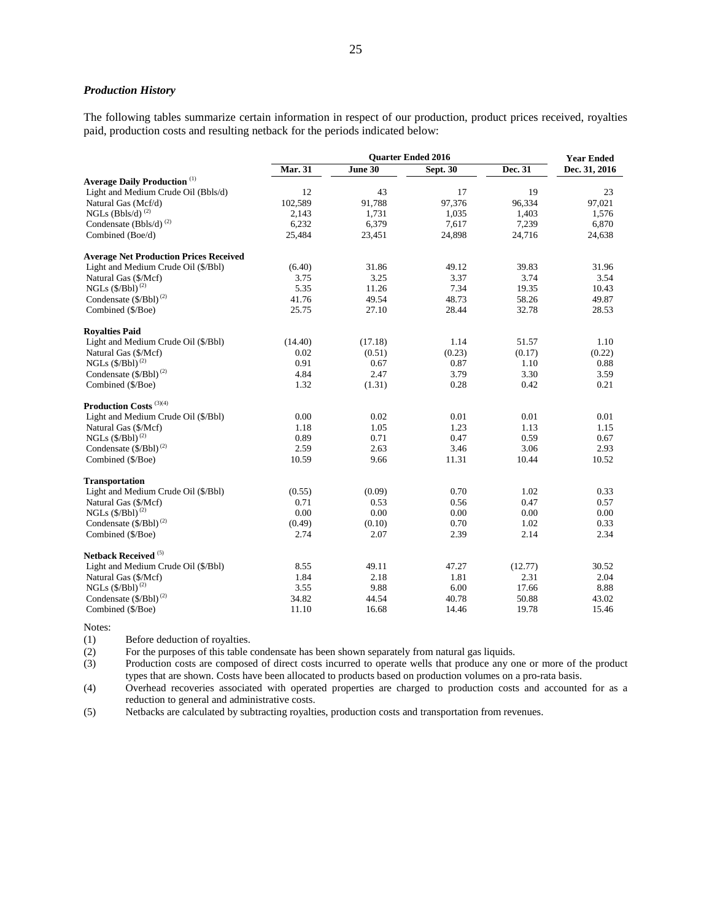## *Production History*

The following tables summarize certain information in respect of our production, product prices received, royalties paid, production costs and resulting netback for the periods indicated below:

|                                                | <b>Quarter Ended 2016</b> |         |                 | <b>Year Ended</b> |               |
|------------------------------------------------|---------------------------|---------|-----------------|-------------------|---------------|
|                                                | <b>Mar. 31</b>            | June 30 | <b>Sept. 30</b> | Dec. 31           | Dec. 31, 2016 |
| <b>Average Daily Production</b> <sup>(1)</sup> |                           |         |                 |                   |               |
| Light and Medium Crude Oil (Bbls/d)            | 12                        | 43      | 17              | 19                | 23            |
| Natural Gas (Mcf/d)                            | 102,589                   | 91,788  | 97,376          | 96,334            | 97,021        |
| NGLs (Bbls/d) $^{(2)}$                         | 2,143                     | 1,731   | 1,035           | 1,403             | 1,576         |
| Condensate (Bbls/d) $^{(2)}$                   | 6,232                     | 6,379   | 7,617           | 7,239             | 6,870         |
| Combined (Boe/d)                               | 25,484                    | 23,451  | 24,898          | 24,716            | 24,638        |
| <b>Average Net Production Prices Received</b>  |                           |         |                 |                   |               |
| Light and Medium Crude Oil (\$/Bbl)            | (6.40)                    | 31.86   | 49.12           | 39.83             | 31.96         |
| Natural Gas (\$/Mcf)                           | 3.75                      | 3.25    | 3.37            | 3.74              | 3.54          |
| NGLs $(\frac{6}{Bb})^{(2)}$                    | 5.35                      | 11.26   | 7.34            | 19.35             | 10.43         |
| Condensate (\$/Bbl) <sup>(2)</sup>             | 41.76                     | 49.54   | 48.73           | 58.26             | 49.87         |
| Combined (\$/Boe)                              | 25.75                     | 27.10   | 28.44           | 32.78             | 28.53         |
| <b>Royalties Paid</b>                          |                           |         |                 |                   |               |
| Light and Medium Crude Oil (\$/Bbl)            | (14.40)                   | (17.18) | 1.14            | 51.57             | 1.10          |
| Natural Gas (\$/Mcf)                           | 0.02                      | (0.51)  | (0.23)          | (0.17)            | (0.22)        |
| NGLs $(\frac{6}{Bb})^{(2)}$                    | 0.91                      | 0.67    | 0.87            | 1.10              | 0.88          |
| Condensate (\$/Bbl) <sup>(2)</sup>             | 4.84                      | 2.47    | 3.79            | 3.30              | 3.59          |
| Combined (\$/Boe)                              | 1.32                      | (1.31)  | 0.28            | 0.42              | 0.21          |
| Production Costs <sup>(3)(4)</sup>             |                           |         |                 |                   |               |
| Light and Medium Crude Oil (\$/Bbl)            | 0.00                      | 0.02    | 0.01            | 0.01              | 0.01          |
| Natural Gas (\$/Mcf)                           | 1.18                      | 1.05    | 1.23            | 1.13              | 1.15          |
| NGLs $(\frac{5}{Bb})^{(2)}$                    | 0.89                      | 0.71    | 0.47            | 0.59              | 0.67          |
| Condensate (\$/Bbl) <sup>(2)</sup>             | 2.59                      | 2.63    | 3.46            | 3.06              | 2.93          |
| Combined (\$/Boe)                              | 10.59                     | 9.66    | 11.31           | 10.44             | 10.52         |
| <b>Transportation</b>                          |                           |         |                 |                   |               |
| Light and Medium Crude Oil (\$/Bbl)            | (0.55)                    | (0.09)  | 0.70            | 1.02              | 0.33          |
| Natural Gas (\$/Mcf)                           | 0.71                      | 0.53    | 0.56            | 0.47              | 0.57          |
| NGLs $(\frac{6}{Bb})^{(2)}$                    | 0.00                      | 0.00    | 0.00            | 0.00              | 0.00          |
| Condensate (\$/Bbl) <sup>(2)</sup>             | (0.49)                    | (0.10)  | 0.70            | 1.02              | 0.33          |
| Combined (\$/Boe)                              | 2.74                      | 2.07    | 2.39            | 2.14              | 2.34          |
| Netback Received (5)                           |                           |         |                 |                   |               |
| Light and Medium Crude Oil (\$/Bbl)            | 8.55                      | 49.11   | 47.27           | (12.77)           | 30.52         |
| Natural Gas (\$/Mcf)                           | 1.84                      | 2.18    | 1.81            | 2.31              | 2.04          |
| NGLs $(\frac{6}{Bb})^{(2)}$                    | 3.55                      | 9.88    | 6.00            | 17.66             | 8.88          |
| Condensate $(\frac{5}{Bb})^{(2)}$              | 34.82                     | 44.54   | 40.78           | 50.88             | 43.02         |
| Combined (\$/Boe)                              | 11.10                     | 16.68   | 14.46           | 19.78             | 15.46         |

Notes:

(1) Before deduction of royalties.

(2) For the purposes of this table condensate has been shown separately from natural gas liquids.

(3) Production costs are composed of direct costs incurred to operate wells that produce any one or more of the product types that are shown. Costs have been allocated to products based on production volumes on a pro-rata basis.

(4) Overhead recoveries associated with operated properties are charged to production costs and accounted for as a reduction to general and administrative costs.

(5) Netbacks are calculated by subtracting royalties, production costs and transportation from revenues.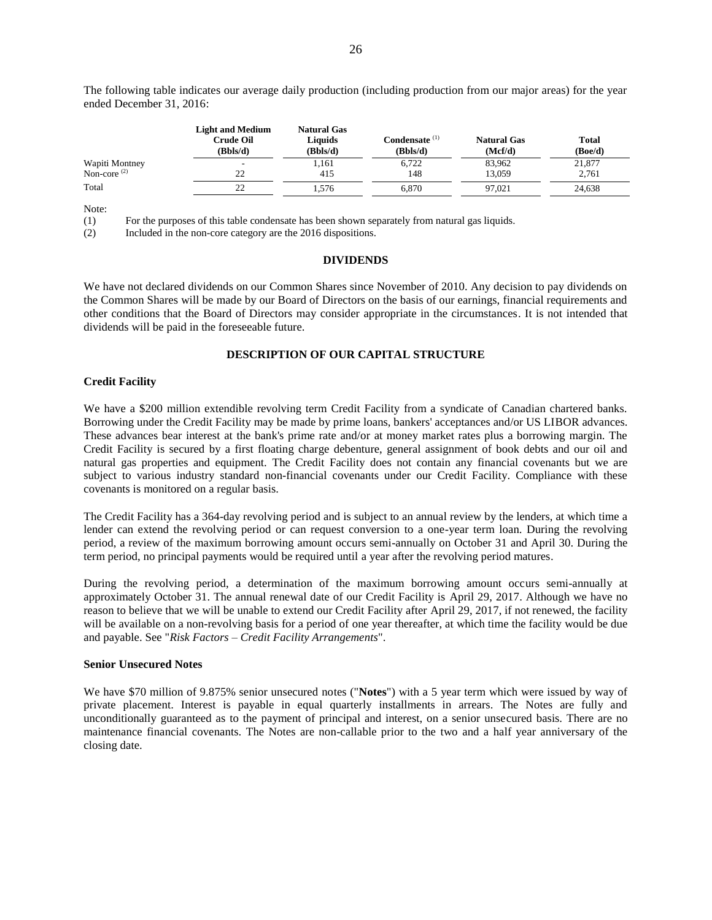The following table indicates our average daily production (including production from our major areas) for the year ended December 31, 2016:

|                | <b>Light and Medium</b><br>Crude Oil<br>(Bbls/d) | <b>Natural Gas</b><br>Liquids<br>(Bbls/d) | Condensate <sup>(1)</sup><br>(Bbls/d) | <b>Natural Gas</b><br>(Mcf/d) | <b>Total</b><br>(Boe/d) |
|----------------|--------------------------------------------------|-------------------------------------------|---------------------------------------|-------------------------------|-------------------------|
| Wapiti Montney |                                                  | 1,161                                     | 6,722                                 | 83,962                        | 21,877                  |
| Non-core $(2)$ | 22                                               | 415                                       | 148                                   | 13.059                        | 2.761                   |
| Total          | 22                                               | . . 576                                   | 6.870                                 | 97.021                        | 24.638                  |

Note:

(1) For the purposes of this table condensate has been shown separately from natural gas liquids.

<span id="page-26-0"></span>(2) Included in the non-core category are the 2016 dispositions.

#### **DIVIDENDS**

We have not declared dividends on our Common Shares since November of 2010. Any decision to pay dividends on the Common Shares will be made by our Board of Directors on the basis of our earnings, financial requirements and other conditions that the Board of Directors may consider appropriate in the circumstances. It is not intended that dividends will be paid in the foreseeable future.

## **DESCRIPTION OF OUR CAPITAL STRUCTURE**

#### <span id="page-26-1"></span>**Credit Facility**

We have a \$200 million extendible revolving term Credit Facility from a syndicate of Canadian chartered banks. Borrowing under the Credit Facility may be made by prime loans, bankers' acceptances and/or US LIBOR advances. These advances bear interest at the bank's prime rate and/or at money market rates plus a borrowing margin. The Credit Facility is secured by a first floating charge debenture, general assignment of book debts and our oil and natural gas properties and equipment. The Credit Facility does not contain any financial covenants but we are subject to various industry standard non-financial covenants under our Credit Facility. Compliance with these covenants is monitored on a regular basis.

The Credit Facility has a 364-day revolving period and is subject to an annual review by the lenders, at which time a lender can extend the revolving period or can request conversion to a one-year term loan. During the revolving period, a review of the maximum borrowing amount occurs semi-annually on October 31 and April 30. During the term period, no principal payments would be required until a year after the revolving period matures.

During the revolving period, a determination of the maximum borrowing amount occurs semi-annually at approximately October 31. The annual renewal date of our Credit Facility is April 29, 2017. Although we have no reason to believe that we will be unable to extend our Credit Facility after April 29, 2017, if not renewed, the facility will be available on a non-revolving basis for a period of one year thereafter, at which time the facility would be due and payable. See "*Risk Factors – Credit Facility Arrangements*".

#### **Senior Unsecured Notes**

We have \$70 million of 9.875% senior unsecured notes ("**Notes**") with a 5 year term which were issued by way of private placement. Interest is payable in equal quarterly installments in arrears. The Notes are fully and unconditionally guaranteed as to the payment of principal and interest, on a senior unsecured basis. There are no maintenance financial covenants. The Notes are non-callable prior to the two and a half year anniversary of the closing date.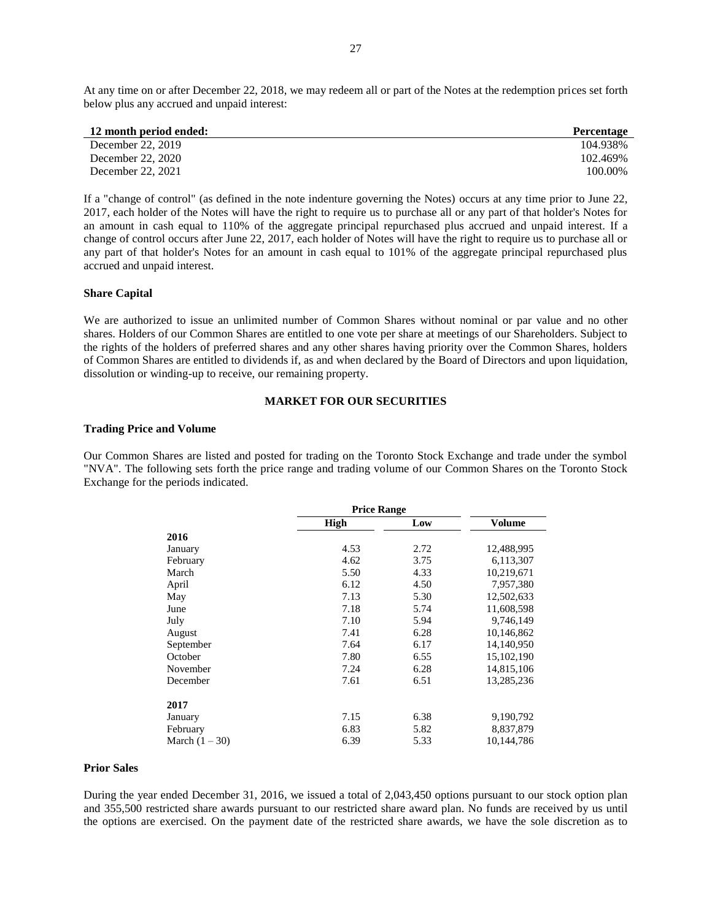At any time on or after December 22, 2018, we may redeem all or part of the Notes at the redemption prices set forth below plus any accrued and unpaid interest:

| 12 month period ended: | <b>Percentage</b> |
|------------------------|-------------------|
| December 22, 2019      | 104.938%          |
| December 22, 2020      | 102.469%          |
| December 22, 2021      | 100.00%           |

If a "change of control" (as defined in the note indenture governing the Notes) occurs at any time prior to June 22, 2017, each holder of the Notes will have the right to require us to purchase all or any part of that holder's Notes for an amount in cash equal to 110% of the aggregate principal repurchased plus accrued and unpaid interest. If a change of control occurs after June 22, 2017, each holder of Notes will have the right to require us to purchase all or any part of that holder's Notes for an amount in cash equal to 101% of the aggregate principal repurchased plus accrued and unpaid interest.

## **Share Capital**

We are authorized to issue an unlimited number of Common Shares without nominal or par value and no other shares. Holders of our Common Shares are entitled to one vote per share at meetings of our Shareholders. Subject to the rights of the holders of preferred shares and any other shares having priority over the Common Shares, holders of Common Shares are entitled to dividends if, as and when declared by the Board of Directors and upon liquidation, dissolution or winding-up to receive, our remaining property.

## **MARKET FOR OUR SECURITIES**

## <span id="page-27-0"></span>**Trading Price and Volume**

Our Common Shares are listed and posted for trading on the Toronto Stock Exchange and trade under the symbol "NVA". The following sets forth the price range and trading volume of our Common Shares on the Toronto Stock Exchange for the periods indicated.

|                  | <b>Price Range</b> |      |            |
|------------------|--------------------|------|------------|
|                  | High               | Low  | Volume     |
| 2016             |                    |      |            |
| January          | 4.53               | 2.72 | 12,488,995 |
| February         | 4.62               | 3.75 | 6,113,307  |
| March            | 5.50               | 4.33 | 10,219,671 |
| April            | 6.12               | 4.50 | 7,957,380  |
| May              | 7.13               | 5.30 | 12,502,633 |
| June             | 7.18               | 5.74 | 11,608,598 |
| July             | 7.10               | 5.94 | 9,746,149  |
| August           | 7.41               | 6.28 | 10,146,862 |
| September        | 7.64               | 6.17 | 14,140,950 |
| October          | 7.80               | 6.55 | 15,102,190 |
| November         | 7.24               | 6.28 | 14,815,106 |
| December         | 7.61               | 6.51 | 13,285,236 |
| 2017             |                    |      |            |
| January          | 7.15               | 6.38 | 9,190,792  |
| February         | 6.83               | 5.82 | 8,837,879  |
| March $(1 – 30)$ | 6.39               | 5.33 | 10,144,786 |

## **Prior Sales**

During the year ended December 31, 2016, we issued a total of 2,043,450 options pursuant to our stock option plan and 355,500 restricted share awards pursuant to our restricted share award plan. No funds are received by us until the options are exercised. On the payment date of the restricted share awards, we have the sole discretion as to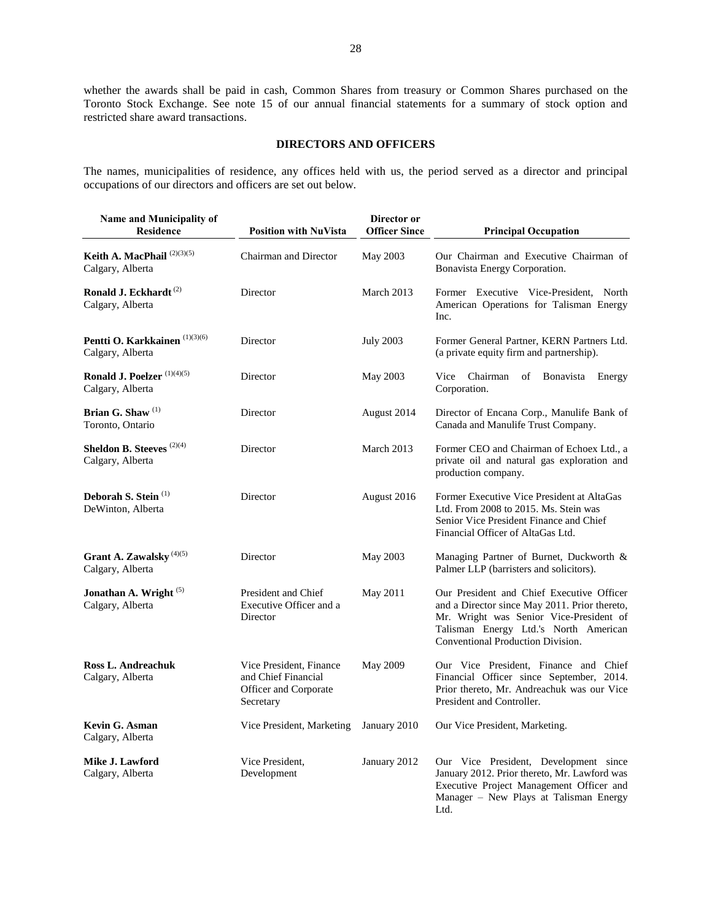whether the awards shall be paid in cash, Common Shares from treasury or Common Shares purchased on the Toronto Stock Exchange. See note 15 of our annual financial statements for a summary of stock option and restricted share award transactions.

## **DIRECTORS AND OFFICERS**

<span id="page-28-0"></span>The names, municipalities of residence, any offices held with us, the period served as a director and principal occupations of our directors and officers are set out below.

| Name and Municipality of<br><b>Residence</b>               | <b>Position with NuVista</b>                                                         | Director or<br><b>Officer Since</b> | <b>Principal Occupation</b>                                                                                                                                                                                         |
|------------------------------------------------------------|--------------------------------------------------------------------------------------|-------------------------------------|---------------------------------------------------------------------------------------------------------------------------------------------------------------------------------------------------------------------|
| Keith A. MacPhail $^{(2)(3)(5)}$<br>Calgary, Alberta       | Chairman and Director                                                                | May 2003                            | Our Chairman and Executive Chairman of<br>Bonavista Energy Corporation.                                                                                                                                             |
| Ronald J. Eckhardt <sup>(2)</sup><br>Calgary, Alberta      | Director                                                                             | March 2013                          | Former Executive Vice-President, North<br>American Operations for Talisman Energy<br>Inc.                                                                                                                           |
| Pentti O. Karkkainen (1)(3)(6)<br>Calgary, Alberta         | Director                                                                             | <b>July 2003</b>                    | Former General Partner, KERN Partners Ltd.<br>(a private equity firm and partnership).                                                                                                                              |
| Ronald J. Poelzer <sup>(1)(4)(5)</sup><br>Calgary, Alberta | Director                                                                             | May 2003                            | Vice<br>Chairman<br>of<br><b>Bonavista</b><br>Energy<br>Corporation.                                                                                                                                                |
| Brian G. Shaw <sup>(1)</sup><br>Toronto, Ontario           | Director                                                                             | August 2014                         | Director of Encana Corp., Manulife Bank of<br>Canada and Manulife Trust Company.                                                                                                                                    |
| <b>Sheldon B. Steeves</b> $(2)(4)$<br>Calgary, Alberta     | Director                                                                             | March 2013                          | Former CEO and Chairman of Echoex Ltd., a<br>private oil and natural gas exploration and<br>production company.                                                                                                     |
| Deborah S. Stein <sup>(1)</sup><br>DeWinton, Alberta       | Director                                                                             | August 2016                         | Former Executive Vice President at AltaGas<br>Ltd. From 2008 to 2015. Ms. Stein was<br>Senior Vice President Finance and Chief<br>Financial Officer of AltaGas Ltd.                                                 |
| Grant A. Zawalsky <sup>(4)(5)</sup><br>Calgary, Alberta    | Director                                                                             | May 2003                            | Managing Partner of Burnet, Duckworth &<br>Palmer LLP (barristers and solicitors).                                                                                                                                  |
| Jonathan A. Wright <sup>(5)</sup><br>Calgary, Alberta      | President and Chief<br>Executive Officer and a<br>Director                           | May 2011                            | Our President and Chief Executive Officer<br>and a Director since May 2011. Prior thereto,<br>Mr. Wright was Senior Vice-President of<br>Talisman Energy Ltd.'s North American<br>Conventional Production Division. |
| <b>Ross L. Andreachuk</b><br>Calgary, Alberta              | Vice President, Finance<br>and Chief Financial<br>Officer and Corporate<br>Secretary | May 2009                            | Our Vice President, Finance and Chief<br>Financial Officer since September, 2014.<br>Prior thereto, Mr. Andreachuk was our Vice<br>President and Controller.                                                        |
| <b>Kevin G. Asman</b><br>Calgary, Alberta                  | Vice President, Marketing                                                            | January 2010                        | Our Vice President, Marketing.                                                                                                                                                                                      |
| Mike J. Lawford<br>Calgary, Alberta                        | Vice President.<br>Development                                                       | January 2012                        | Our Vice President, Development since<br>January 2012. Prior thereto, Mr. Lawford was<br>Executive Project Management Officer and<br>Manager - New Plays at Talisman Energy<br>Ltd.                                 |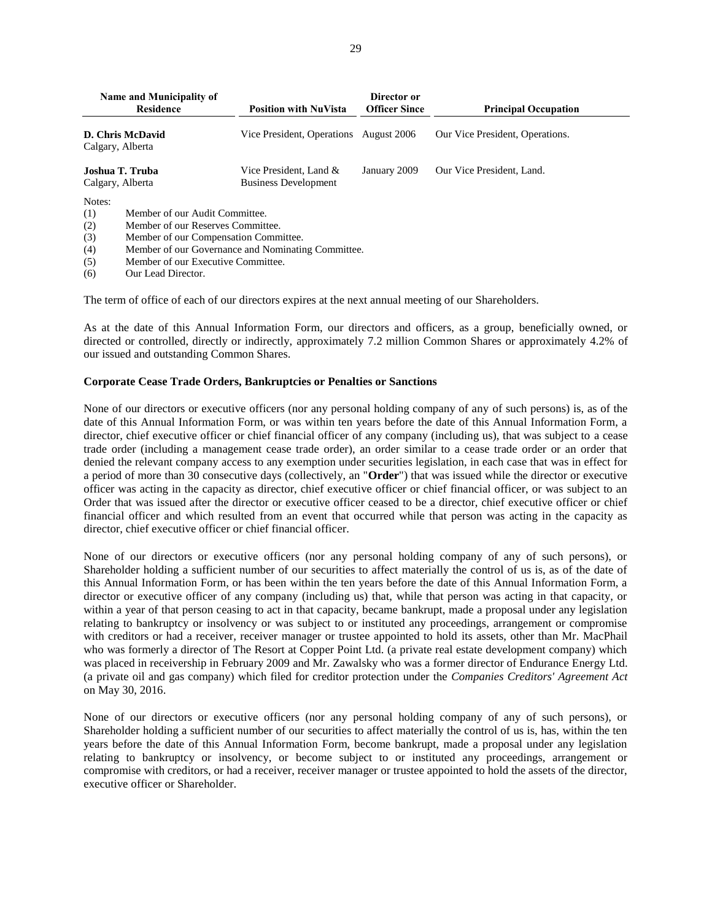| Name and Municipality of<br>Residence<br>D. Chris McDavid<br>Calgary, Alberta                                                                                                                            |  | <b>Position with NuVista</b>                          | Director or<br><b>Officer Since</b> | <b>Principal Occupation</b>     |  |  |
|----------------------------------------------------------------------------------------------------------------------------------------------------------------------------------------------------------|--|-------------------------------------------------------|-------------------------------------|---------------------------------|--|--|
|                                                                                                                                                                                                          |  | Vice President, Operations                            | August 2006                         | Our Vice President, Operations. |  |  |
| Joshua T. Truba<br>Calgary, Alberta                                                                                                                                                                      |  | Vice President, Land &<br><b>Business Development</b> | January 2009                        | Our Vice President, Land.       |  |  |
| Notes:<br>Member of our Audit Committee.<br>(1)<br>(2)<br>Member of our Reserves Committee.<br>(3)<br>Member of our Compensation Committee.<br>(4)<br>Member of our Governance and Nominating Committee. |  |                                                       |                                     |                                 |  |  |

- (5) Member of our Executive Committee.
- (6) Our Lead Director.

The term of office of each of our directors expires at the next annual meeting of our Shareholders.

As at the date of this Annual Information Form, our directors and officers, as a group, beneficially owned, or directed or controlled, directly or indirectly, approximately 7.2 million Common Shares or approximately 4.2% of our issued and outstanding Common Shares.

### **Corporate Cease Trade Orders, Bankruptcies or Penalties or Sanctions**

None of our directors or executive officers (nor any personal holding company of any of such persons) is, as of the date of this Annual Information Form, or was within ten years before the date of this Annual Information Form, a director, chief executive officer or chief financial officer of any company (including us), that was subject to a cease trade order (including a management cease trade order), an order similar to a cease trade order or an order that denied the relevant company access to any exemption under securities legislation, in each case that was in effect for a period of more than 30 consecutive days (collectively, an "**Order**") that was issued while the director or executive officer was acting in the capacity as director, chief executive officer or chief financial officer, or was subject to an Order that was issued after the director or executive officer ceased to be a director, chief executive officer or chief financial officer and which resulted from an event that occurred while that person was acting in the capacity as director, chief executive officer or chief financial officer.

None of our directors or executive officers (nor any personal holding company of any of such persons), or Shareholder holding a sufficient number of our securities to affect materially the control of us is, as of the date of this Annual Information Form, or has been within the ten years before the date of this Annual Information Form, a director or executive officer of any company (including us) that, while that person was acting in that capacity, or within a year of that person ceasing to act in that capacity, became bankrupt, made a proposal under any legislation relating to bankruptcy or insolvency or was subject to or instituted any proceedings, arrangement or compromise with creditors or had a receiver, receiver manager or trustee appointed to hold its assets, other than Mr. MacPhail who was formerly a director of The Resort at Copper Point Ltd. (a private real estate development company) which was placed in receivership in February 2009 and Mr. Zawalsky who was a former director of Endurance Energy Ltd. (a private oil and gas company) which filed for creditor protection under the *Companies Creditors' Agreement Act* on May 30, 2016.

None of our directors or executive officers (nor any personal holding company of any of such persons), or Shareholder holding a sufficient number of our securities to affect materially the control of us is, has, within the ten years before the date of this Annual Information Form, become bankrupt, made a proposal under any legislation relating to bankruptcy or insolvency, or become subject to or instituted any proceedings, arrangement or compromise with creditors, or had a receiver, receiver manager or trustee appointed to hold the assets of the director, executive officer or Shareholder.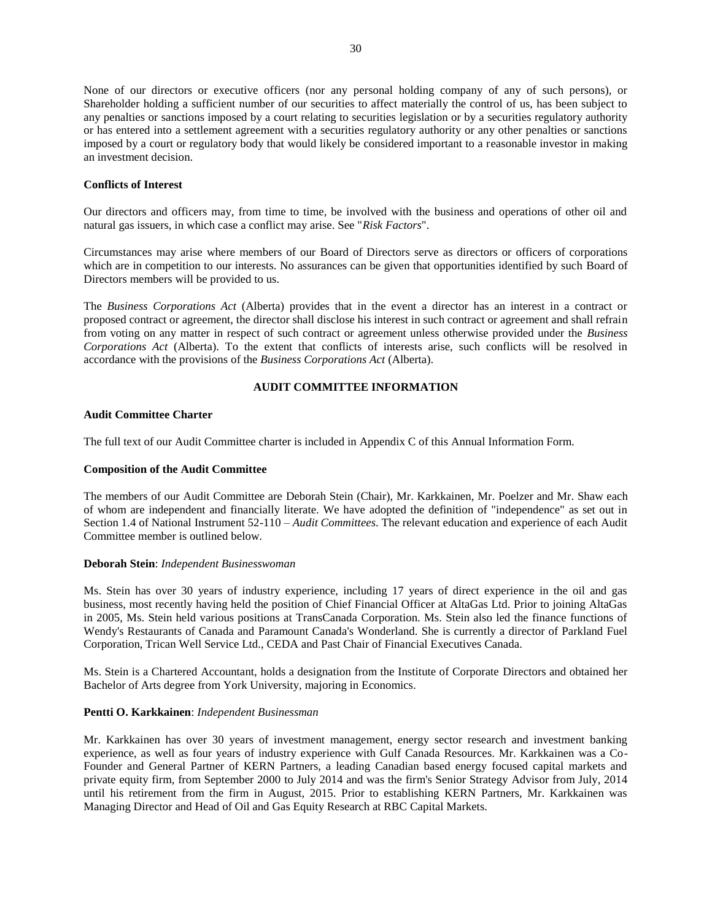None of our directors or executive officers (nor any personal holding company of any of such persons), or Shareholder holding a sufficient number of our securities to affect materially the control of us, has been subject to any penalties or sanctions imposed by a court relating to securities legislation or by a securities regulatory authority or has entered into a settlement agreement with a securities regulatory authority or any other penalties or sanctions imposed by a court or regulatory body that would likely be considered important to a reasonable investor in making an investment decision.

## **Conflicts of Interest**

Our directors and officers may, from time to time, be involved with the business and operations of other oil and natural gas issuers, in which case a conflict may arise. See "*Risk Factors*".

Circumstances may arise where members of our Board of Directors serve as directors or officers of corporations which are in competition to our interests. No assurances can be given that opportunities identified by such Board of Directors members will be provided to us.

The *Business Corporations Act* (Alberta) provides that in the event a director has an interest in a contract or proposed contract or agreement, the director shall disclose his interest in such contract or agreement and shall refrain from voting on any matter in respect of such contract or agreement unless otherwise provided under the *Business Corporations Act* (Alberta). To the extent that conflicts of interests arise, such conflicts will be resolved in accordance with the provisions of the *Business Corporations Act* (Alberta).

## **AUDIT COMMITTEE INFORMATION**

### <span id="page-30-0"></span>**Audit Committee Charter**

The full text of our Audit Committee charter is included in Appendix C of this Annual Information Form.

#### **Composition of the Audit Committee**

The members of our Audit Committee are Deborah Stein (Chair), Mr. Karkkainen, Mr. Poelzer and Mr. Shaw each of whom are independent and financially literate. We have adopted the definition of "independence" as set out in Section 1.4 of National Instrument 52-110 – *Audit Committees*. The relevant education and experience of each Audit Committee member is outlined below.

#### **Deborah Stein**: *Independent Businesswoman*

Ms. Stein has over 30 years of industry experience, including 17 years of direct experience in the oil and gas business, most recently having held the position of Chief Financial Officer at AltaGas Ltd. Prior to joining AltaGas in 2005, Ms. Stein held various positions at TransCanada Corporation. Ms. Stein also led the finance functions of Wendy's Restaurants of Canada and Paramount Canada's Wonderland. She is currently a director of Parkland Fuel Corporation, Trican Well Service Ltd., CEDA and Past Chair of Financial Executives Canada.

Ms. Stein is a Chartered Accountant, holds a designation from the Institute of Corporate Directors and obtained her Bachelor of Arts degree from York University, majoring in Economics.

#### **Pentti O. Karkkainen**: *Independent Businessman*

Mr. Karkkainen has over 30 years of investment management, energy sector research and investment banking experience, as well as four years of industry experience with Gulf Canada Resources. Mr. Karkkainen was a Co-Founder and General Partner of KERN Partners, a leading Canadian based energy focused capital markets and private equity firm, from September 2000 to July 2014 and was the firm's Senior Strategy Advisor from July, 2014 until his retirement from the firm in August, 2015. Prior to establishing KERN Partners, Mr. Karkkainen was Managing Director and Head of Oil and Gas Equity Research at RBC Capital Markets.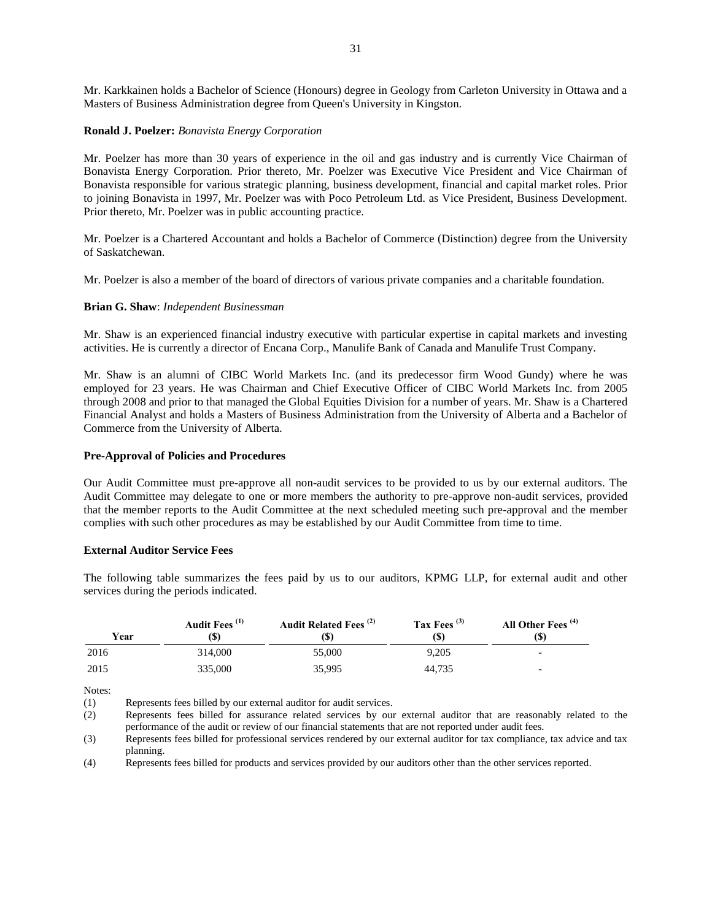Mr. Karkkainen holds a Bachelor of Science (Honours) degree in Geology from Carleton University in Ottawa and a Masters of Business Administration degree from Queen's University in Kingston.

## **Ronald J. Poelzer:** *Bonavista Energy Corporation*

Mr. Poelzer has more than 30 years of experience in the oil and gas industry and is currently Vice Chairman of Bonavista Energy Corporation. Prior thereto, Mr. Poelzer was Executive Vice President and Vice Chairman of Bonavista responsible for various strategic planning, business development, financial and capital market roles. Prior to joining Bonavista in 1997, Mr. Poelzer was with Poco Petroleum Ltd. as Vice President, Business Development. Prior thereto, Mr. Poelzer was in public accounting practice.

Mr. Poelzer is a Chartered Accountant and holds a Bachelor of Commerce (Distinction) degree from the University of Saskatchewan.

Mr. Poelzer is also a member of the board of directors of various private companies and a charitable foundation.

## **Brian G. Shaw**: *Independent Businessman*

Mr. Shaw is an experienced financial industry executive with particular expertise in capital markets and investing activities. He is currently a director of Encana Corp., Manulife Bank of Canada and Manulife Trust Company.

Mr. Shaw is an alumni of CIBC World Markets Inc. (and its predecessor firm Wood Gundy) where he was employed for 23 years. He was Chairman and Chief Executive Officer of CIBC World Markets Inc. from 2005 through 2008 and prior to that managed the Global Equities Division for a number of years. Mr. Shaw is a Chartered Financial Analyst and holds a Masters of Business Administration from the University of Alberta and a Bachelor of Commerce from the University of Alberta.

## **Pre-Approval of Policies and Procedures**

Our Audit Committee must pre-approve all non-audit services to be provided to us by our external auditors. The Audit Committee may delegate to one or more members the authority to pre-approve non-audit services, provided that the member reports to the Audit Committee at the next scheduled meeting such pre-approval and the member complies with such other procedures as may be established by our Audit Committee from time to time.

## **External Auditor Service Fees**

The following table summarizes the fees paid by us to our auditors, KPMG LLP, for external audit and other services during the periods indicated.

| Year | Audit Fees <sup>(1)</sup><br>(S) | Audit Related Fees <sup>(2)</sup><br>(S) | Tax Fees $(3)$<br>(S) | All Other Fees <sup>(4)</sup><br>(S) |
|------|----------------------------------|------------------------------------------|-----------------------|--------------------------------------|
| 2016 | 314,000                          | 55,000                                   | 9.205                 | $\overline{\phantom{0}}$             |
| 2015 | 335,000                          | 35.995                                   | 44.735                | $\overline{\phantom{0}}$             |

Notes:

(1) Represents fees billed by our external auditor for audit services.<br>(2) Represents fees billed for assurance related services by our

Represents fees billed for assurance related services by our external auditor that are reasonably related to the performance of the audit or review of our financial statements that are not reported under audit fees.

(3) Represents fees billed for professional services rendered by our external auditor for tax compliance, tax advice and tax planning.

(4) Represents fees billed for products and services provided by our auditors other than the other services reported.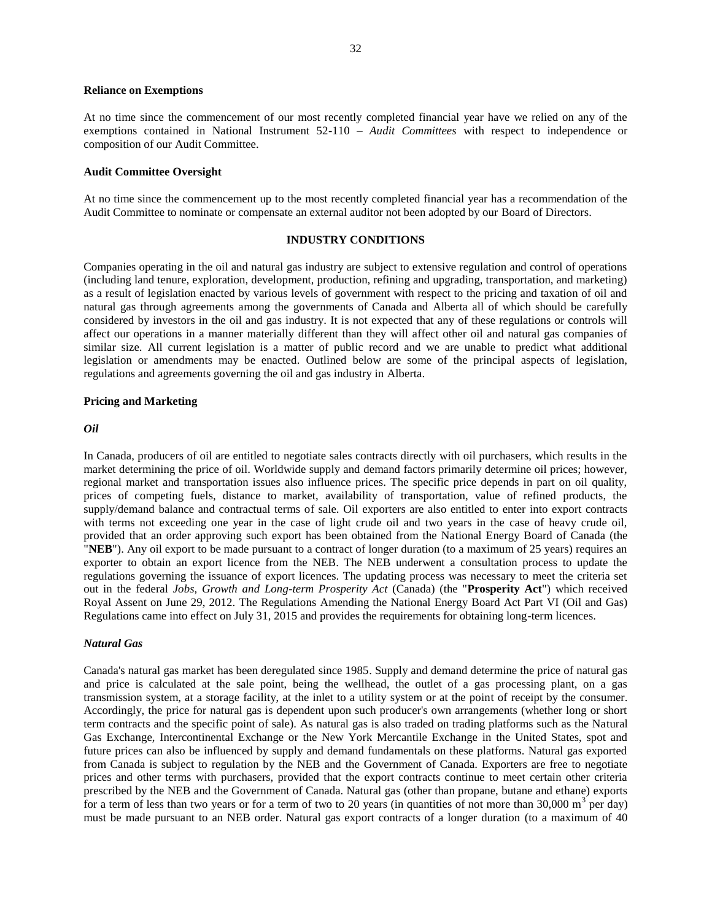#### **Reliance on Exemptions**

At no time since the commencement of our most recently completed financial year have we relied on any of the exemptions contained in National Instrument 52-110 – *Audit Committees* with respect to independence or composition of our Audit Committee.

## **Audit Committee Oversight**

At no time since the commencement up to the most recently completed financial year has a recommendation of the Audit Committee to nominate or compensate an external auditor not been adopted by our Board of Directors.

## **INDUSTRY CONDITIONS**

<span id="page-32-0"></span>Companies operating in the oil and natural gas industry are subject to extensive regulation and control of operations (including land tenure, exploration, development, production, refining and upgrading, transportation, and marketing) as a result of legislation enacted by various levels of government with respect to the pricing and taxation of oil and natural gas through agreements among the governments of Canada and Alberta all of which should be carefully considered by investors in the oil and gas industry. It is not expected that any of these regulations or controls will affect our operations in a manner materially different than they will affect other oil and natural gas companies of similar size. All current legislation is a matter of public record and we are unable to predict what additional legislation or amendments may be enacted. Outlined below are some of the principal aspects of legislation, regulations and agreements governing the oil and gas industry in Alberta.

#### **Pricing and Marketing**

### *Oil*

In Canada, producers of oil are entitled to negotiate sales contracts directly with oil purchasers, which results in the market determining the price of oil. Worldwide supply and demand factors primarily determine oil prices; however, regional market and transportation issues also influence prices. The specific price depends in part on oil quality, prices of competing fuels, distance to market, availability of transportation, value of refined products, the supply/demand balance and contractual terms of sale. Oil exporters are also entitled to enter into export contracts with terms not exceeding one year in the case of light crude oil and two years in the case of heavy crude oil, provided that an order approving such export has been obtained from the National Energy Board of Canada (the "**NEB**"). Any oil export to be made pursuant to a contract of longer duration (to a maximum of 25 years) requires an exporter to obtain an export licence from the NEB. The NEB underwent a consultation process to update the regulations governing the issuance of export licences. The updating process was necessary to meet the criteria set out in the federal *Jobs, Growth and Long-term Prosperity Act* (Canada) (the "**Prosperity Act**") which received Royal Assent on June 29, 2012. The Regulations Amending the National Energy Board Act Part VI (Oil and Gas) Regulations came into effect on July 31, 2015 and provides the requirements for obtaining long-term licences.

## *Natural Gas*

Canada's natural gas market has been deregulated since 1985. Supply and demand determine the price of natural gas and price is calculated at the sale point, being the wellhead, the outlet of a gas processing plant, on a gas transmission system, at a storage facility, at the inlet to a utility system or at the point of receipt by the consumer. Accordingly, the price for natural gas is dependent upon such producer's own arrangements (whether long or short term contracts and the specific point of sale). As natural gas is also traded on trading platforms such as the Natural Gas Exchange, Intercontinental Exchange or the New York Mercantile Exchange in the United States, spot and future prices can also be influenced by supply and demand fundamentals on these platforms. Natural gas exported from Canada is subject to regulation by the NEB and the Government of Canada. Exporters are free to negotiate prices and other terms with purchasers, provided that the export contracts continue to meet certain other criteria prescribed by the NEB and the Government of Canada. Natural gas (other than propane, butane and ethane) exports for a term of less than two years or for a term of two to 20 years (in quantities of not more than 30,000 m<sup>3</sup> per day) must be made pursuant to an NEB order. Natural gas export contracts of a longer duration (to a maximum of 40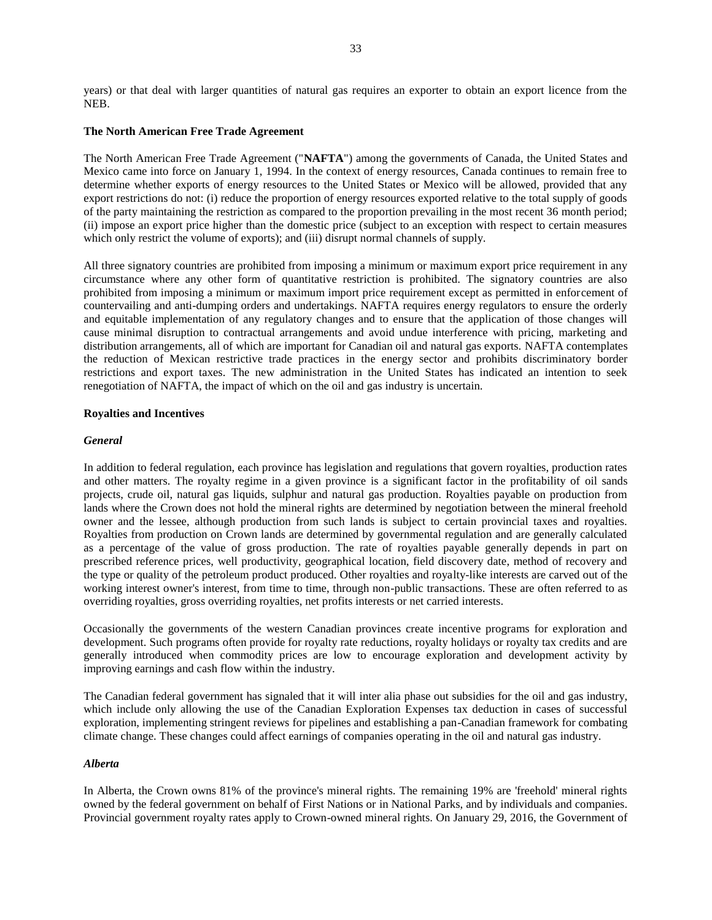years) or that deal with larger quantities of natural gas requires an exporter to obtain an export licence from the NEB.

### **The North American Free Trade Agreement**

The North American Free Trade Agreement ("**NAFTA**") among the governments of Canada, the United States and Mexico came into force on January 1, 1994. In the context of energy resources, Canada continues to remain free to determine whether exports of energy resources to the United States or Mexico will be allowed, provided that any export restrictions do not: (i) reduce the proportion of energy resources exported relative to the total supply of goods of the party maintaining the restriction as compared to the proportion prevailing in the most recent 36 month period; (ii) impose an export price higher than the domestic price (subject to an exception with respect to certain measures which only restrict the volume of exports); and (iii) disrupt normal channels of supply.

All three signatory countries are prohibited from imposing a minimum or maximum export price requirement in any circumstance where any other form of quantitative restriction is prohibited. The signatory countries are also prohibited from imposing a minimum or maximum import price requirement except as permitted in enforcement of countervailing and anti-dumping orders and undertakings. NAFTA requires energy regulators to ensure the orderly and equitable implementation of any regulatory changes and to ensure that the application of those changes will cause minimal disruption to contractual arrangements and avoid undue interference with pricing, marketing and distribution arrangements, all of which are important for Canadian oil and natural gas exports. NAFTA contemplates the reduction of Mexican restrictive trade practices in the energy sector and prohibits discriminatory border restrictions and export taxes. The new administration in the United States has indicated an intention to seek renegotiation of NAFTA, the impact of which on the oil and gas industry is uncertain.

#### **Royalties and Incentives**

#### *General*

In addition to federal regulation, each province has legislation and regulations that govern royalties, production rates and other matters. The royalty regime in a given province is a significant factor in the profitability of oil sands projects, crude oil, natural gas liquids, sulphur and natural gas production. Royalties payable on production from lands where the Crown does not hold the mineral rights are determined by negotiation between the mineral freehold owner and the lessee, although production from such lands is subject to certain provincial taxes and royalties. Royalties from production on Crown lands are determined by governmental regulation and are generally calculated as a percentage of the value of gross production. The rate of royalties payable generally depends in part on prescribed reference prices, well productivity, geographical location, field discovery date, method of recovery and the type or quality of the petroleum product produced. Other royalties and royalty-like interests are carved out of the working interest owner's interest, from time to time, through non-public transactions. These are often referred to as overriding royalties, gross overriding royalties, net profits interests or net carried interests.

Occasionally the governments of the western Canadian provinces create incentive programs for exploration and development. Such programs often provide for royalty rate reductions, royalty holidays or royalty tax credits and are generally introduced when commodity prices are low to encourage exploration and development activity by improving earnings and cash flow within the industry.

The Canadian federal government has signaled that it will inter alia phase out subsidies for the oil and gas industry, which include only allowing the use of the Canadian Exploration Expenses tax deduction in cases of successful exploration, implementing stringent reviews for pipelines and establishing a pan-Canadian framework for combating climate change. These changes could affect earnings of companies operating in the oil and natural gas industry.

#### *Alberta*

In Alberta, the Crown owns 81% of the province's mineral rights. The remaining 19% are 'freehold' mineral rights owned by the federal government on behalf of First Nations or in National Parks, and by individuals and companies. Provincial government royalty rates apply to Crown-owned mineral rights. On January 29, 2016, the Government of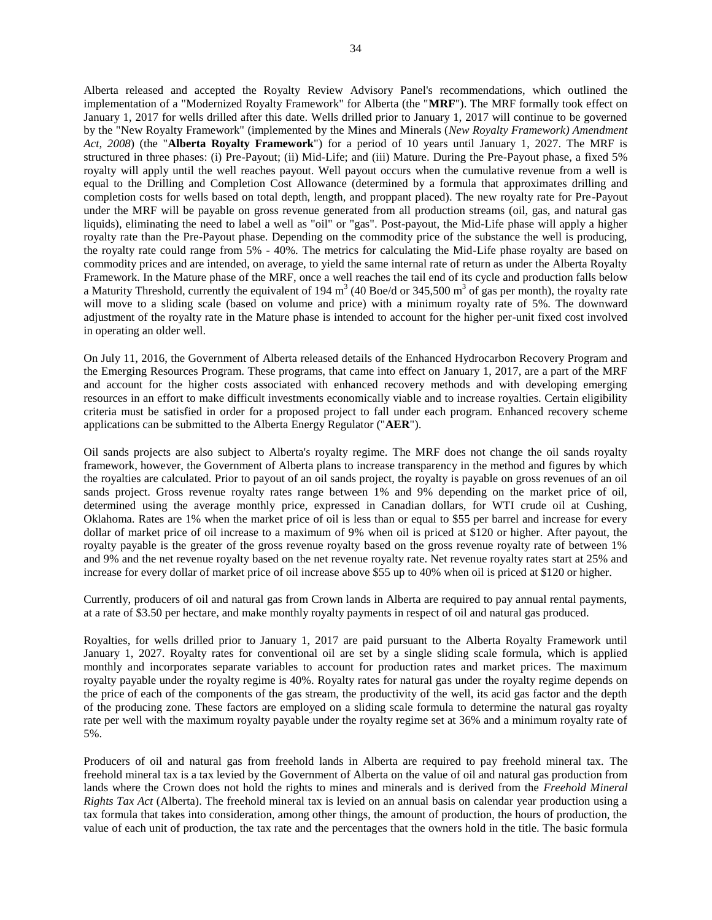Alberta released and accepted the Royalty Review Advisory Panel's recommendations, which outlined the implementation of a "Modernized Royalty Framework" for Alberta (the "**MRF**"). The MRF formally took effect on January 1, 2017 for wells drilled after this date. Wells drilled prior to January 1, 2017 will continue to be governed by the "New Royalty Framework" (implemented by the Mines and Minerals (*New Royalty Framework) Amendment Act, 2008*) (the "**Alberta Royalty Framework**") for a period of 10 years until January 1, 2027. The MRF is structured in three phases: (i) Pre-Payout; (ii) Mid-Life; and (iii) Mature. During the Pre-Payout phase, a fixed 5% royalty will apply until the well reaches payout. Well payout occurs when the cumulative revenue from a well is equal to the Drilling and Completion Cost Allowance (determined by a formula that approximates drilling and completion costs for wells based on total depth, length, and proppant placed). The new royalty rate for Pre-Payout under the MRF will be payable on gross revenue generated from all production streams (oil, gas, and natural gas liquids), eliminating the need to label a well as "oil" or "gas". Post-payout, the Mid-Life phase will apply a higher royalty rate than the Pre-Payout phase. Depending on the commodity price of the substance the well is producing, the royalty rate could range from 5% - 40%. The metrics for calculating the Mid-Life phase royalty are based on commodity prices and are intended, on average, to yield the same internal rate of return as under the Alberta Royalty Framework. In the Mature phase of the MRF, once a well reaches the tail end of its cycle and production falls below a Maturity Threshold, currently the equivalent of 194 m<sup>3</sup> (40 Boe/d or 345,500 m<sup>3</sup> of gas per month), the royalty rate will move to a sliding scale (based on volume and price) with a minimum royalty rate of 5%. The downward adjustment of the royalty rate in the Mature phase is intended to account for the higher per-unit fixed cost involved in operating an older well.

On July 11, 2016, the Government of Alberta released details of the Enhanced Hydrocarbon Recovery Program and the Emerging Resources Program. These programs, that came into effect on January 1, 2017, are a part of the MRF and account for the higher costs associated with enhanced recovery methods and with developing emerging resources in an effort to make difficult investments economically viable and to increase royalties. Certain eligibility criteria must be satisfied in order for a proposed project to fall under each program. Enhanced recovery scheme applications can be submitted to the Alberta Energy Regulator ("**AER**").

Oil sands projects are also subject to Alberta's royalty regime. The MRF does not change the oil sands royalty framework, however, the Government of Alberta plans to increase transparency in the method and figures by which the royalties are calculated. Prior to payout of an oil sands project, the royalty is payable on gross revenues of an oil sands project. Gross revenue royalty rates range between 1% and 9% depending on the market price of oil, determined using the average monthly price, expressed in Canadian dollars, for WTI crude oil at Cushing, Oklahoma. Rates are 1% when the market price of oil is less than or equal to \$55 per barrel and increase for every dollar of market price of oil increase to a maximum of 9% when oil is priced at \$120 or higher. After payout, the royalty payable is the greater of the gross revenue royalty based on the gross revenue royalty rate of between 1% and 9% and the net revenue royalty based on the net revenue royalty rate. Net revenue royalty rates start at 25% and increase for every dollar of market price of oil increase above \$55 up to 40% when oil is priced at \$120 or higher.

Currently, producers of oil and natural gas from Crown lands in Alberta are required to pay annual rental payments, at a rate of \$3.50 per hectare, and make monthly royalty payments in respect of oil and natural gas produced.

Royalties, for wells drilled prior to January 1, 2017 are paid pursuant to the Alberta Royalty Framework until January 1, 2027. Royalty rates for conventional oil are set by a single sliding scale formula, which is applied monthly and incorporates separate variables to account for production rates and market prices. The maximum royalty payable under the royalty regime is 40%. Royalty rates for natural gas under the royalty regime depends on the price of each of the components of the gas stream, the productivity of the well, its acid gas factor and the depth of the producing zone. These factors are employed on a sliding scale formula to determine the natural gas royalty rate per well with the maximum royalty payable under the royalty regime set at 36% and a minimum royalty rate of 5%.

Producers of oil and natural gas from freehold lands in Alberta are required to pay freehold mineral tax. The freehold mineral tax is a tax levied by the Government of Alberta on the value of oil and natural gas production from lands where the Crown does not hold the rights to mines and minerals and is derived from the *Freehold Mineral Rights Tax Act* (Alberta). The freehold mineral tax is levied on an annual basis on calendar year production using a tax formula that takes into consideration, among other things, the amount of production, the hours of production, the value of each unit of production, the tax rate and the percentages that the owners hold in the title. The basic formula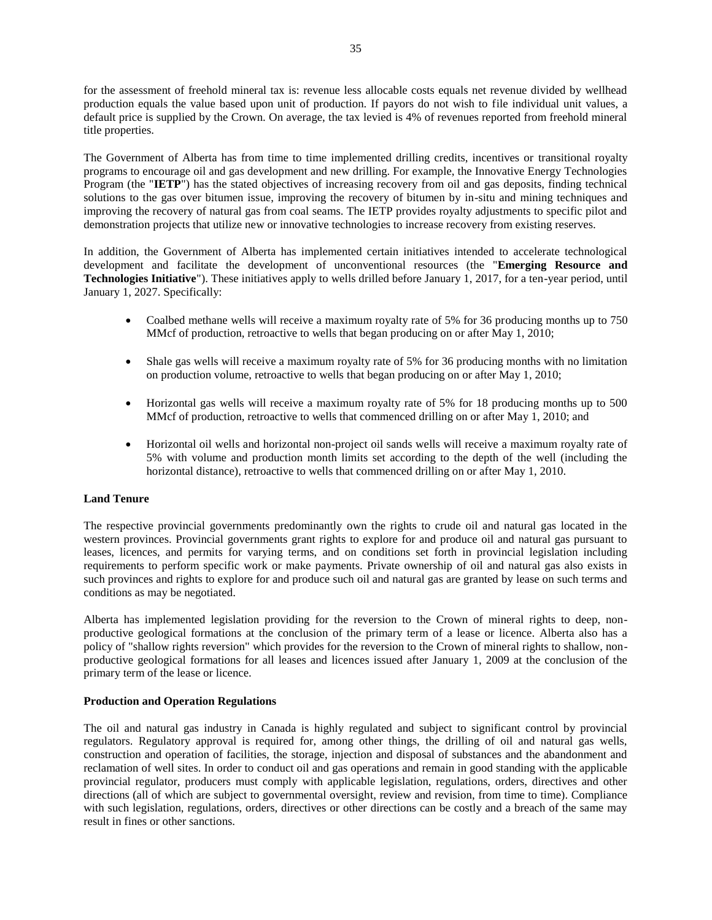for the assessment of freehold mineral tax is: revenue less allocable costs equals net revenue divided by wellhead production equals the value based upon unit of production. If payors do not wish to file individual unit values, a default price is supplied by the Crown. On average, the tax levied is 4% of revenues reported from freehold mineral title properties.

The Government of Alberta has from time to time implemented drilling credits, incentives or transitional royalty programs to encourage oil and gas development and new drilling. For example, the Innovative Energy Technologies Program (the "**IETP**") has the stated objectives of increasing recovery from oil and gas deposits, finding technical solutions to the gas over bitumen issue, improving the recovery of bitumen by in-situ and mining techniques and improving the recovery of natural gas from coal seams. The IETP provides royalty adjustments to specific pilot and demonstration projects that utilize new or innovative technologies to increase recovery from existing reserves.

In addition, the Government of Alberta has implemented certain initiatives intended to accelerate technological development and facilitate the development of unconventional resources (the "**Emerging Resource and Technologies Initiative**"). These initiatives apply to wells drilled before January 1, 2017, for a ten-year period, until January 1, 2027. Specifically:

- Coalbed methane wells will receive a maximum royalty rate of 5% for 36 producing months up to 750 MMcf of production, retroactive to wells that began producing on or after May 1, 2010;
- Shale gas wells will receive a maximum royalty rate of 5% for 36 producing months with no limitation on production volume, retroactive to wells that began producing on or after May 1, 2010;
- Horizontal gas wells will receive a maximum royalty rate of 5% for 18 producing months up to 500 MMcf of production, retroactive to wells that commenced drilling on or after May 1, 2010; and
- Horizontal oil wells and horizontal non-project oil sands wells will receive a maximum royalty rate of 5% with volume and production month limits set according to the depth of the well (including the horizontal distance), retroactive to wells that commenced drilling on or after May 1, 2010.

## **Land Tenure**

The respective provincial governments predominantly own the rights to crude oil and natural gas located in the western provinces. Provincial governments grant rights to explore for and produce oil and natural gas pursuant to leases, licences, and permits for varying terms, and on conditions set forth in provincial legislation including requirements to perform specific work or make payments. Private ownership of oil and natural gas also exists in such provinces and rights to explore for and produce such oil and natural gas are granted by lease on such terms and conditions as may be negotiated.

Alberta has implemented legislation providing for the reversion to the Crown of mineral rights to deep, nonproductive geological formations at the conclusion of the primary term of a lease or licence. Alberta also has a policy of "shallow rights reversion" which provides for the reversion to the Crown of mineral rights to shallow, nonproductive geological formations for all leases and licences issued after January 1, 2009 at the conclusion of the primary term of the lease or licence.

## **Production and Operation Regulations**

The oil and natural gas industry in Canada is highly regulated and subject to significant control by provincial regulators. Regulatory approval is required for, among other things, the drilling of oil and natural gas wells, construction and operation of facilities, the storage, injection and disposal of substances and the abandonment and reclamation of well sites. In order to conduct oil and gas operations and remain in good standing with the applicable provincial regulator, producers must comply with applicable legislation, regulations, orders, directives and other directions (all of which are subject to governmental oversight, review and revision, from time to time). Compliance with such legislation, regulations, orders, directives or other directions can be costly and a breach of the same may result in fines or other sanctions.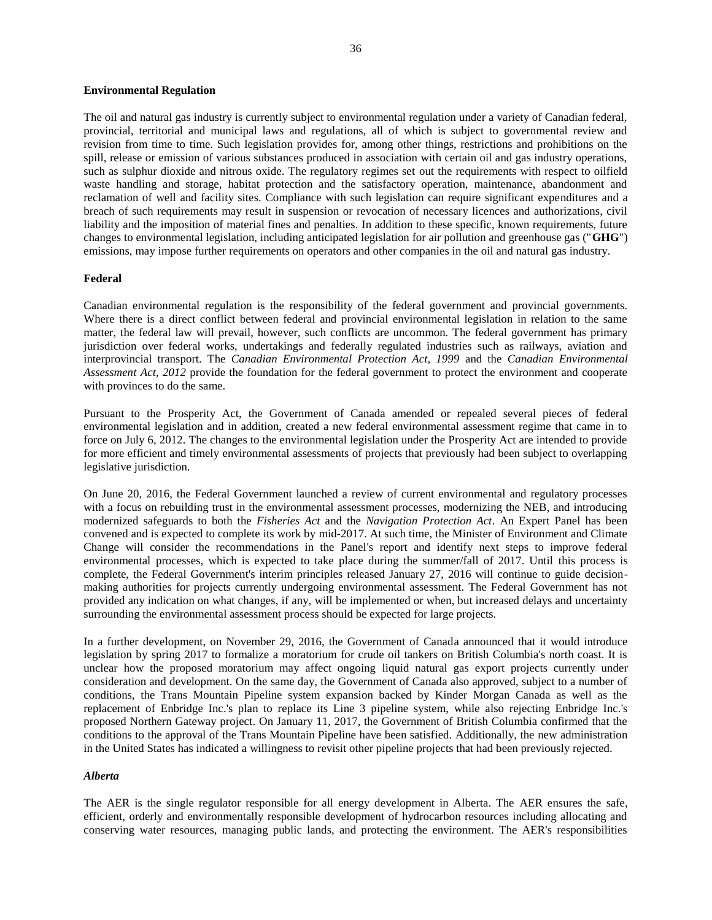#### **Environmental Regulation**

The oil and natural gas industry is currently subject to environmental regulation under a variety of Canadian federal, provincial, territorial and municipal laws and regulations, all of which is subject to governmental review and revision from time to time. Such legislation provides for, among other things, restrictions and prohibitions on the spill, release or emission of various substances produced in association with certain oil and gas industry operations, such as sulphur dioxide and nitrous oxide. The regulatory regimes set out the requirements with respect to oilfield waste handling and storage, habitat protection and the satisfactory operation, maintenance, abandonment and reclamation of well and facility sites. Compliance with such legislation can require significant expenditures and a breach of such requirements may result in suspension or revocation of necessary licences and authorizations, civil liability and the imposition of material fines and penalties. In addition to these specific, known requirements, future changes to environmental legislation, including anticipated legislation for air pollution and greenhouse gas ("**GHG**") emissions, may impose further requirements on operators and other companies in the oil and natural gas industry.

## **Federal**

Canadian environmental regulation is the responsibility of the federal government and provincial governments. Where there is a direct conflict between federal and provincial environmental legislation in relation to the same matter, the federal law will prevail, however, such conflicts are uncommon. The federal government has primary jurisdiction over federal works, undertakings and federally regulated industries such as railways, aviation and interprovincial transport. The *Canadian Environmental Protection Act, 1999* and the *Canadian Environmental Assessment Act, 2012* provide the foundation for the federal government to protect the environment and cooperate with provinces to do the same.

Pursuant to the Prosperity Act, the Government of Canada amended or repealed several pieces of federal environmental legislation and in addition, created a new federal environmental assessment regime that came in to force on July 6, 2012. The changes to the environmental legislation under the Prosperity Act are intended to provide for more efficient and timely environmental assessments of projects that previously had been subject to overlapping legislative jurisdiction.

On June 20, 2016, the Federal Government launched a review of current environmental and regulatory processes with a focus on rebuilding trust in the environmental assessment processes, modernizing the NEB, and introducing modernized safeguards to both the *Fisheries Act* and the *Navigation Protection Act*. An Expert Panel has been convened and is expected to complete its work by mid-2017. At such time, the Minister of Environment and Climate Change will consider the recommendations in the Panel's report and identify next steps to improve federal environmental processes, which is expected to take place during the summer/fall of 2017. Until this process is complete, the Federal Government's interim principles released January 27, 2016 will continue to guide decisionmaking authorities for projects currently undergoing environmental assessment. The Federal Government has not provided any indication on what changes, if any, will be implemented or when, but increased delays and uncertainty surrounding the environmental assessment process should be expected for large projects.

In a further development, on November 29, 2016, the Government of Canada announced that it would introduce legislation by spring 2017 to formalize a moratorium for crude oil tankers on British Columbia's north coast. It is unclear how the proposed moratorium may affect ongoing liquid natural gas export projects currently under consideration and development. On the same day, the Government of Canada also approved, subject to a number of conditions, the Trans Mountain Pipeline system expansion backed by Kinder Morgan Canada as well as the replacement of Enbridge Inc.'s plan to replace its Line 3 pipeline system, while also rejecting Enbridge Inc.'s proposed Northern Gateway project. On January 11, 2017, the Government of British Columbia confirmed that the conditions to the approval of the Trans Mountain Pipeline have been satisfied. Additionally, the new administration in the United States has indicated a willingness to revisit other pipeline projects that had been previously rejected.

#### *Alberta*

The AER is the single regulator responsible for all energy development in Alberta. The AER ensures the safe, efficient, orderly and environmentally responsible development of hydrocarbon resources including allocating and conserving water resources, managing public lands, and protecting the environment. The AER's responsibilities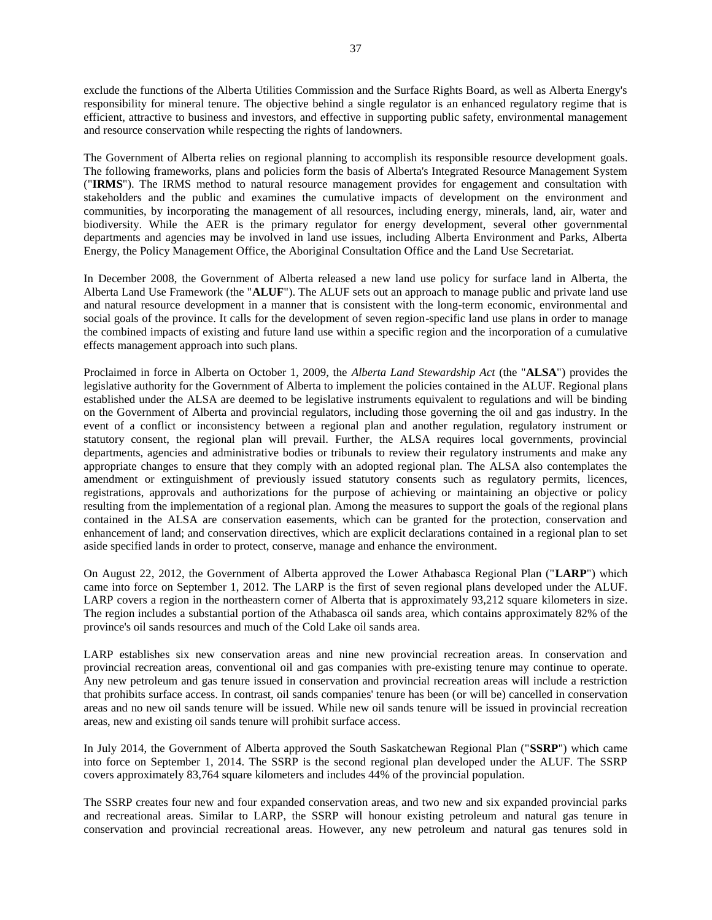exclude the functions of the Alberta Utilities Commission and the Surface Rights Board, as well as Alberta Energy's responsibility for mineral tenure. The objective behind a single regulator is an enhanced regulatory regime that is efficient, attractive to business and investors, and effective in supporting public safety, environmental management and resource conservation while respecting the rights of landowners.

The Government of Alberta relies on regional planning to accomplish its responsible resource development goals. The following frameworks, plans and policies form the basis of Alberta's Integrated Resource Management System ("**IRMS**"). The IRMS method to natural resource management provides for engagement and consultation with stakeholders and the public and examines the cumulative impacts of development on the environment and communities, by incorporating the management of all resources, including energy, minerals, land, air, water and biodiversity. While the AER is the primary regulator for energy development, several other governmental departments and agencies may be involved in land use issues, including Alberta Environment and Parks, Alberta Energy, the Policy Management Office, the Aboriginal Consultation Office and the Land Use Secretariat.

In December 2008, the Government of Alberta released a new land use policy for surface land in Alberta, the Alberta Land Use Framework (the "**ALUF**"). The ALUF sets out an approach to manage public and private land use and natural resource development in a manner that is consistent with the long-term economic, environmental and social goals of the province. It calls for the development of seven region-specific land use plans in order to manage the combined impacts of existing and future land use within a specific region and the incorporation of a cumulative effects management approach into such plans.

Proclaimed in force in Alberta on October 1, 2009, the *Alberta Land Stewardship Act* (the "**ALSA**") provides the legislative authority for the Government of Alberta to implement the policies contained in the ALUF. Regional plans established under the ALSA are deemed to be legislative instruments equivalent to regulations and will be binding on the Government of Alberta and provincial regulators, including those governing the oil and gas industry. In the event of a conflict or inconsistency between a regional plan and another regulation, regulatory instrument or statutory consent, the regional plan will prevail. Further, the ALSA requires local governments, provincial departments, agencies and administrative bodies or tribunals to review their regulatory instruments and make any appropriate changes to ensure that they comply with an adopted regional plan. The ALSA also contemplates the amendment or extinguishment of previously issued statutory consents such as regulatory permits, licences, registrations, approvals and authorizations for the purpose of achieving or maintaining an objective or policy resulting from the implementation of a regional plan. Among the measures to support the goals of the regional plans contained in the ALSA are conservation easements, which can be granted for the protection, conservation and enhancement of land; and conservation directives, which are explicit declarations contained in a regional plan to set aside specified lands in order to protect, conserve, manage and enhance the environment.

On August 22, 2012, the Government of Alberta approved the Lower Athabasca Regional Plan ("**LARP**") which came into force on September 1, 2012. The LARP is the first of seven regional plans developed under the ALUF. LARP covers a region in the northeastern corner of Alberta that is approximately 93,212 square kilometers in size. The region includes a substantial portion of the Athabasca oil sands area, which contains approximately 82% of the province's oil sands resources and much of the Cold Lake oil sands area.

LARP establishes six new conservation areas and nine new provincial recreation areas. In conservation and provincial recreation areas, conventional oil and gas companies with pre-existing tenure may continue to operate. Any new petroleum and gas tenure issued in conservation and provincial recreation areas will include a restriction that prohibits surface access. In contrast, oil sands companies' tenure has been (or will be) cancelled in conservation areas and no new oil sands tenure will be issued. While new oil sands tenure will be issued in provincial recreation areas, new and existing oil sands tenure will prohibit surface access.

In July 2014, the Government of Alberta approved the South Saskatchewan Regional Plan ("**SSRP**") which came into force on September 1, 2014. The SSRP is the second regional plan developed under the ALUF. The SSRP covers approximately 83,764 square kilometers and includes 44% of the provincial population.

The SSRP creates four new and four expanded conservation areas, and two new and six expanded provincial parks and recreational areas. Similar to LARP, the SSRP will honour existing petroleum and natural gas tenure in conservation and provincial recreational areas. However, any new petroleum and natural gas tenures sold in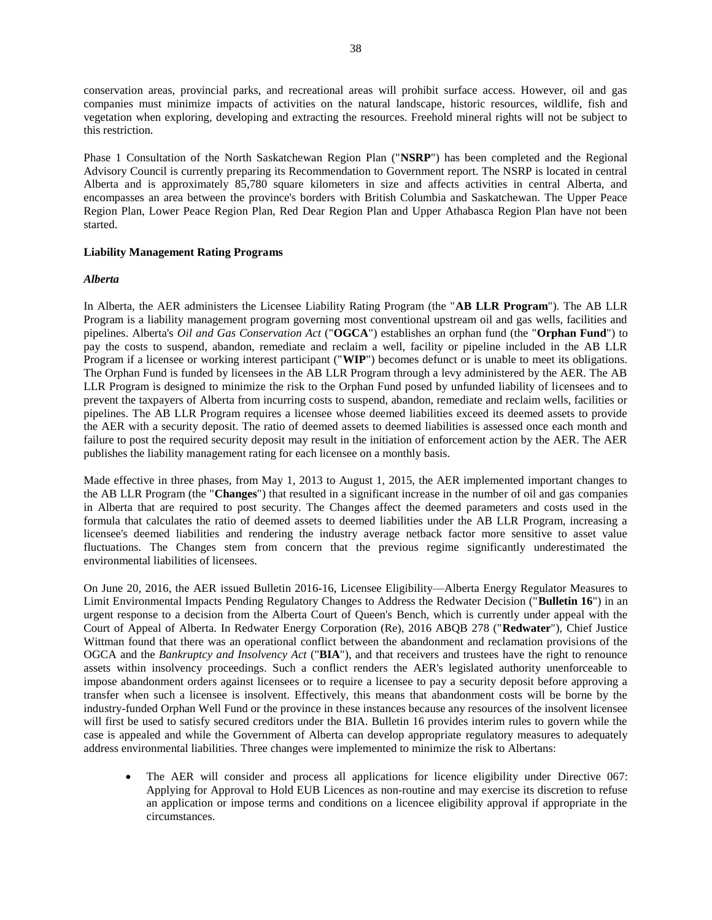conservation areas, provincial parks, and recreational areas will prohibit surface access. However, oil and gas companies must minimize impacts of activities on the natural landscape, historic resources, wildlife, fish and vegetation when exploring, developing and extracting the resources. Freehold mineral rights will not be subject to this restriction.

Phase 1 Consultation of the North Saskatchewan Region Plan ("**NSRP**") has been completed and the Regional Advisory Council is currently preparing its Recommendation to Government report. The NSRP is located in central Alberta and is approximately 85,780 square kilometers in size and affects activities in central Alberta, and encompasses an area between the province's borders with British Columbia and Saskatchewan. The Upper Peace Region Plan, Lower Peace Region Plan, Red Dear Region Plan and Upper Athabasca Region Plan have not been started.

## **Liability Management Rating Programs**

## *Alberta*

In Alberta, the AER administers the Licensee Liability Rating Program (the "**AB LLR Program**"). The AB LLR Program is a liability management program governing most conventional upstream oil and gas wells, facilities and pipelines. Alberta's *Oil and Gas Conservation Act* ("**OGCA**") establishes an orphan fund (the "**Orphan Fund**") to pay the costs to suspend, abandon, remediate and reclaim a well, facility or pipeline included in the AB LLR Program if a licensee or working interest participant ("**WIP**") becomes defunct or is unable to meet its obligations. The Orphan Fund is funded by licensees in the AB LLR Program through a levy administered by the AER. The AB LLR Program is designed to minimize the risk to the Orphan Fund posed by unfunded liability of licensees and to prevent the taxpayers of Alberta from incurring costs to suspend, abandon, remediate and reclaim wells, facilities or pipelines. The AB LLR Program requires a licensee whose deemed liabilities exceed its deemed assets to provide the AER with a security deposit. The ratio of deemed assets to deemed liabilities is assessed once each month and failure to post the required security deposit may result in the initiation of enforcement action by the AER. The AER publishes the liability management rating for each licensee on a monthly basis.

Made effective in three phases, from May 1, 2013 to August 1, 2015, the AER implemented important changes to the AB LLR Program (the "**Changes**") that resulted in a significant increase in the number of oil and gas companies in Alberta that are required to post security. The Changes affect the deemed parameters and costs used in the formula that calculates the ratio of deemed assets to deemed liabilities under the AB LLR Program, increasing a licensee's deemed liabilities and rendering the industry average netback factor more sensitive to asset value fluctuations. The Changes stem from concern that the previous regime significantly underestimated the environmental liabilities of licensees.

On June 20, 2016, the AER issued Bulletin 2016-16, Licensee Eligibility—Alberta Energy Regulator Measures to Limit Environmental Impacts Pending Regulatory Changes to Address the Redwater Decision ("**Bulletin 16**") in an urgent response to a decision from the Alberta Court of Queen's Bench, which is currently under appeal with the Court of Appeal of Alberta. In Redwater Energy Corporation (Re), 2016 ABQB 278 ("**Redwater**"), Chief Justice Wittman found that there was an operational conflict between the abandonment and reclamation provisions of the OGCA and the *Bankruptcy and Insolvency Act* ("**BIA**"), and that receivers and trustees have the right to renounce assets within insolvency proceedings. Such a conflict renders the AER's legislated authority unenforceable to impose abandonment orders against licensees or to require a licensee to pay a security deposit before approving a transfer when such a licensee is insolvent. Effectively, this means that abandonment costs will be borne by the industry-funded Orphan Well Fund or the province in these instances because any resources of the insolvent licensee will first be used to satisfy secured creditors under the BIA. Bulletin 16 provides interim rules to govern while the case is appealed and while the Government of Alberta can develop appropriate regulatory measures to adequately address environmental liabilities. Three changes were implemented to minimize the risk to Albertans:

 The AER will consider and process all applications for licence eligibility under Directive 067: Applying for Approval to Hold EUB Licences as non-routine and may exercise its discretion to refuse an application or impose terms and conditions on a licencee eligibility approval if appropriate in the circumstances.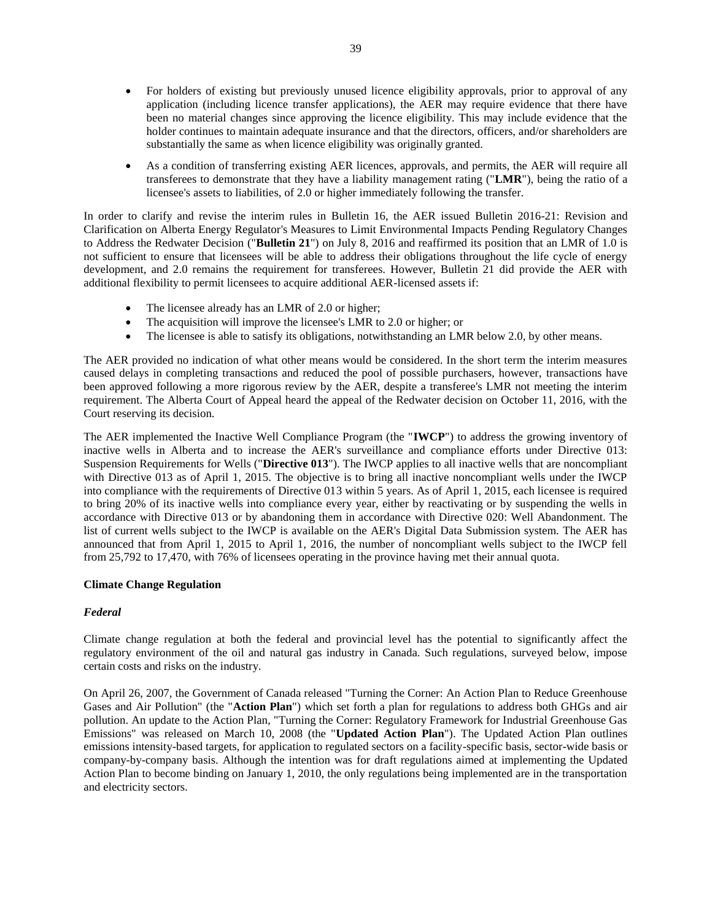- For holders of existing but previously unused licence eligibility approvals, prior to approval of any application (including licence transfer applications), the AER may require evidence that there have been no material changes since approving the licence eligibility. This may include evidence that the holder continues to maintain adequate insurance and that the directors, officers, and/or shareholders are substantially the same as when licence eligibility was originally granted.
- As a condition of transferring existing AER licences, approvals, and permits, the AER will require all transferees to demonstrate that they have a liability management rating ("**LMR**"), being the ratio of a licensee's assets to liabilities, of 2.0 or higher immediately following the transfer.

In order to clarify and revise the interim rules in Bulletin 16, the AER issued Bulletin 2016-21: Revision and Clarification on Alberta Energy Regulator's Measures to Limit Environmental Impacts Pending Regulatory Changes to Address the Redwater Decision ("**Bulletin 21**") on July 8, 2016 and reaffirmed its position that an LMR of 1.0 is not sufficient to ensure that licensees will be able to address their obligations throughout the life cycle of energy development, and 2.0 remains the requirement for transferees. However, Bulletin 21 did provide the AER with additional flexibility to permit licensees to acquire additional AER-licensed assets if:

- The licensee already has an LMR of 2.0 or higher;
- The acquisition will improve the licensee's LMR to 2.0 or higher; or
- The licensee is able to satisfy its obligations, notwithstanding an LMR below 2.0, by other means.

The AER provided no indication of what other means would be considered. In the short term the interim measures caused delays in completing transactions and reduced the pool of possible purchasers, however, transactions have been approved following a more rigorous review by the AER, despite a transferee's LMR not meeting the interim requirement. The Alberta Court of Appeal heard the appeal of the Redwater decision on October 11, 2016, with the Court reserving its decision.

The AER implemented the Inactive Well Compliance Program (the "**IWCP**") to address the growing inventory of inactive wells in Alberta and to increase the AER's surveillance and compliance efforts under Directive 013: Suspension Requirements for Wells ("**Directive 013**"). The IWCP applies to all inactive wells that are noncompliant with Directive 013 as of April 1, 2015. The objective is to bring all inactive noncompliant wells under the IWCP into compliance with the requirements of Directive 013 within 5 years. As of April 1, 2015, each licensee is required to bring 20% of its inactive wells into compliance every year, either by reactivating or by suspending the wells in accordance with Directive 013 or by abandoning them in accordance with Directive 020: Well Abandonment. The list of current wells subject to the IWCP is available on the AER's Digital Data Submission system. The AER has announced that from April 1, 2015 to April 1, 2016, the number of noncompliant wells subject to the IWCP fell from 25,792 to 17,470, with 76% of licensees operating in the province having met their annual quota.

## **Climate Change Regulation**

## *Federal*

Climate change regulation at both the federal and provincial level has the potential to significantly affect the regulatory environment of the oil and natural gas industry in Canada. Such regulations, surveyed below, impose certain costs and risks on the industry.

On April 26, 2007, the Government of Canada released "Turning the Corner: An Action Plan to Reduce Greenhouse Gases and Air Pollution" (the "**Action Plan**") which set forth a plan for regulations to address both GHGs and air pollution. An update to the Action Plan, "Turning the Corner: Regulatory Framework for Industrial Greenhouse Gas Emissions" was released on March 10, 2008 (the "**Updated Action Plan**"). The Updated Action Plan outlines emissions intensity-based targets, for application to regulated sectors on a facility-specific basis, sector-wide basis or company-by-company basis. Although the intention was for draft regulations aimed at implementing the Updated Action Plan to become binding on January 1, 2010, the only regulations being implemented are in the transportation and electricity sectors.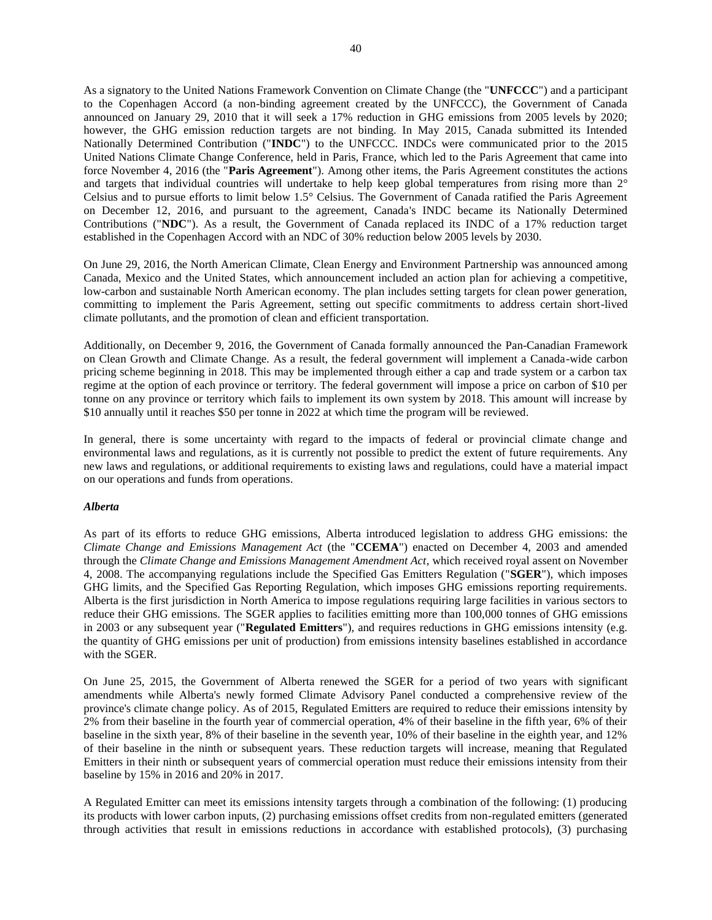As a signatory to the United Nations Framework Convention on Climate Change (the "**UNFCCC**") and a participant to the Copenhagen Accord (a non-binding agreement created by the UNFCCC), the Government of Canada announced on January 29, 2010 that it will seek a 17% reduction in GHG emissions from 2005 levels by 2020; however, the GHG emission reduction targets are not binding. In May 2015, Canada submitted its Intended Nationally Determined Contribution ("**INDC**") to the UNFCCC. INDCs were communicated prior to the 2015 United Nations Climate Change Conference, held in Paris, France, which led to the Paris Agreement that came into force November 4, 2016 (the "**Paris Agreement**"). Among other items, the Paris Agreement constitutes the actions and targets that individual countries will undertake to help keep global temperatures from rising more than 2° Celsius and to pursue efforts to limit below 1.5° Celsius. The Government of Canada ratified the Paris Agreement on December 12, 2016, and pursuant to the agreement, Canada's INDC became its Nationally Determined Contributions ("**NDC**"). As a result, the Government of Canada replaced its INDC of a 17% reduction target established in the Copenhagen Accord with an NDC of 30% reduction below 2005 levels by 2030.

On June 29, 2016, the North American Climate, Clean Energy and Environment Partnership was announced among Canada, Mexico and the United States, which announcement included an action plan for achieving a competitive, low-carbon and sustainable North American economy. The plan includes setting targets for clean power generation, committing to implement the Paris Agreement, setting out specific commitments to address certain short-lived climate pollutants, and the promotion of clean and efficient transportation.

Additionally, on December 9, 2016, the Government of Canada formally announced the Pan-Canadian Framework on Clean Growth and Climate Change. As a result, the federal government will implement a Canada-wide carbon pricing scheme beginning in 2018. This may be implemented through either a cap and trade system or a carbon tax regime at the option of each province or territory. The federal government will impose a price on carbon of \$10 per tonne on any province or territory which fails to implement its own system by 2018. This amount will increase by \$10 annually until it reaches \$50 per tonne in 2022 at which time the program will be reviewed.

In general, there is some uncertainty with regard to the impacts of federal or provincial climate change and environmental laws and regulations, as it is currently not possible to predict the extent of future requirements. Any new laws and regulations, or additional requirements to existing laws and regulations, could have a material impact on our operations and funds from operations.

## *Alberta*

As part of its efforts to reduce GHG emissions, Alberta introduced legislation to address GHG emissions: the *Climate Change and Emissions Management Act* (the "**CCEMA**") enacted on December 4, 2003 and amended through the *Climate Change and Emissions Management Amendment Act*, which received royal assent on November 4, 2008. The accompanying regulations include the Specified Gas Emitters Regulation ("**SGER**"), which imposes GHG limits, and the Specified Gas Reporting Regulation, which imposes GHG emissions reporting requirements. Alberta is the first jurisdiction in North America to impose regulations requiring large facilities in various sectors to reduce their GHG emissions. The SGER applies to facilities emitting more than 100,000 tonnes of GHG emissions in 2003 or any subsequent year ("**Regulated Emitters**"), and requires reductions in GHG emissions intensity (e.g. the quantity of GHG emissions per unit of production) from emissions intensity baselines established in accordance with the SGER.

On June 25, 2015, the Government of Alberta renewed the SGER for a period of two years with significant amendments while Alberta's newly formed Climate Advisory Panel conducted a comprehensive review of the province's climate change policy. As of 2015, Regulated Emitters are required to reduce their emissions intensity by 2% from their baseline in the fourth year of commercial operation, 4% of their baseline in the fifth year, 6% of their baseline in the sixth year, 8% of their baseline in the seventh year, 10% of their baseline in the eighth year, and 12% of their baseline in the ninth or subsequent years. These reduction targets will increase, meaning that Regulated Emitters in their ninth or subsequent years of commercial operation must reduce their emissions intensity from their baseline by 15% in 2016 and 20% in 2017.

A Regulated Emitter can meet its emissions intensity targets through a combination of the following: (1) producing its products with lower carbon inputs, (2) purchasing emissions offset credits from non-regulated emitters (generated through activities that result in emissions reductions in accordance with established protocols), (3) purchasing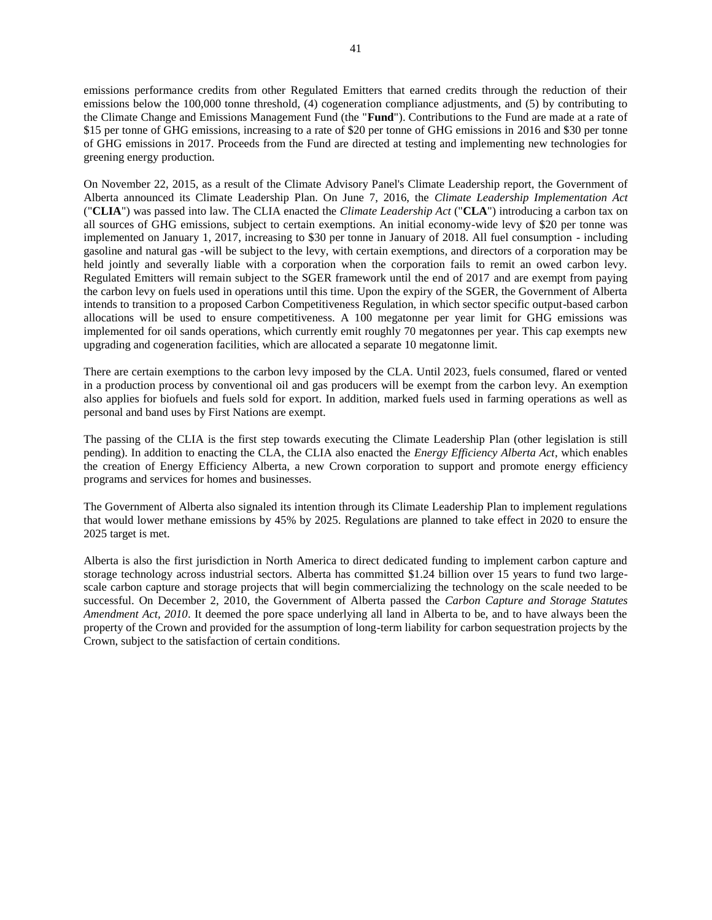emissions performance credits from other Regulated Emitters that earned credits through the reduction of their emissions below the 100,000 tonne threshold, (4) cogeneration compliance adjustments, and (5) by contributing to the Climate Change and Emissions Management Fund (the "**Fund**"). Contributions to the Fund are made at a rate of \$15 per tonne of GHG emissions, increasing to a rate of \$20 per tonne of GHG emissions in 2016 and \$30 per tonne of GHG emissions in 2017. Proceeds from the Fund are directed at testing and implementing new technologies for greening energy production.

On November 22, 2015, as a result of the Climate Advisory Panel's Climate Leadership report, the Government of Alberta announced its Climate Leadership Plan. On June 7, 2016, the *Climate Leadership Implementation Act* ("**CLIA**") was passed into law. The CLIA enacted the *Climate Leadership Act* ("**CLA**") introducing a carbon tax on all sources of GHG emissions, subject to certain exemptions. An initial economy-wide levy of \$20 per tonne was implemented on January 1, 2017, increasing to \$30 per tonne in January of 2018. All fuel consumption - including gasoline and natural gas -will be subject to the levy, with certain exemptions, and directors of a corporation may be held jointly and severally liable with a corporation when the corporation fails to remit an owed carbon levy. Regulated Emitters will remain subject to the SGER framework until the end of 2017 and are exempt from paying the carbon levy on fuels used in operations until this time. Upon the expiry of the SGER, the Government of Alberta intends to transition to a proposed Carbon Competitiveness Regulation, in which sector specific output-based carbon allocations will be used to ensure competitiveness. A 100 megatonne per year limit for GHG emissions was implemented for oil sands operations, which currently emit roughly 70 megatonnes per year. This cap exempts new upgrading and cogeneration facilities, which are allocated a separate 10 megatonne limit.

There are certain exemptions to the carbon levy imposed by the CLA. Until 2023, fuels consumed, flared or vented in a production process by conventional oil and gas producers will be exempt from the carbon levy. An exemption also applies for biofuels and fuels sold for export. In addition, marked fuels used in farming operations as well as personal and band uses by First Nations are exempt.

The passing of the CLIA is the first step towards executing the Climate Leadership Plan (other legislation is still pending). In addition to enacting the CLA, the CLIA also enacted the *Energy Efficiency Alberta Act*, which enables the creation of Energy Efficiency Alberta, a new Crown corporation to support and promote energy efficiency programs and services for homes and businesses.

The Government of Alberta also signaled its intention through its Climate Leadership Plan to implement regulations that would lower methane emissions by 45% by 2025. Regulations are planned to take effect in 2020 to ensure the 2025 target is met.

Alberta is also the first jurisdiction in North America to direct dedicated funding to implement carbon capture and storage technology across industrial sectors. Alberta has committed \$1.24 billion over 15 years to fund two largescale carbon capture and storage projects that will begin commercializing the technology on the scale needed to be successful. On December 2, 2010, the Government of Alberta passed the *Carbon Capture and Storage Statutes Amendment Act, 2010*. It deemed the pore space underlying all land in Alberta to be, and to have always been the property of the Crown and provided for the assumption of long-term liability for carbon sequestration projects by the Crown, subject to the satisfaction of certain conditions.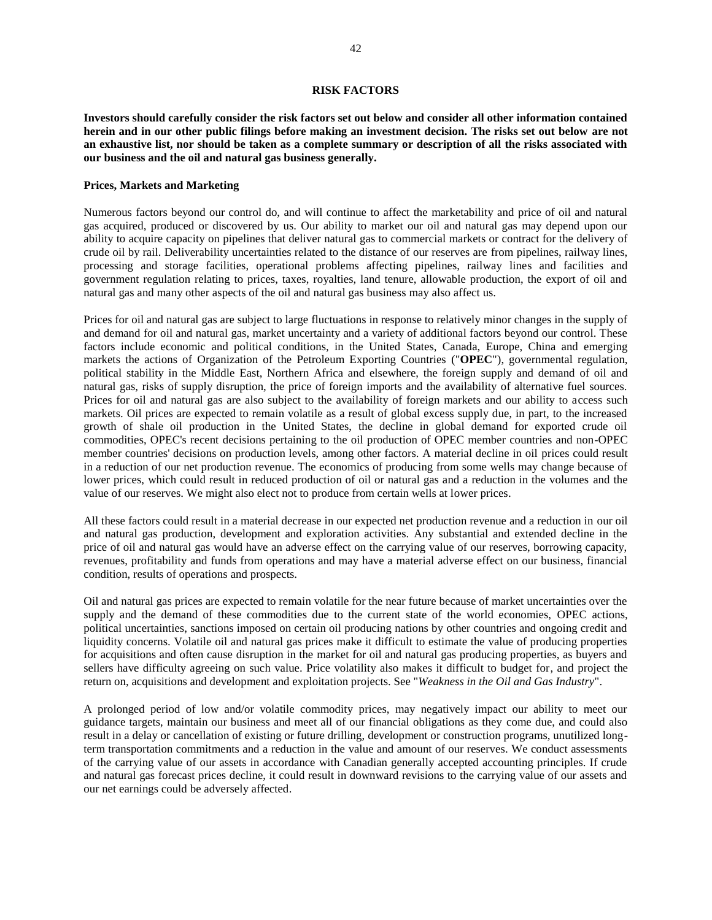## **RISK FACTORS**

<span id="page-42-0"></span>**Investors should carefully consider the risk factors set out below and consider all other information contained herein and in our other public filings before making an investment decision. The risks set out below are not an exhaustive list, nor should be taken as a complete summary or description of all the risks associated with our business and the oil and natural gas business generally.** 

## **Prices, Markets and Marketing**

Numerous factors beyond our control do, and will continue to affect the marketability and price of oil and natural gas acquired, produced or discovered by us. Our ability to market our oil and natural gas may depend upon our ability to acquire capacity on pipelines that deliver natural gas to commercial markets or contract for the delivery of crude oil by rail. Deliverability uncertainties related to the distance of our reserves are from pipelines, railway lines, processing and storage facilities, operational problems affecting pipelines, railway lines and facilities and government regulation relating to prices, taxes, royalties, land tenure, allowable production, the export of oil and natural gas and many other aspects of the oil and natural gas business may also affect us.

Prices for oil and natural gas are subject to large fluctuations in response to relatively minor changes in the supply of and demand for oil and natural gas, market uncertainty and a variety of additional factors beyond our control. These factors include economic and political conditions, in the United States, Canada, Europe, China and emerging markets the actions of Organization of the Petroleum Exporting Countries ("**OPEC**"), governmental regulation, political stability in the Middle East, Northern Africa and elsewhere, the foreign supply and demand of oil and natural gas, risks of supply disruption, the price of foreign imports and the availability of alternative fuel sources. Prices for oil and natural gas are also subject to the availability of foreign markets and our ability to access such markets. Oil prices are expected to remain volatile as a result of global excess supply due, in part, to the increased growth of shale oil production in the United States, the decline in global demand for exported crude oil commodities, OPEC's recent decisions pertaining to the oil production of OPEC member countries and non-OPEC member countries' decisions on production levels, among other factors. A material decline in oil prices could result in a reduction of our net production revenue. The economics of producing from some wells may change because of lower prices, which could result in reduced production of oil or natural gas and a reduction in the volumes and the value of our reserves. We might also elect not to produce from certain wells at lower prices.

All these factors could result in a material decrease in our expected net production revenue and a reduction in our oil and natural gas production, development and exploration activities. Any substantial and extended decline in the price of oil and natural gas would have an adverse effect on the carrying value of our reserves, borrowing capacity, revenues, profitability and funds from operations and may have a material adverse effect on our business, financial condition, results of operations and prospects.

Oil and natural gas prices are expected to remain volatile for the near future because of market uncertainties over the supply and the demand of these commodities due to the current state of the world economies, OPEC actions, political uncertainties, sanctions imposed on certain oil producing nations by other countries and ongoing credit and liquidity concerns. Volatile oil and natural gas prices make it difficult to estimate the value of producing properties for acquisitions and often cause disruption in the market for oil and natural gas producing properties, as buyers and sellers have difficulty agreeing on such value. Price volatility also makes it difficult to budget for, and project the return on, acquisitions and development and exploitation projects. See "*Weakness in the Oil and Gas Industry*".

A prolonged period of low and/or volatile commodity prices, may negatively impact our ability to meet our guidance targets, maintain our business and meet all of our financial obligations as they come due, and could also result in a delay or cancellation of existing or future drilling, development or construction programs, unutilized longterm transportation commitments and a reduction in the value and amount of our reserves. We conduct assessments of the carrying value of our assets in accordance with Canadian generally accepted accounting principles. If crude and natural gas forecast prices decline, it could result in downward revisions to the carrying value of our assets and our net earnings could be adversely affected.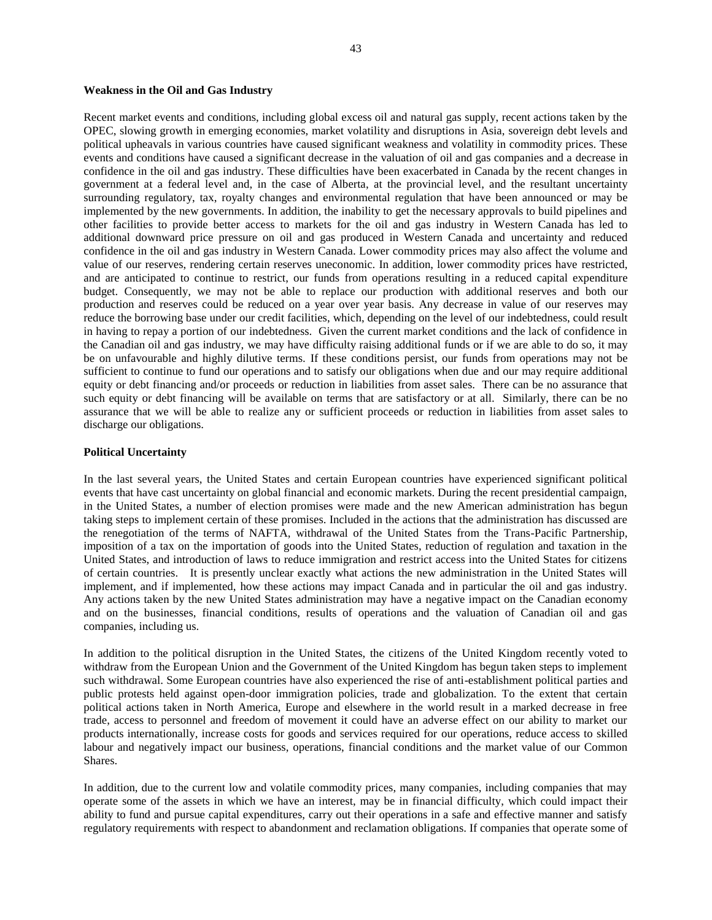#### **Weakness in the Oil and Gas Industry**

Recent market events and conditions, including global excess oil and natural gas supply, recent actions taken by the OPEC, slowing growth in emerging economies, market volatility and disruptions in Asia, sovereign debt levels and political upheavals in various countries have caused significant weakness and volatility in commodity prices. These events and conditions have caused a significant decrease in the valuation of oil and gas companies and a decrease in confidence in the oil and gas industry. These difficulties have been exacerbated in Canada by the recent changes in government at a federal level and, in the case of Alberta, at the provincial level, and the resultant uncertainty surrounding regulatory, tax, royalty changes and environmental regulation that have been announced or may be implemented by the new governments. In addition, the inability to get the necessary approvals to build pipelines and other facilities to provide better access to markets for the oil and gas industry in Western Canada has led to additional downward price pressure on oil and gas produced in Western Canada and uncertainty and reduced confidence in the oil and gas industry in Western Canada. Lower commodity prices may also affect the volume and value of our reserves, rendering certain reserves uneconomic. In addition, lower commodity prices have restricted, and are anticipated to continue to restrict, our funds from operations resulting in a reduced capital expenditure budget. Consequently, we may not be able to replace our production with additional reserves and both our production and reserves could be reduced on a year over year basis. Any decrease in value of our reserves may reduce the borrowing base under our credit facilities, which, depending on the level of our indebtedness, could result in having to repay a portion of our indebtedness. Given the current market conditions and the lack of confidence in the Canadian oil and gas industry, we may have difficulty raising additional funds or if we are able to do so, it may be on unfavourable and highly dilutive terms. If these conditions persist, our funds from operations may not be sufficient to continue to fund our operations and to satisfy our obligations when due and our may require additional equity or debt financing and/or proceeds or reduction in liabilities from asset sales. There can be no assurance that such equity or debt financing will be available on terms that are satisfactory or at all. Similarly, there can be no assurance that we will be able to realize any or sufficient proceeds or reduction in liabilities from asset sales to discharge our obligations.

## **Political Uncertainty**

In the last several years, the United States and certain European countries have experienced significant political events that have cast uncertainty on global financial and economic markets. During the recent presidential campaign, in the United States, a number of election promises were made and the new American administration has begun taking steps to implement certain of these promises. Included in the actions that the administration has discussed are the renegotiation of the terms of NAFTA, withdrawal of the United States from the Trans-Pacific Partnership, imposition of a tax on the importation of goods into the United States, reduction of regulation and taxation in the United States, and introduction of laws to reduce immigration and restrict access into the United States for citizens of certain countries. It is presently unclear exactly what actions the new administration in the United States will implement, and if implemented, how these actions may impact Canada and in particular the oil and gas industry. Any actions taken by the new United States administration may have a negative impact on the Canadian economy and on the businesses, financial conditions, results of operations and the valuation of Canadian oil and gas companies, including us.

In addition to the political disruption in the United States, the citizens of the United Kingdom recently voted to withdraw from the European Union and the Government of the United Kingdom has begun taken steps to implement such withdrawal. Some European countries have also experienced the rise of anti-establishment political parties and public protests held against open-door immigration policies, trade and globalization. To the extent that certain political actions taken in North America, Europe and elsewhere in the world result in a marked decrease in free trade, access to personnel and freedom of movement it could have an adverse effect on our ability to market our products internationally, increase costs for goods and services required for our operations, reduce access to skilled labour and negatively impact our business, operations, financial conditions and the market value of our Common Shares.

In addition, due to the current low and volatile commodity prices, many companies, including companies that may operate some of the assets in which we have an interest, may be in financial difficulty, which could impact their ability to fund and pursue capital expenditures, carry out their operations in a safe and effective manner and satisfy regulatory requirements with respect to abandonment and reclamation obligations. If companies that operate some of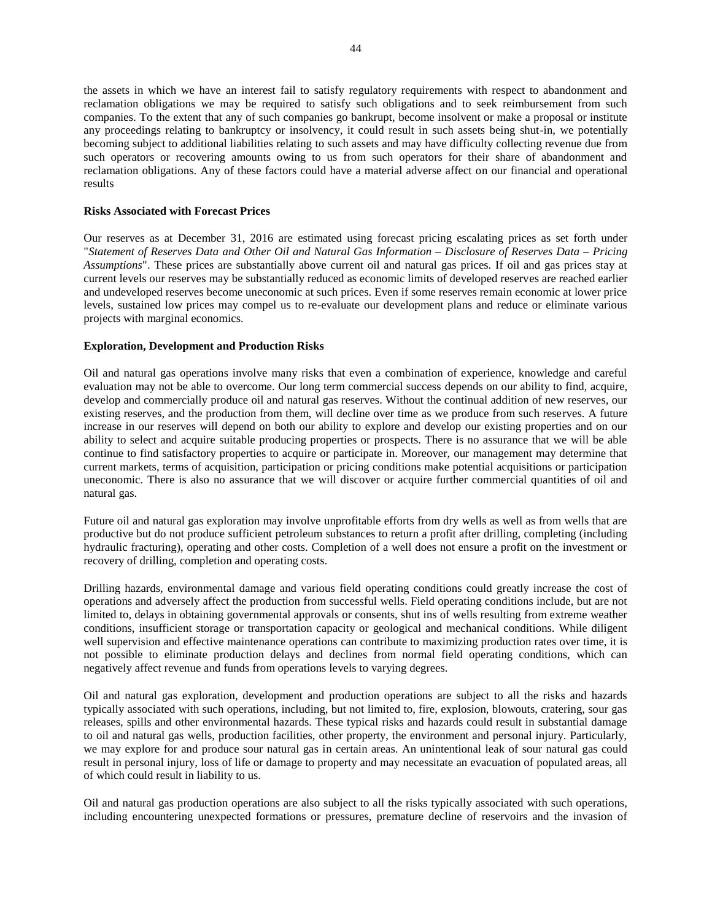the assets in which we have an interest fail to satisfy regulatory requirements with respect to abandonment and reclamation obligations we may be required to satisfy such obligations and to seek reimbursement from such companies. To the extent that any of such companies go bankrupt, become insolvent or make a proposal or institute any proceedings relating to bankruptcy or insolvency, it could result in such assets being shut-in, we potentially becoming subject to additional liabilities relating to such assets and may have difficulty collecting revenue due from such operators or recovering amounts owing to us from such operators for their share of abandonment and reclamation obligations. Any of these factors could have a material adverse affect on our financial and operational results

## **Risks Associated with Forecast Prices**

Our reserves as at December 31, 2016 are estimated using forecast pricing escalating prices as set forth under "*Statement of Reserves Data and Other Oil and Natural Gas Information – Disclosure of Reserves Data – Pricing Assumptions*". These prices are substantially above current oil and natural gas prices. If oil and gas prices stay at current levels our reserves may be substantially reduced as economic limits of developed reserves are reached earlier and undeveloped reserves become uneconomic at such prices. Even if some reserves remain economic at lower price levels, sustained low prices may compel us to re-evaluate our development plans and reduce or eliminate various projects with marginal economics.

## **Exploration, Development and Production Risks**

Oil and natural gas operations involve many risks that even a combination of experience, knowledge and careful evaluation may not be able to overcome. Our long term commercial success depends on our ability to find, acquire, develop and commercially produce oil and natural gas reserves. Without the continual addition of new reserves, our existing reserves, and the production from them, will decline over time as we produce from such reserves. A future increase in our reserves will depend on both our ability to explore and develop our existing properties and on our ability to select and acquire suitable producing properties or prospects. There is no assurance that we will be able continue to find satisfactory properties to acquire or participate in. Moreover, our management may determine that current markets, terms of acquisition, participation or pricing conditions make potential acquisitions or participation uneconomic. There is also no assurance that we will discover or acquire further commercial quantities of oil and natural gas.

Future oil and natural gas exploration may involve unprofitable efforts from dry wells as well as from wells that are productive but do not produce sufficient petroleum substances to return a profit after drilling, completing (including hydraulic fracturing), operating and other costs. Completion of a well does not ensure a profit on the investment or recovery of drilling, completion and operating costs.

Drilling hazards, environmental damage and various field operating conditions could greatly increase the cost of operations and adversely affect the production from successful wells. Field operating conditions include, but are not limited to, delays in obtaining governmental approvals or consents, shut ins of wells resulting from extreme weather conditions, insufficient storage or transportation capacity or geological and mechanical conditions. While diligent well supervision and effective maintenance operations can contribute to maximizing production rates over time, it is not possible to eliminate production delays and declines from normal field operating conditions, which can negatively affect revenue and funds from operations levels to varying degrees.

Oil and natural gas exploration, development and production operations are subject to all the risks and hazards typically associated with such operations, including, but not limited to, fire, explosion, blowouts, cratering, sour gas releases, spills and other environmental hazards. These typical risks and hazards could result in substantial damage to oil and natural gas wells, production facilities, other property, the environment and personal injury. Particularly, we may explore for and produce sour natural gas in certain areas. An unintentional leak of sour natural gas could result in personal injury, loss of life or damage to property and may necessitate an evacuation of populated areas, all of which could result in liability to us.

Oil and natural gas production operations are also subject to all the risks typically associated with such operations, including encountering unexpected formations or pressures, premature decline of reservoirs and the invasion of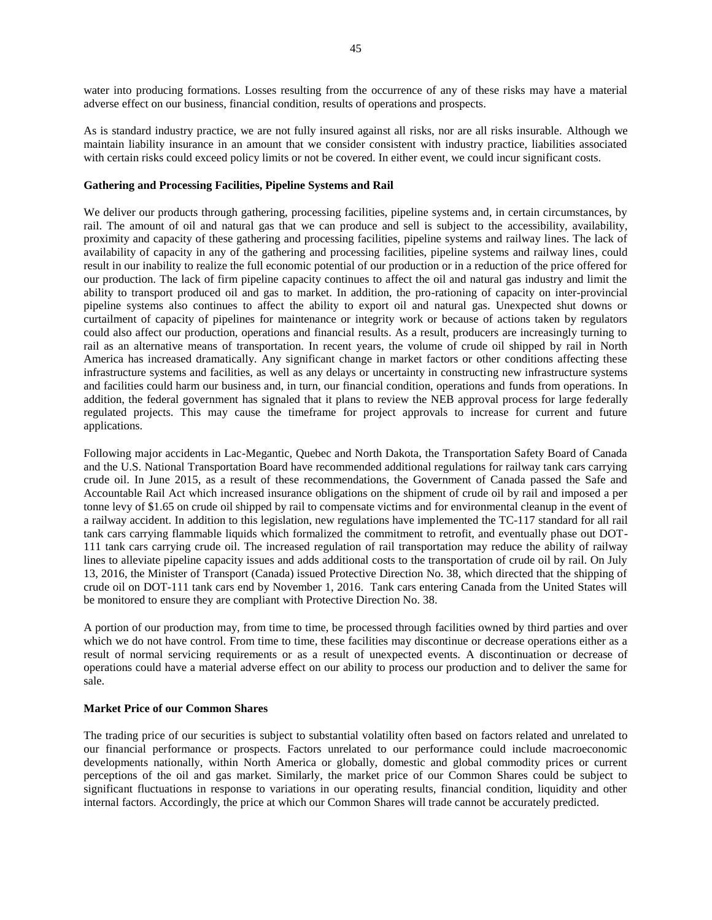water into producing formations. Losses resulting from the occurrence of any of these risks may have a material adverse effect on our business, financial condition, results of operations and prospects.

As is standard industry practice, we are not fully insured against all risks, nor are all risks insurable. Although we maintain liability insurance in an amount that we consider consistent with industry practice, liabilities associated with certain risks could exceed policy limits or not be covered. In either event, we could incur significant costs.

## **Gathering and Processing Facilities, Pipeline Systems and Rail**

We deliver our products through gathering, processing facilities, pipeline systems and, in certain circumstances, by rail. The amount of oil and natural gas that we can produce and sell is subject to the accessibility, availability, proximity and capacity of these gathering and processing facilities, pipeline systems and railway lines. The lack of availability of capacity in any of the gathering and processing facilities, pipeline systems and railway lines, could result in our inability to realize the full economic potential of our production or in a reduction of the price offered for our production. The lack of firm pipeline capacity continues to affect the oil and natural gas industry and limit the ability to transport produced oil and gas to market. In addition, the pro-rationing of capacity on inter-provincial pipeline systems also continues to affect the ability to export oil and natural gas. Unexpected shut downs or curtailment of capacity of pipelines for maintenance or integrity work or because of actions taken by regulators could also affect our production, operations and financial results. As a result, producers are increasingly turning to rail as an alternative means of transportation. In recent years, the volume of crude oil shipped by rail in North America has increased dramatically. Any significant change in market factors or other conditions affecting these infrastructure systems and facilities, as well as any delays or uncertainty in constructing new infrastructure systems and facilities could harm our business and, in turn, our financial condition, operations and funds from operations. In addition, the federal government has signaled that it plans to review the NEB approval process for large federally regulated projects. This may cause the timeframe for project approvals to increase for current and future applications.

Following major accidents in Lac-Megantic, Quebec and North Dakota, the Transportation Safety Board of Canada and the U.S. National Transportation Board have recommended additional regulations for railway tank cars carrying crude oil. In June 2015, as a result of these recommendations, the Government of Canada passed the Safe and Accountable Rail Act which increased insurance obligations on the shipment of crude oil by rail and imposed a per tonne levy of \$1.65 on crude oil shipped by rail to compensate victims and for environmental cleanup in the event of a railway accident. In addition to this legislation, new regulations have implemented the TC-117 standard for all rail tank cars carrying flammable liquids which formalized the commitment to retrofit, and eventually phase out DOT-111 tank cars carrying crude oil. The increased regulation of rail transportation may reduce the ability of railway lines to alleviate pipeline capacity issues and adds additional costs to the transportation of crude oil by rail. On July 13, 2016, the Minister of Transport (Canada) issued Protective Direction No. 38, which directed that the shipping of crude oil on DOT-111 tank cars end by November 1, 2016. Tank cars entering Canada from the United States will be monitored to ensure they are compliant with Protective Direction No. 38.

A portion of our production may, from time to time, be processed through facilities owned by third parties and over which we do not have control. From time to time, these facilities may discontinue or decrease operations either as a result of normal servicing requirements or as a result of unexpected events. A discontinuation or decrease of operations could have a material adverse effect on our ability to process our production and to deliver the same for sale.

## **Market Price of our Common Shares**

The trading price of our securities is subject to substantial volatility often based on factors related and unrelated to our financial performance or prospects. Factors unrelated to our performance could include macroeconomic developments nationally, within North America or globally, domestic and global commodity prices or current perceptions of the oil and gas market. Similarly, the market price of our Common Shares could be subject to significant fluctuations in response to variations in our operating results, financial condition, liquidity and other internal factors. Accordingly, the price at which our Common Shares will trade cannot be accurately predicted.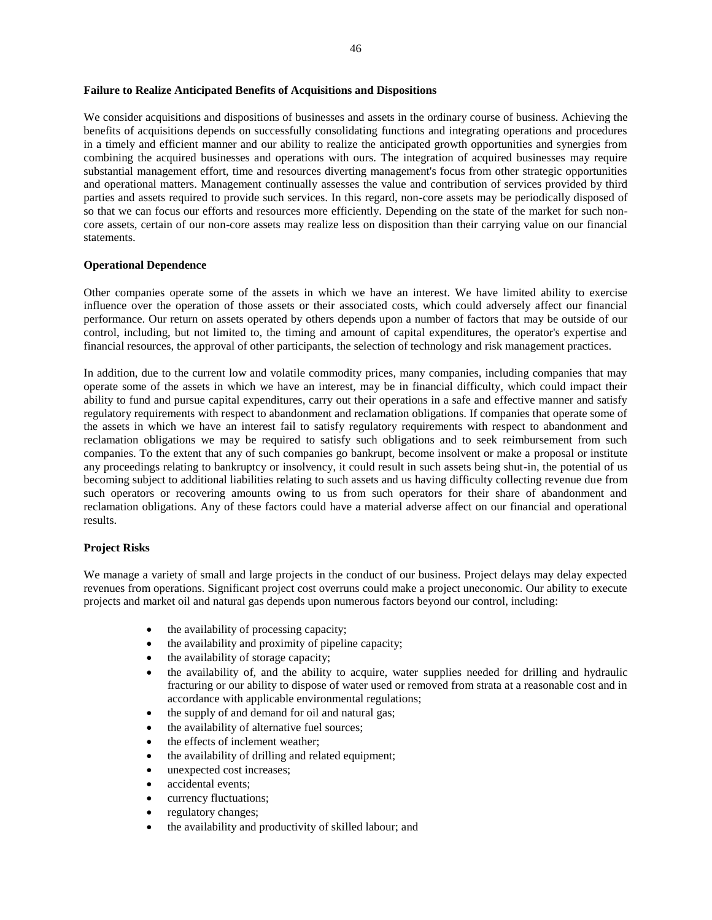## **Failure to Realize Anticipated Benefits of Acquisitions and Dispositions**

We consider acquisitions and dispositions of businesses and assets in the ordinary course of business. Achieving the benefits of acquisitions depends on successfully consolidating functions and integrating operations and procedures in a timely and efficient manner and our ability to realize the anticipated growth opportunities and synergies from combining the acquired businesses and operations with ours. The integration of acquired businesses may require substantial management effort, time and resources diverting management's focus from other strategic opportunities and operational matters. Management continually assesses the value and contribution of services provided by third parties and assets required to provide such services. In this regard, non-core assets may be periodically disposed of so that we can focus our efforts and resources more efficiently. Depending on the state of the market for such noncore assets, certain of our non-core assets may realize less on disposition than their carrying value on our financial statements.

## **Operational Dependence**

Other companies operate some of the assets in which we have an interest. We have limited ability to exercise influence over the operation of those assets or their associated costs, which could adversely affect our financial performance. Our return on assets operated by others depends upon a number of factors that may be outside of our control, including, but not limited to, the timing and amount of capital expenditures, the operator's expertise and financial resources, the approval of other participants, the selection of technology and risk management practices.

In addition, due to the current low and volatile commodity prices, many companies, including companies that may operate some of the assets in which we have an interest, may be in financial difficulty, which could impact their ability to fund and pursue capital expenditures, carry out their operations in a safe and effective manner and satisfy regulatory requirements with respect to abandonment and reclamation obligations. If companies that operate some of the assets in which we have an interest fail to satisfy regulatory requirements with respect to abandonment and reclamation obligations we may be required to satisfy such obligations and to seek reimbursement from such companies. To the extent that any of such companies go bankrupt, become insolvent or make a proposal or institute any proceedings relating to bankruptcy or insolvency, it could result in such assets being shut-in, the potential of us becoming subject to additional liabilities relating to such assets and us having difficulty collecting revenue due from such operators or recovering amounts owing to us from such operators for their share of abandonment and reclamation obligations. Any of these factors could have a material adverse affect on our financial and operational results.

## **Project Risks**

We manage a variety of small and large projects in the conduct of our business. Project delays may delay expected revenues from operations. Significant project cost overruns could make a project uneconomic. Our ability to execute projects and market oil and natural gas depends upon numerous factors beyond our control, including:

- the availability of processing capacity;
- the availability and proximity of pipeline capacity;
- the availability of storage capacity;
- the availability of, and the ability to acquire, water supplies needed for drilling and hydraulic fracturing or our ability to dispose of water used or removed from strata at a reasonable cost and in accordance with applicable environmental regulations;
- the supply of and demand for oil and natural gas;
- the availability of alternative fuel sources;
- the effects of inclement weather;
- the availability of drilling and related equipment;
- unexpected cost increases;
- accidental events:
- currency fluctuations;
- regulatory changes;
- the availability and productivity of skilled labour; and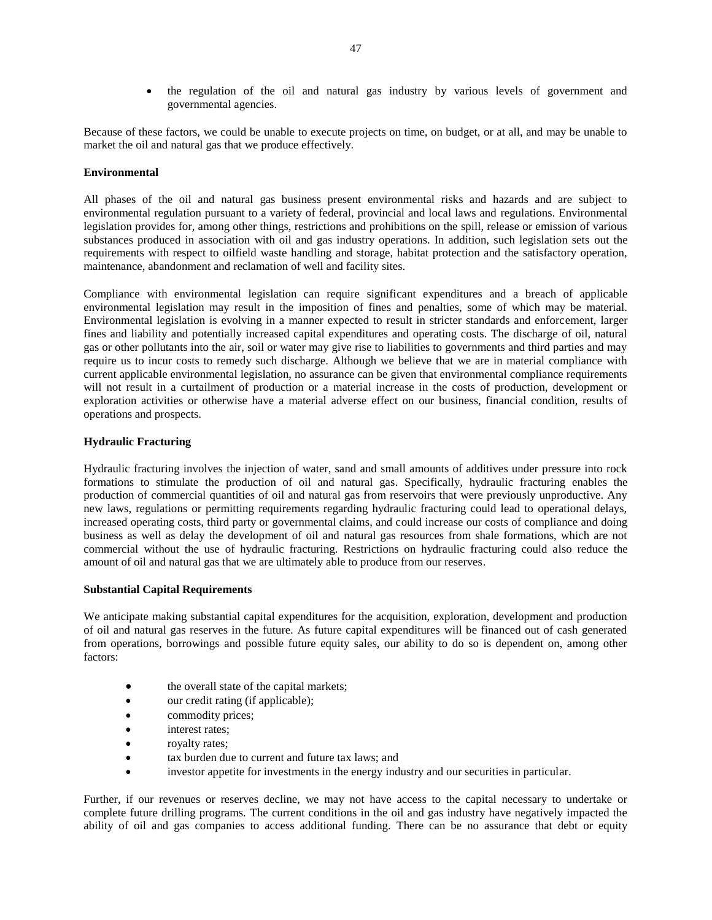• the regulation of the oil and natural gas industry by various levels of government and governmental agencies.

Because of these factors, we could be unable to execute projects on time, on budget, or at all, and may be unable to market the oil and natural gas that we produce effectively.

## **Environmental**

All phases of the oil and natural gas business present environmental risks and hazards and are subject to environmental regulation pursuant to a variety of federal, provincial and local laws and regulations. Environmental legislation provides for, among other things, restrictions and prohibitions on the spill, release or emission of various substances produced in association with oil and gas industry operations. In addition, such legislation sets out the requirements with respect to oilfield waste handling and storage, habitat protection and the satisfactory operation, maintenance, abandonment and reclamation of well and facility sites.

Compliance with environmental legislation can require significant expenditures and a breach of applicable environmental legislation may result in the imposition of fines and penalties, some of which may be material. Environmental legislation is evolving in a manner expected to result in stricter standards and enforcement, larger fines and liability and potentially increased capital expenditures and operating costs. The discharge of oil, natural gas or other pollutants into the air, soil or water may give rise to liabilities to governments and third parties and may require us to incur costs to remedy such discharge. Although we believe that we are in material compliance with current applicable environmental legislation, no assurance can be given that environmental compliance requirements will not result in a curtailment of production or a material increase in the costs of production, development or exploration activities or otherwise have a material adverse effect on our business, financial condition, results of operations and prospects.

## **Hydraulic Fracturing**

Hydraulic fracturing involves the injection of water, sand and small amounts of additives under pressure into rock formations to stimulate the production of oil and natural gas. Specifically, hydraulic fracturing enables the production of commercial quantities of oil and natural gas from reservoirs that were previously unproductive. Any new laws, regulations or permitting requirements regarding hydraulic fracturing could lead to operational delays, increased operating costs, third party or governmental claims, and could increase our costs of compliance and doing business as well as delay the development of oil and natural gas resources from shale formations, which are not commercial without the use of hydraulic fracturing. Restrictions on hydraulic fracturing could also reduce the amount of oil and natural gas that we are ultimately able to produce from our reserves.

## **Substantial Capital Requirements**

We anticipate making substantial capital expenditures for the acquisition, exploration, development and production of oil and natural gas reserves in the future. As future capital expenditures will be financed out of cash generated from operations, borrowings and possible future equity sales, our ability to do so is dependent on, among other factors:

- the overall state of the capital markets;
- our credit rating (if applicable);
- commodity prices;
- interest rates;
- royalty rates;
- tax burden due to current and future tax laws; and
- investor appetite for investments in the energy industry and our securities in particular.

Further, if our revenues or reserves decline, we may not have access to the capital necessary to undertake or complete future drilling programs. The current conditions in the oil and gas industry have negatively impacted the ability of oil and gas companies to access additional funding. There can be no assurance that debt or equity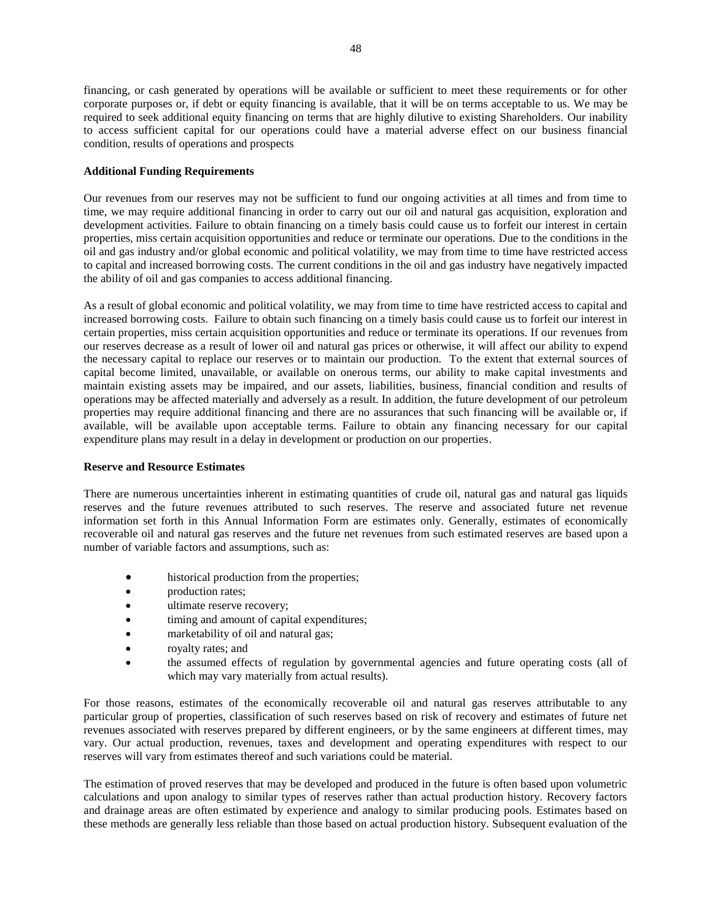48

financing, or cash generated by operations will be available or sufficient to meet these requirements or for other corporate purposes or, if debt or equity financing is available, that it will be on terms acceptable to us. We may be required to seek additional equity financing on terms that are highly dilutive to existing Shareholders. Our inability to access sufficient capital for our operations could have a material adverse effect on our business financial condition, results of operations and prospects

## **Additional Funding Requirements**

Our revenues from our reserves may not be sufficient to fund our ongoing activities at all times and from time to time, we may require additional financing in order to carry out our oil and natural gas acquisition, exploration and development activities. Failure to obtain financing on a timely basis could cause us to forfeit our interest in certain properties, miss certain acquisition opportunities and reduce or terminate our operations. Due to the conditions in the oil and gas industry and/or global economic and political volatility, we may from time to time have restricted access to capital and increased borrowing costs. The current conditions in the oil and gas industry have negatively impacted the ability of oil and gas companies to access additional financing.

As a result of global economic and political volatility, we may from time to time have restricted access to capital and increased borrowing costs. Failure to obtain such financing on a timely basis could cause us to forfeit our interest in certain properties, miss certain acquisition opportunities and reduce or terminate its operations. If our revenues from our reserves decrease as a result of lower oil and natural gas prices or otherwise, it will affect our ability to expend the necessary capital to replace our reserves or to maintain our production. To the extent that external sources of capital become limited, unavailable, or available on onerous terms, our ability to make capital investments and maintain existing assets may be impaired, and our assets, liabilities, business, financial condition and results of operations may be affected materially and adversely as a result. In addition, the future development of our petroleum properties may require additional financing and there are no assurances that such financing will be available or, if available, will be available upon acceptable terms. Failure to obtain any financing necessary for our capital expenditure plans may result in a delay in development or production on our properties.

## **Reserve and Resource Estimates**

There are numerous uncertainties inherent in estimating quantities of crude oil, natural gas and natural gas liquids reserves and the future revenues attributed to such reserves. The reserve and associated future net revenue information set forth in this Annual Information Form are estimates only. Generally, estimates of economically recoverable oil and natural gas reserves and the future net revenues from such estimated reserves are based upon a number of variable factors and assumptions, such as:

- historical production from the properties;
- **production rates:**
- ultimate reserve recovery;
- $\bullet$  timing and amount of capital expenditures;
- marketability of oil and natural gas;
- royalty rates; and
- the assumed effects of regulation by governmental agencies and future operating costs (all of which may vary materially from actual results).

For those reasons, estimates of the economically recoverable oil and natural gas reserves attributable to any particular group of properties, classification of such reserves based on risk of recovery and estimates of future net revenues associated with reserves prepared by different engineers, or by the same engineers at different times, may vary. Our actual production, revenues, taxes and development and operating expenditures with respect to our reserves will vary from estimates thereof and such variations could be material.

The estimation of proved reserves that may be developed and produced in the future is often based upon volumetric calculations and upon analogy to similar types of reserves rather than actual production history. Recovery factors and drainage areas are often estimated by experience and analogy to similar producing pools. Estimates based on these methods are generally less reliable than those based on actual production history. Subsequent evaluation of the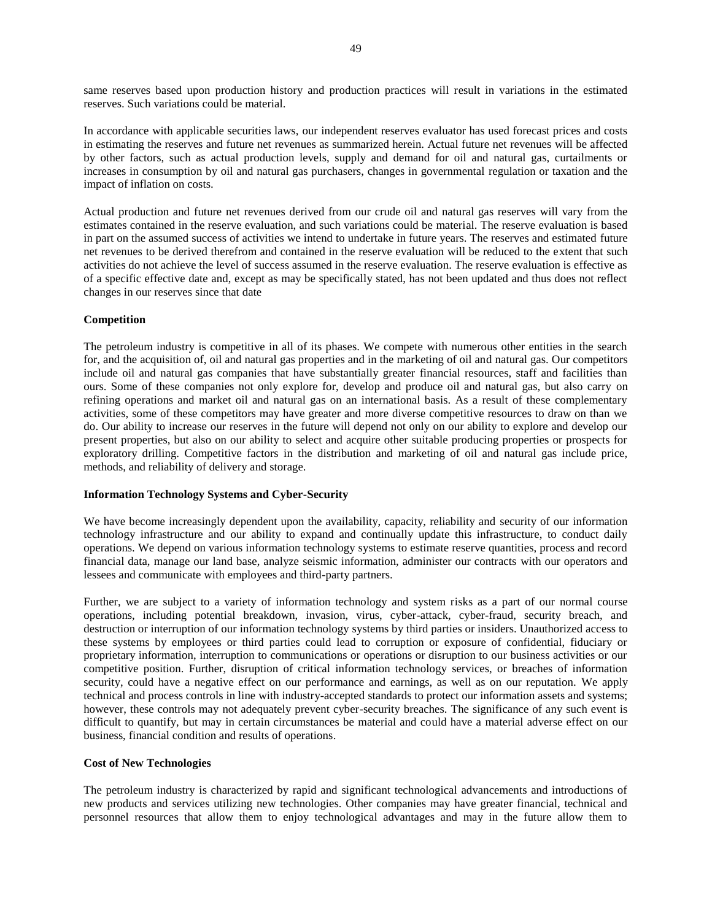same reserves based upon production history and production practices will result in variations in the estimated reserves. Such variations could be material.

In accordance with applicable securities laws, our independent reserves evaluator has used forecast prices and costs in estimating the reserves and future net revenues as summarized herein. Actual future net revenues will be affected by other factors, such as actual production levels, supply and demand for oil and natural gas, curtailments or increases in consumption by oil and natural gas purchasers, changes in governmental regulation or taxation and the impact of inflation on costs.

Actual production and future net revenues derived from our crude oil and natural gas reserves will vary from the estimates contained in the reserve evaluation, and such variations could be material. The reserve evaluation is based in part on the assumed success of activities we intend to undertake in future years. The reserves and estimated future net revenues to be derived therefrom and contained in the reserve evaluation will be reduced to the extent that such activities do not achieve the level of success assumed in the reserve evaluation. The reserve evaluation is effective as of a specific effective date and, except as may be specifically stated, has not been updated and thus does not reflect changes in our reserves since that date

## **Competition**

The petroleum industry is competitive in all of its phases. We compete with numerous other entities in the search for, and the acquisition of, oil and natural gas properties and in the marketing of oil and natural gas. Our competitors include oil and natural gas companies that have substantially greater financial resources, staff and facilities than ours. Some of these companies not only explore for, develop and produce oil and natural gas, but also carry on refining operations and market oil and natural gas on an international basis. As a result of these complementary activities, some of these competitors may have greater and more diverse competitive resources to draw on than we do. Our ability to increase our reserves in the future will depend not only on our ability to explore and develop our present properties, but also on our ability to select and acquire other suitable producing properties or prospects for exploratory drilling. Competitive factors in the distribution and marketing of oil and natural gas include price, methods, and reliability of delivery and storage.

## **Information Technology Systems and Cyber-Security**

We have become increasingly dependent upon the availability, capacity, reliability and security of our information technology infrastructure and our ability to expand and continually update this infrastructure, to conduct daily operations. We depend on various information technology systems to estimate reserve quantities, process and record financial data, manage our land base, analyze seismic information, administer our contracts with our operators and lessees and communicate with employees and third-party partners.

Further, we are subject to a variety of information technology and system risks as a part of our normal course operations, including potential breakdown, invasion, virus, cyber-attack, cyber-fraud, security breach, and destruction or interruption of our information technology systems by third parties or insiders. Unauthorized access to these systems by employees or third parties could lead to corruption or exposure of confidential, fiduciary or proprietary information, interruption to communications or operations or disruption to our business activities or our competitive position. Further, disruption of critical information technology services, or breaches of information security, could have a negative effect on our performance and earnings, as well as on our reputation. We apply technical and process controls in line with industry-accepted standards to protect our information assets and systems; however, these controls may not adequately prevent cyber-security breaches. The significance of any such event is difficult to quantify, but may in certain circumstances be material and could have a material adverse effect on our business, financial condition and results of operations.

## **Cost of New Technologies**

The petroleum industry is characterized by rapid and significant technological advancements and introductions of new products and services utilizing new technologies. Other companies may have greater financial, technical and personnel resources that allow them to enjoy technological advantages and may in the future allow them to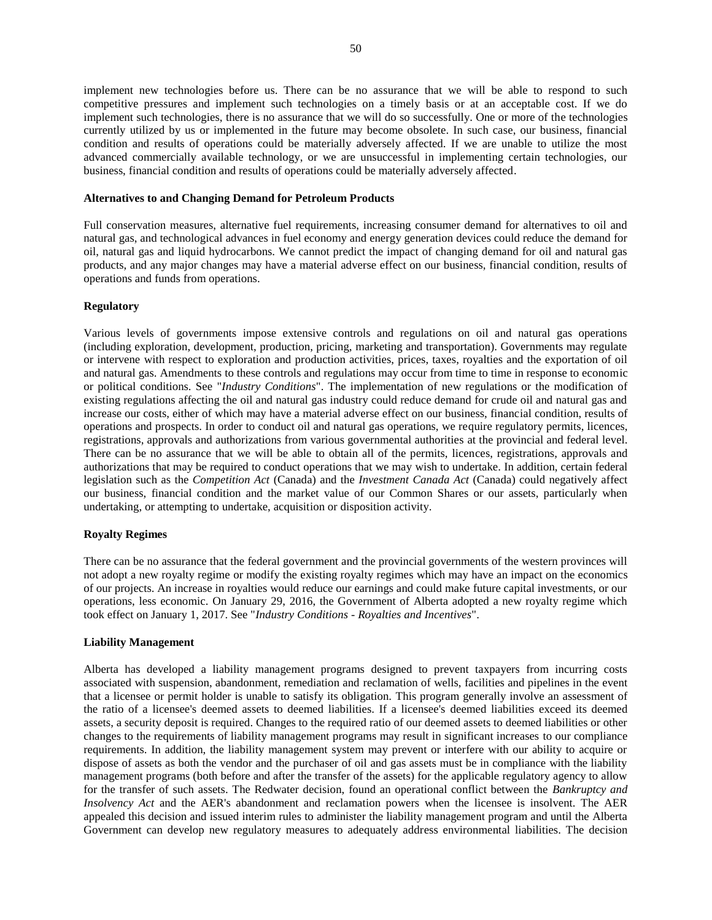implement new technologies before us. There can be no assurance that we will be able to respond to such competitive pressures and implement such technologies on a timely basis or at an acceptable cost. If we do implement such technologies, there is no assurance that we will do so successfully. One or more of the technologies currently utilized by us or implemented in the future may become obsolete. In such case, our business, financial condition and results of operations could be materially adversely affected. If we are unable to utilize the most advanced commercially available technology, or we are unsuccessful in implementing certain technologies, our business, financial condition and results of operations could be materially adversely affected.

### **Alternatives to and Changing Demand for Petroleum Products**

Full conservation measures, alternative fuel requirements, increasing consumer demand for alternatives to oil and natural gas, and technological advances in fuel economy and energy generation devices could reduce the demand for oil, natural gas and liquid hydrocarbons. We cannot predict the impact of changing demand for oil and natural gas products, and any major changes may have a material adverse effect on our business, financial condition, results of operations and funds from operations.

#### **Regulatory**

Various levels of governments impose extensive controls and regulations on oil and natural gas operations (including exploration, development, production, pricing, marketing and transportation). Governments may regulate or intervene with respect to exploration and production activities, prices, taxes, royalties and the exportation of oil and natural gas. Amendments to these controls and regulations may occur from time to time in response to economic or political conditions. See "*Industry Conditions*". The implementation of new regulations or the modification of existing regulations affecting the oil and natural gas industry could reduce demand for crude oil and natural gas and increase our costs, either of which may have a material adverse effect on our business, financial condition, results of operations and prospects. In order to conduct oil and natural gas operations, we require regulatory permits, licences, registrations, approvals and authorizations from various governmental authorities at the provincial and federal level. There can be no assurance that we will be able to obtain all of the permits, licences, registrations, approvals and authorizations that may be required to conduct operations that we may wish to undertake. In addition, certain federal legislation such as the *Competition Act* (Canada) and the *Investment Canada Act* (Canada) could negatively affect our business, financial condition and the market value of our Common Shares or our assets, particularly when undertaking, or attempting to undertake, acquisition or disposition activity.

## **Royalty Regimes**

There can be no assurance that the federal government and the provincial governments of the western provinces will not adopt a new royalty regime or modify the existing royalty regimes which may have an impact on the economics of our projects. An increase in royalties would reduce our earnings and could make future capital investments, or our operations, less economic. On January 29, 2016, the Government of Alberta adopted a new royalty regime which took effect on January 1, 2017. See "*Industry Conditions - Royalties and Incentives*".

#### **Liability Management**

Alberta has developed a liability management programs designed to prevent taxpayers from incurring costs associated with suspension, abandonment, remediation and reclamation of wells, facilities and pipelines in the event that a licensee or permit holder is unable to satisfy its obligation. This program generally involve an assessment of the ratio of a licensee's deemed assets to deemed liabilities. If a licensee's deemed liabilities exceed its deemed assets, a security deposit is required. Changes to the required ratio of our deemed assets to deemed liabilities or other changes to the requirements of liability management programs may result in significant increases to our compliance requirements. In addition, the liability management system may prevent or interfere with our ability to acquire or dispose of assets as both the vendor and the purchaser of oil and gas assets must be in compliance with the liability management programs (both before and after the transfer of the assets) for the applicable regulatory agency to allow for the transfer of such assets. The Redwater decision, found an operational conflict between the *Bankruptcy and Insolvency Act* and the AER's abandonment and reclamation powers when the licensee is insolvent. The AER appealed this decision and issued interim rules to administer the liability management program and until the Alberta Government can develop new regulatory measures to adequately address environmental liabilities. The decision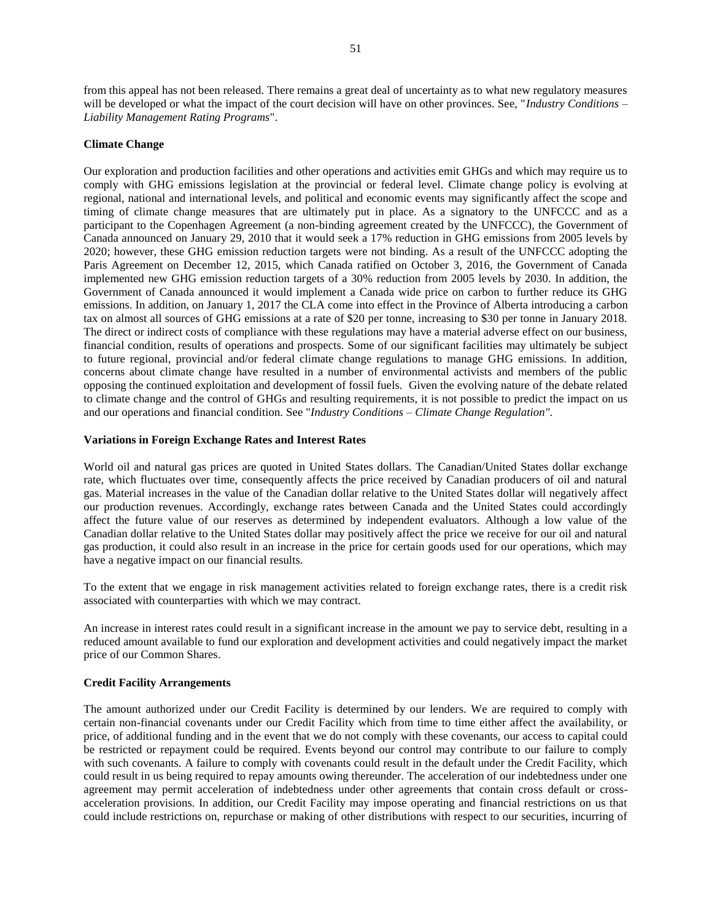from this appeal has not been released. There remains a great deal of uncertainty as to what new regulatory measures will be developed or what the impact of the court decision will have on other provinces. See, "*Industry Conditions* – *Liability Management Rating Programs*".

## **Climate Change**

Our exploration and production facilities and other operations and activities emit GHGs and which may require us to comply with GHG emissions legislation at the provincial or federal level. Climate change policy is evolving at regional, national and international levels, and political and economic events may significantly affect the scope and timing of climate change measures that are ultimately put in place. As a signatory to the UNFCCC and as a participant to the Copenhagen Agreement (a non-binding agreement created by the UNFCCC), the Government of Canada announced on January 29, 2010 that it would seek a 17% reduction in GHG emissions from 2005 levels by 2020; however, these GHG emission reduction targets were not binding. As a result of the UNFCCC adopting the Paris Agreement on December 12, 2015, which Canada ratified on October 3, 2016, the Government of Canada implemented new GHG emission reduction targets of a 30% reduction from 2005 levels by 2030. In addition, the Government of Canada announced it would implement a Canada wide price on carbon to further reduce its GHG emissions. In addition, on January 1, 2017 the CLA come into effect in the Province of Alberta introducing a carbon tax on almost all sources of GHG emissions at a rate of \$20 per tonne, increasing to \$30 per tonne in January 2018. The direct or indirect costs of compliance with these regulations may have a material adverse effect on our business, financial condition, results of operations and prospects. Some of our significant facilities may ultimately be subject to future regional, provincial and/or federal climate change regulations to manage GHG emissions. In addition, concerns about climate change have resulted in a number of environmental activists and members of the public opposing the continued exploitation and development of fossil fuels. Given the evolving nature of the debate related to climate change and the control of GHGs and resulting requirements, it is not possible to predict the impact on us and our operations and financial condition. See "*Industry Conditions – Climate Change Regulation".*

### **Variations in Foreign Exchange Rates and Interest Rates**

World oil and natural gas prices are quoted in United States dollars. The Canadian/United States dollar exchange rate, which fluctuates over time, consequently affects the price received by Canadian producers of oil and natural gas. Material increases in the value of the Canadian dollar relative to the United States dollar will negatively affect our production revenues. Accordingly, exchange rates between Canada and the United States could accordingly affect the future value of our reserves as determined by independent evaluators. Although a low value of the Canadian dollar relative to the United States dollar may positively affect the price we receive for our oil and natural gas production, it could also result in an increase in the price for certain goods used for our operations, which may have a negative impact on our financial results.

To the extent that we engage in risk management activities related to foreign exchange rates, there is a credit risk associated with counterparties with which we may contract.

An increase in interest rates could result in a significant increase in the amount we pay to service debt, resulting in a reduced amount available to fund our exploration and development activities and could negatively impact the market price of our Common Shares.

### **Credit Facility Arrangements**

The amount authorized under our Credit Facility is determined by our lenders. We are required to comply with certain non-financial covenants under our Credit Facility which from time to time either affect the availability, or price, of additional funding and in the event that we do not comply with these covenants, our access to capital could be restricted or repayment could be required. Events beyond our control may contribute to our failure to comply with such covenants. A failure to comply with covenants could result in the default under the Credit Facility, which could result in us being required to repay amounts owing thereunder. The acceleration of our indebtedness under one agreement may permit acceleration of indebtedness under other agreements that contain cross default or crossacceleration provisions. In addition, our Credit Facility may impose operating and financial restrictions on us that could include restrictions on, repurchase or making of other distributions with respect to our securities, incurring of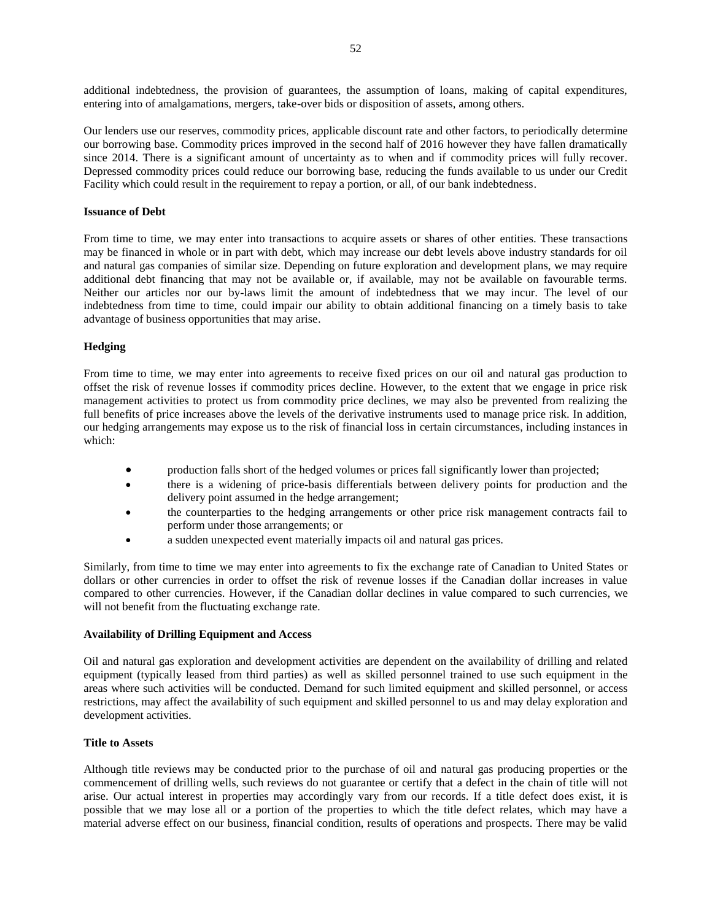additional indebtedness, the provision of guarantees, the assumption of loans, making of capital expenditures, entering into of amalgamations, mergers, take-over bids or disposition of assets, among others.

Our lenders use our reserves, commodity prices, applicable discount rate and other factors, to periodically determine our borrowing base. Commodity prices improved in the second half of 2016 however they have fallen dramatically since 2014. There is a significant amount of uncertainty as to when and if commodity prices will fully recover. Depressed commodity prices could reduce our borrowing base, reducing the funds available to us under our Credit Facility which could result in the requirement to repay a portion, or all, of our bank indebtedness.

### **Issuance of Debt**

From time to time, we may enter into transactions to acquire assets or shares of other entities. These transactions may be financed in whole or in part with debt, which may increase our debt levels above industry standards for oil and natural gas companies of similar size. Depending on future exploration and development plans, we may require additional debt financing that may not be available or, if available, may not be available on favourable terms. Neither our articles nor our by-laws limit the amount of indebtedness that we may incur. The level of our indebtedness from time to time, could impair our ability to obtain additional financing on a timely basis to take advantage of business opportunities that may arise.

#### **Hedging**

From time to time, we may enter into agreements to receive fixed prices on our oil and natural gas production to offset the risk of revenue losses if commodity prices decline. However, to the extent that we engage in price risk management activities to protect us from commodity price declines, we may also be prevented from realizing the full benefits of price increases above the levels of the derivative instruments used to manage price risk. In addition, our hedging arrangements may expose us to the risk of financial loss in certain circumstances, including instances in which:

- production falls short of the hedged volumes or prices fall significantly lower than projected;
- there is a widening of price-basis differentials between delivery points for production and the delivery point assumed in the hedge arrangement;
- the counterparties to the hedging arrangements or other price risk management contracts fail to perform under those arrangements; or
- a sudden unexpected event materially impacts oil and natural gas prices.

Similarly, from time to time we may enter into agreements to fix the exchange rate of Canadian to United States or dollars or other currencies in order to offset the risk of revenue losses if the Canadian dollar increases in value compared to other currencies. However, if the Canadian dollar declines in value compared to such currencies, we will not benefit from the fluctuating exchange rate.

## **Availability of Drilling Equipment and Access**

Oil and natural gas exploration and development activities are dependent on the availability of drilling and related equipment (typically leased from third parties) as well as skilled personnel trained to use such equipment in the areas where such activities will be conducted. Demand for such limited equipment and skilled personnel, or access restrictions, may affect the availability of such equipment and skilled personnel to us and may delay exploration and development activities.

## **Title to Assets**

Although title reviews may be conducted prior to the purchase of oil and natural gas producing properties or the commencement of drilling wells, such reviews do not guarantee or certify that a defect in the chain of title will not arise. Our actual interest in properties may accordingly vary from our records. If a title defect does exist, it is possible that we may lose all or a portion of the properties to which the title defect relates, which may have a material adverse effect on our business, financial condition, results of operations and prospects. There may be valid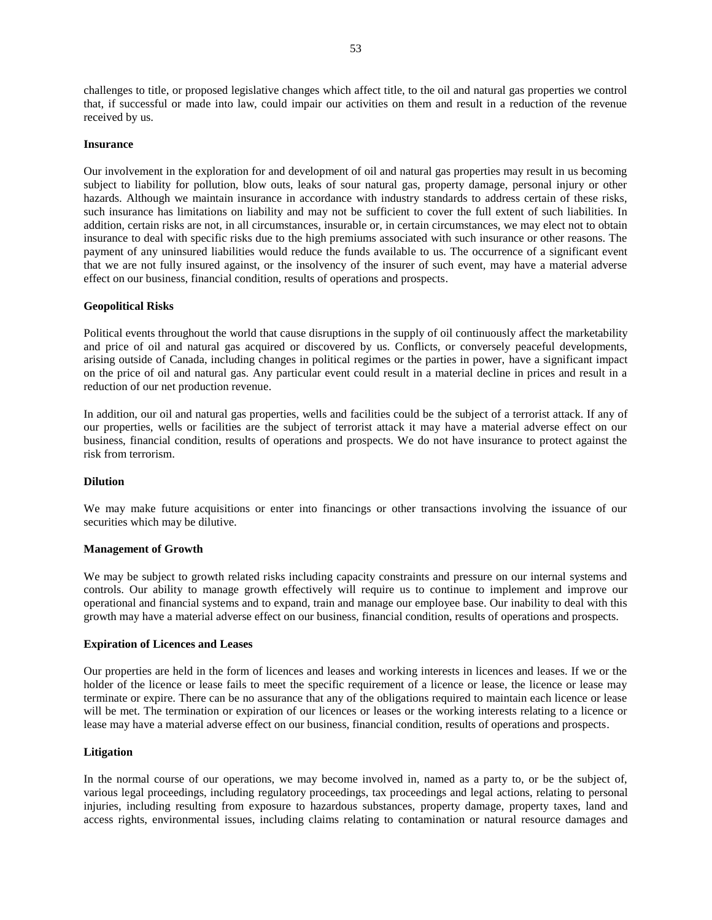challenges to title, or proposed legislative changes which affect title, to the oil and natural gas properties we control that, if successful or made into law, could impair our activities on them and result in a reduction of the revenue received by us.

#### **Insurance**

Our involvement in the exploration for and development of oil and natural gas properties may result in us becoming subject to liability for pollution, blow outs, leaks of sour natural gas, property damage, personal injury or other hazards. Although we maintain insurance in accordance with industry standards to address certain of these risks, such insurance has limitations on liability and may not be sufficient to cover the full extent of such liabilities. In addition, certain risks are not, in all circumstances, insurable or, in certain circumstances, we may elect not to obtain insurance to deal with specific risks due to the high premiums associated with such insurance or other reasons. The payment of any uninsured liabilities would reduce the funds available to us. The occurrence of a significant event that we are not fully insured against, or the insolvency of the insurer of such event, may have a material adverse effect on our business, financial condition, results of operations and prospects.

#### **Geopolitical Risks**

Political events throughout the world that cause disruptions in the supply of oil continuously affect the marketability and price of oil and natural gas acquired or discovered by us. Conflicts, or conversely peaceful developments, arising outside of Canada, including changes in political regimes or the parties in power, have a significant impact on the price of oil and natural gas. Any particular event could result in a material decline in prices and result in a reduction of our net production revenue.

In addition, our oil and natural gas properties, wells and facilities could be the subject of a terrorist attack. If any of our properties, wells or facilities are the subject of terrorist attack it may have a material adverse effect on our business, financial condition, results of operations and prospects. We do not have insurance to protect against the risk from terrorism.

#### **Dilution**

We may make future acquisitions or enter into financings or other transactions involving the issuance of our securities which may be dilutive.

#### **Management of Growth**

We may be subject to growth related risks including capacity constraints and pressure on our internal systems and controls. Our ability to manage growth effectively will require us to continue to implement and improve our operational and financial systems and to expand, train and manage our employee base. Our inability to deal with this growth may have a material adverse effect on our business, financial condition, results of operations and prospects.

### **Expiration of Licences and Leases**

Our properties are held in the form of licences and leases and working interests in licences and leases. If we or the holder of the licence or lease fails to meet the specific requirement of a licence or lease, the licence or lease may terminate or expire. There can be no assurance that any of the obligations required to maintain each licence or lease will be met. The termination or expiration of our licences or leases or the working interests relating to a licence or lease may have a material adverse effect on our business, financial condition, results of operations and prospects.

#### **Litigation**

In the normal course of our operations, we may become involved in, named as a party to, or be the subject of, various legal proceedings, including regulatory proceedings, tax proceedings and legal actions, relating to personal injuries, including resulting from exposure to hazardous substances, property damage, property taxes, land and access rights, environmental issues, including claims relating to contamination or natural resource damages and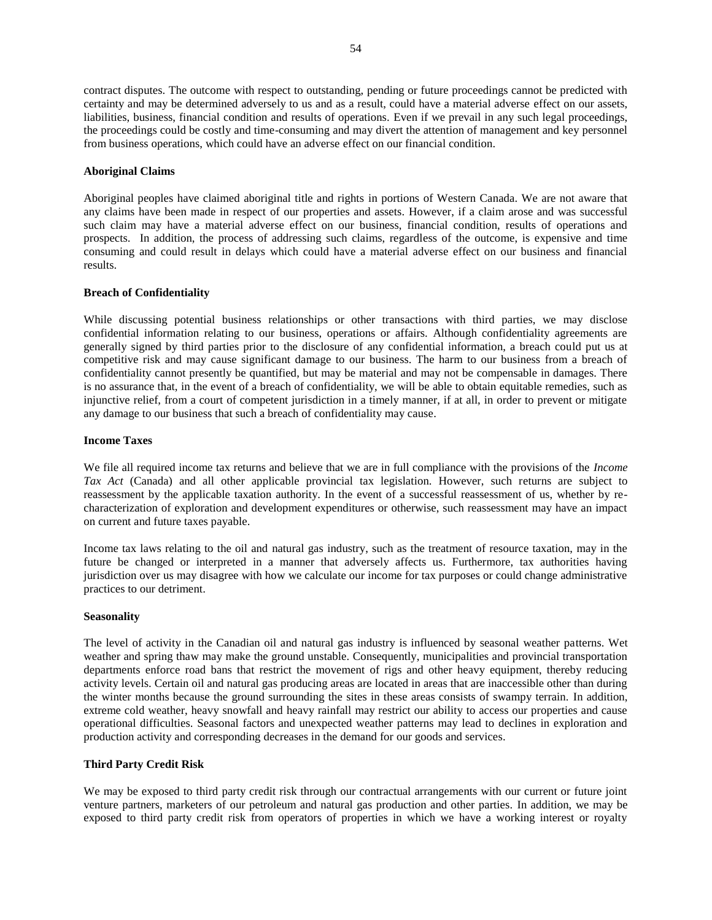contract disputes. The outcome with respect to outstanding, pending or future proceedings cannot be predicted with certainty and may be determined adversely to us and as a result, could have a material adverse effect on our assets, liabilities, business, financial condition and results of operations. Even if we prevail in any such legal proceedings, the proceedings could be costly and time-consuming and may divert the attention of management and key personnel from business operations, which could have an adverse effect on our financial condition.

### **Aboriginal Claims**

Aboriginal peoples have claimed aboriginal title and rights in portions of Western Canada. We are not aware that any claims have been made in respect of our properties and assets. However, if a claim arose and was successful such claim may have a material adverse effect on our business, financial condition, results of operations and prospects. In addition, the process of addressing such claims, regardless of the outcome, is expensive and time consuming and could result in delays which could have a material adverse effect on our business and financial results.

## **Breach of Confidentiality**

While discussing potential business relationships or other transactions with third parties, we may disclose confidential information relating to our business, operations or affairs. Although confidentiality agreements are generally signed by third parties prior to the disclosure of any confidential information, a breach could put us at competitive risk and may cause significant damage to our business. The harm to our business from a breach of confidentiality cannot presently be quantified, but may be material and may not be compensable in damages. There is no assurance that, in the event of a breach of confidentiality, we will be able to obtain equitable remedies, such as injunctive relief, from a court of competent jurisdiction in a timely manner, if at all, in order to prevent or mitigate any damage to our business that such a breach of confidentiality may cause.

### **Income Taxes**

We file all required income tax returns and believe that we are in full compliance with the provisions of the *Income Tax Act* (Canada) and all other applicable provincial tax legislation. However, such returns are subject to reassessment by the applicable taxation authority. In the event of a successful reassessment of us, whether by recharacterization of exploration and development expenditures or otherwise, such reassessment may have an impact on current and future taxes payable.

Income tax laws relating to the oil and natural gas industry, such as the treatment of resource taxation, may in the future be changed or interpreted in a manner that adversely affects us. Furthermore, tax authorities having jurisdiction over us may disagree with how we calculate our income for tax purposes or could change administrative practices to our detriment.

#### **Seasonality**

The level of activity in the Canadian oil and natural gas industry is influenced by seasonal weather patterns. Wet weather and spring thaw may make the ground unstable. Consequently, municipalities and provincial transportation departments enforce road bans that restrict the movement of rigs and other heavy equipment, thereby reducing activity levels. Certain oil and natural gas producing areas are located in areas that are inaccessible other than during the winter months because the ground surrounding the sites in these areas consists of swampy terrain. In addition, extreme cold weather, heavy snowfall and heavy rainfall may restrict our ability to access our properties and cause operational difficulties. Seasonal factors and unexpected weather patterns may lead to declines in exploration and production activity and corresponding decreases in the demand for our goods and services.

#### **Third Party Credit Risk**

We may be exposed to third party credit risk through our contractual arrangements with our current or future joint venture partners, marketers of our petroleum and natural gas production and other parties. In addition, we may be exposed to third party credit risk from operators of properties in which we have a working interest or royalty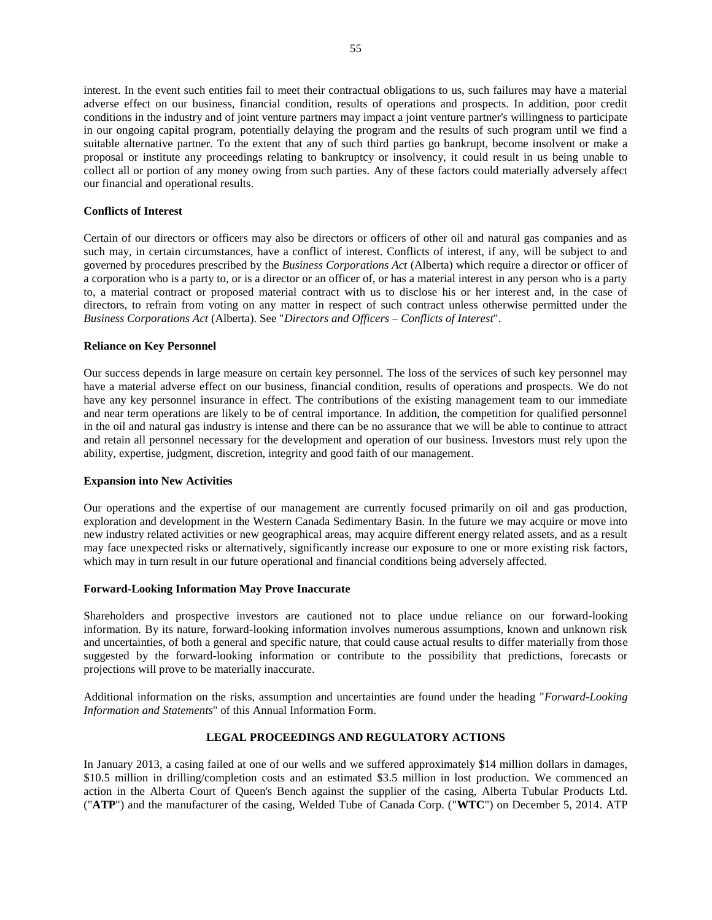interest. In the event such entities fail to meet their contractual obligations to us, such failures may have a material adverse effect on our business, financial condition, results of operations and prospects. In addition, poor credit conditions in the industry and of joint venture partners may impact a joint venture partner's willingness to participate in our ongoing capital program, potentially delaying the program and the results of such program until we find a suitable alternative partner. To the extent that any of such third parties go bankrupt, become insolvent or make a proposal or institute any proceedings relating to bankruptcy or insolvency, it could result in us being unable to collect all or portion of any money owing from such parties. Any of these factors could materially adversely affect our financial and operational results.

## **Conflicts of Interest**

Certain of our directors or officers may also be directors or officers of other oil and natural gas companies and as such may, in certain circumstances, have a conflict of interest. Conflicts of interest, if any, will be subject to and governed by procedures prescribed by the *Business Corporations Act* (Alberta) which require a director or officer of a corporation who is a party to, or is a director or an officer of, or has a material interest in any person who is a party to, a material contract or proposed material contract with us to disclose his or her interest and, in the case of directors, to refrain from voting on any matter in respect of such contract unless otherwise permitted under the *Business Corporations Act* (Alberta). See "*Directors and Officers – Conflicts of Interest*".

## **Reliance on Key Personnel**

Our success depends in large measure on certain key personnel. The loss of the services of such key personnel may have a material adverse effect on our business, financial condition, results of operations and prospects. We do not have any key personnel insurance in effect. The contributions of the existing management team to our immediate and near term operations are likely to be of central importance. In addition, the competition for qualified personnel in the oil and natural gas industry is intense and there can be no assurance that we will be able to continue to attract and retain all personnel necessary for the development and operation of our business. Investors must rely upon the ability, expertise, judgment, discretion, integrity and good faith of our management.

## **Expansion into New Activities**

Our operations and the expertise of our management are currently focused primarily on oil and gas production, exploration and development in the Western Canada Sedimentary Basin. In the future we may acquire or move into new industry related activities or new geographical areas, may acquire different energy related assets, and as a result may face unexpected risks or alternatively, significantly increase our exposure to one or more existing risk factors, which may in turn result in our future operational and financial conditions being adversely affected.

## **Forward-Looking Information May Prove Inaccurate**

Shareholders and prospective investors are cautioned not to place undue reliance on our forward-looking information. By its nature, forward-looking information involves numerous assumptions, known and unknown risk and uncertainties, of both a general and specific nature, that could cause actual results to differ materially from those suggested by the forward-looking information or contribute to the possibility that predictions, forecasts or projections will prove to be materially inaccurate.

Additional information on the risks, assumption and uncertainties are found under the heading "*Forward-Looking Information and Statements*" of this Annual Information Form.

## **LEGAL PROCEEDINGS AND REGULATORY ACTIONS**

<span id="page-55-0"></span>In January 2013, a casing failed at one of our wells and we suffered approximately \$14 million dollars in damages, \$10.5 million in drilling/completion costs and an estimated \$3.5 million in lost production. We commenced an action in the Alberta Court of Queen's Bench against the supplier of the casing, Alberta Tubular Products Ltd. ("**ATP**") and the manufacturer of the casing, Welded Tube of Canada Corp. ("**WTC**") on December 5, 2014. ATP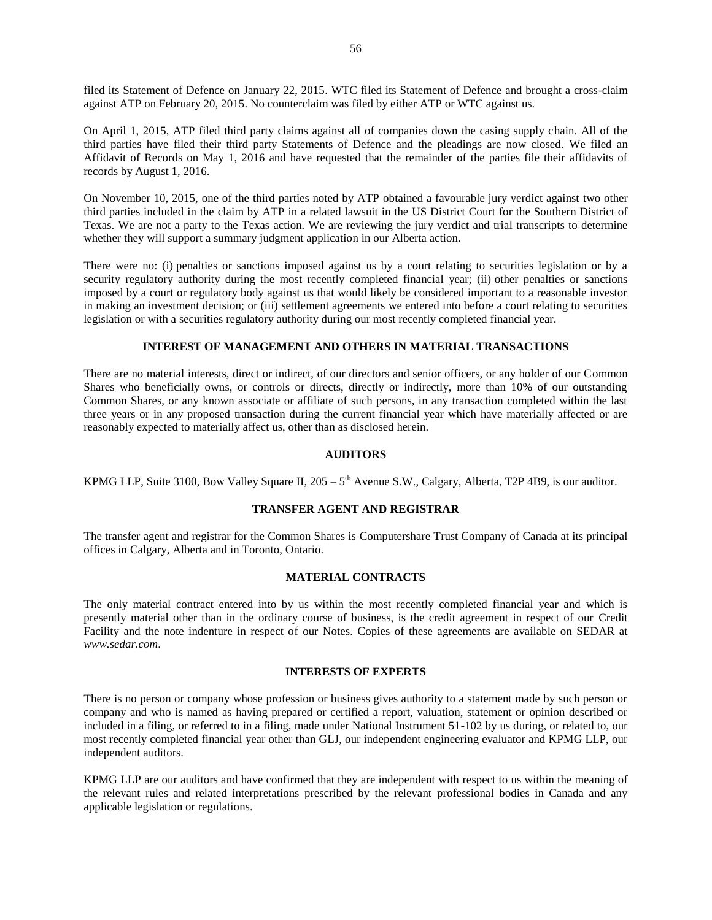filed its Statement of Defence on January 22, 2015. WTC filed its Statement of Defence and brought a cross-claim against ATP on February 20, 2015. No counterclaim was filed by either ATP or WTC against us.

On April 1, 2015, ATP filed third party claims against all of companies down the casing supply chain. All of the third parties have filed their third party Statements of Defence and the pleadings are now closed. We filed an Affidavit of Records on May 1, 2016 and have requested that the remainder of the parties file their affidavits of records by August 1, 2016.

On November 10, 2015, one of the third parties noted by ATP obtained a favourable jury verdict against two other third parties included in the claim by ATP in a related lawsuit in the US District Court for the Southern District of Texas. We are not a party to the Texas action. We are reviewing the jury verdict and trial transcripts to determine whether they will support a summary judgment application in our Alberta action.

There were no: (i) penalties or sanctions imposed against us by a court relating to securities legislation or by a security regulatory authority during the most recently completed financial year; (ii) other penalties or sanctions imposed by a court or regulatory body against us that would likely be considered important to a reasonable investor in making an investment decision; or (iii) settlement agreements we entered into before a court relating to securities legislation or with a securities regulatory authority during our most recently completed financial year.

## **INTEREST OF MANAGEMENT AND OTHERS IN MATERIAL TRANSACTIONS**

<span id="page-56-0"></span>There are no material interests, direct or indirect, of our directors and senior officers, or any holder of our Common Shares who beneficially owns, or controls or directs, directly or indirectly, more than 10% of our outstanding Common Shares, or any known associate or affiliate of such persons, in any transaction completed within the last three years or in any proposed transaction during the current financial year which have materially affected or are reasonably expected to materially affect us, other than as disclosed herein.

### **AUDITORS**

<span id="page-56-2"></span><span id="page-56-1"></span>KPMG LLP, Suite 3100, Bow Valley Square II,  $205 - 5<sup>th</sup>$  Avenue S.W., Calgary, Alberta, T2P 4B9, is our auditor.

#### **TRANSFER AGENT AND REGISTRAR**

The transfer agent and registrar for the Common Shares is Computershare Trust Company of Canada at its principal offices in Calgary, Alberta and in Toronto, Ontario.

### **MATERIAL CONTRACTS**

<span id="page-56-3"></span>The only material contract entered into by us within the most recently completed financial year and which is presently material other than in the ordinary course of business, is the credit agreement in respect of our Credit Facility and the note indenture in respect of our Notes. Copies of these agreements are available on SEDAR at *www.sedar.com*.

### **INTERESTS OF EXPERTS**

<span id="page-56-4"></span>There is no person or company whose profession or business gives authority to a statement made by such person or company and who is named as having prepared or certified a report, valuation, statement or opinion described or included in a filing, or referred to in a filing, made under National Instrument 51-102 by us during, or related to, our most recently completed financial year other than GLJ, our independent engineering evaluator and KPMG LLP, our independent auditors.

KPMG LLP are our auditors and have confirmed that they are independent with respect to us within the meaning of the relevant rules and related interpretations prescribed by the relevant professional bodies in Canada and any applicable legislation or regulations.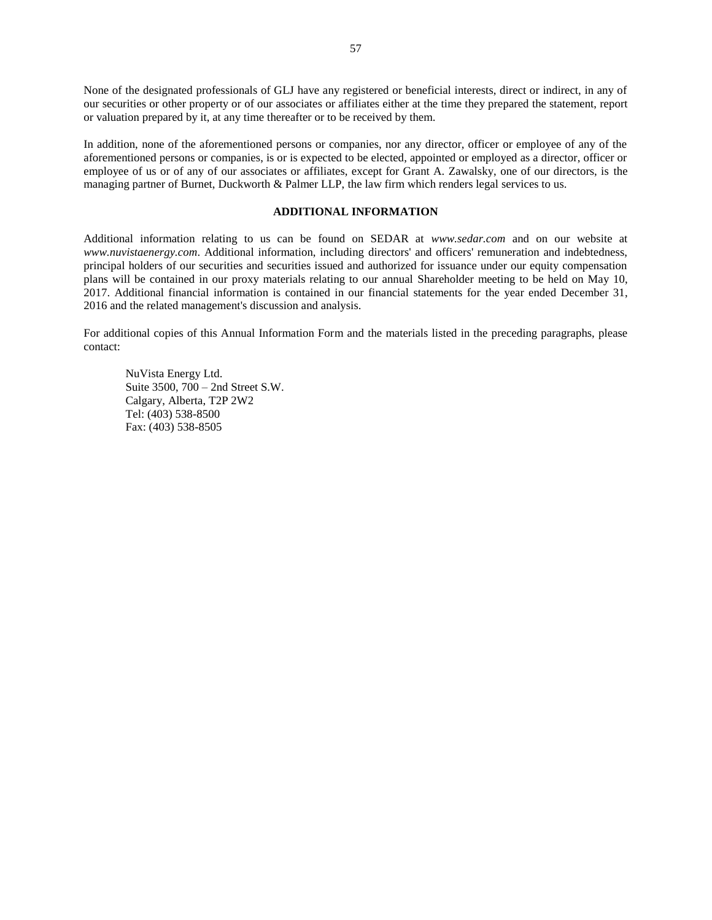None of the designated professionals of GLJ have any registered or beneficial interests, direct or indirect, in any of our securities or other property or of our associates or affiliates either at the time they prepared the statement, report or valuation prepared by it, at any time thereafter or to be received by them.

In addition, none of the aforementioned persons or companies, nor any director, officer or employee of any of the aforementioned persons or companies, is or is expected to be elected, appointed or employed as a director, officer or employee of us or of any of our associates or affiliates, except for Grant A. Zawalsky, one of our directors, is the managing partner of Burnet, Duckworth & Palmer LLP, the law firm which renders legal services to us.

## **ADDITIONAL INFORMATION**

<span id="page-57-0"></span>Additional information relating to us can be found on SEDAR at *www.sedar.com* and on our website at *www.nuvistaenergy.com*. Additional information, including directors' and officers' remuneration and indebtedness, principal holders of our securities and securities issued and authorized for issuance under our equity compensation plans will be contained in our proxy materials relating to our annual Shareholder meeting to be held on May 10, 2017. Additional financial information is contained in our financial statements for the year ended December 31, 2016 and the related management's discussion and analysis.

For additional copies of this Annual Information Form and the materials listed in the preceding paragraphs, please contact:

NuVista Energy Ltd. Suite 3500, 700 – 2nd Street S.W. Calgary, Alberta, T2P 2W2 Tel: (403) 538-8500 Fax: (403) 538-8505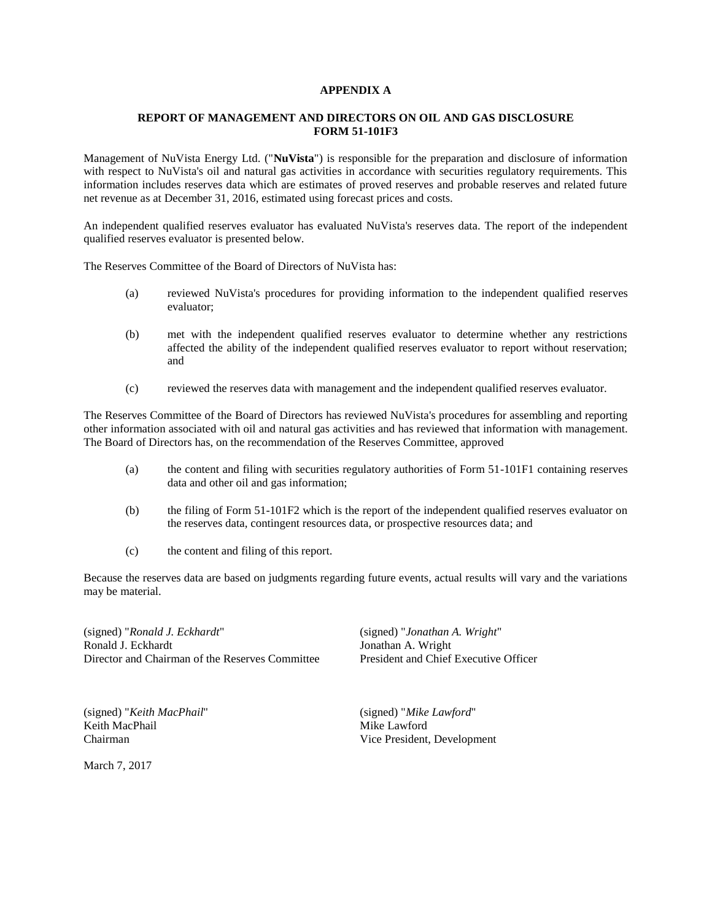## **APPENDIX A**

## **REPORT OF MANAGEMENT AND DIRECTORS ON OIL AND GAS DISCLOSURE FORM 51-101F3**

Management of NuVista Energy Ltd. ("**NuVista**") is responsible for the preparation and disclosure of information with respect to NuVista's oil and natural gas activities in accordance with securities regulatory requirements. This information includes reserves data which are estimates of proved reserves and probable reserves and related future net revenue as at December 31, 2016, estimated using forecast prices and costs.

An independent qualified reserves evaluator has evaluated NuVista's reserves data. The report of the independent qualified reserves evaluator is presented below.

The Reserves Committee of the Board of Directors of NuVista has:

- (a) reviewed NuVista's procedures for providing information to the independent qualified reserves evaluator;
- (b) met with the independent qualified reserves evaluator to determine whether any restrictions affected the ability of the independent qualified reserves evaluator to report without reservation; and
- (c) reviewed the reserves data with management and the independent qualified reserves evaluator.

The Reserves Committee of the Board of Directors has reviewed NuVista's procedures for assembling and reporting other information associated with oil and natural gas activities and has reviewed that information with management. The Board of Directors has, on the recommendation of the Reserves Committee, approved

- (a) the content and filing with securities regulatory authorities of Form 51-101F1 containing reserves data and other oil and gas information;
- (b) the filing of Form 51-101F2 which is the report of the independent qualified reserves evaluator on the reserves data, contingent resources data, or prospective resources data; and
- (c) the content and filing of this report.

Because the reserves data are based on judgments regarding future events, actual results will vary and the variations may be material.

(signed) "*Ronald J. Eckhardt*" (signed) "*Jonathan A. Wright*" Director and Chairman of the Reserves Committee President and Chief Executive Officer

(signed) "*Keith MacPhail*" (signed) "*Mike Lawford*" Keith MacPhail Mike Lawford

March 7, 2017

Jonathan A. Wright

Chairman Vice President, Development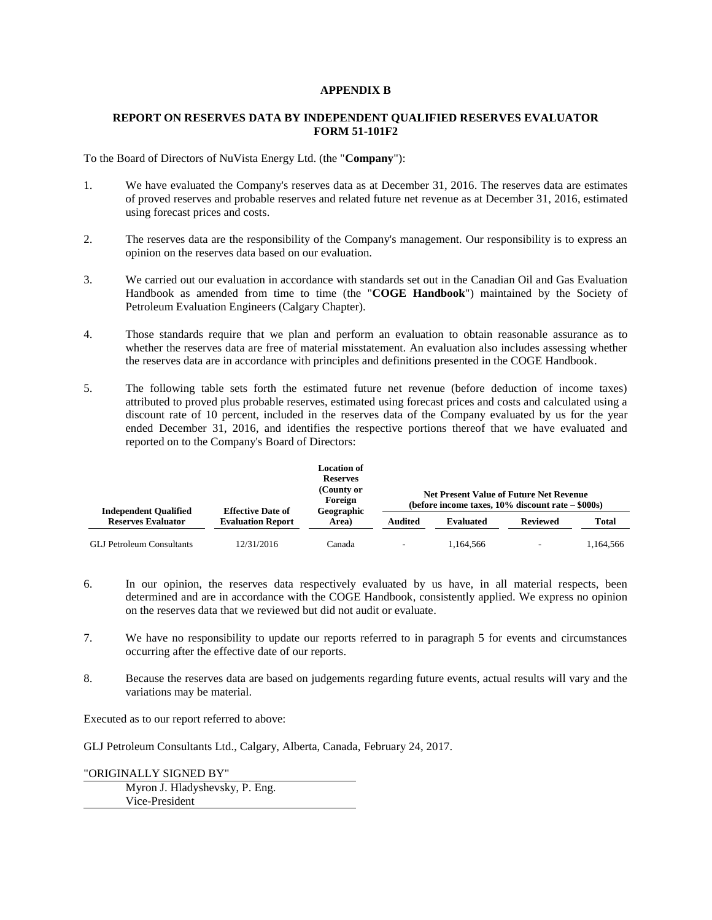## **APPENDIX B**

## **REPORT ON RESERVES DATA BY INDEPENDENT QUALIFIED RESERVES EVALUATOR FORM 51-101F2**

To the Board of Directors of NuVista Energy Ltd. (the "**Company**"):

- 1. We have evaluated the Company's reserves data as at December 31, 2016. The reserves data are estimates of proved reserves and probable reserves and related future net revenue as at December 31, 2016, estimated using forecast prices and costs.
- 2. The reserves data are the responsibility of the Company's management. Our responsibility is to express an opinion on the reserves data based on our evaluation.
- 3. We carried out our evaluation in accordance with standards set out in the Canadian Oil and Gas Evaluation Handbook as amended from time to time (the "**COGE Handbook**") maintained by the Society of Petroleum Evaluation Engineers (Calgary Chapter).
- 4. Those standards require that we plan and perform an evaluation to obtain reasonable assurance as to whether the reserves data are free of material misstatement. An evaluation also includes assessing whether the reserves data are in accordance with principles and definitions presented in the COGE Handbook.
- 5. The following table sets forth the estimated future net revenue (before deduction of income taxes) attributed to proved plus probable reserves, estimated using forecast prices and costs and calculated using a discount rate of 10 percent, included in the reserves data of the Company evaluated by us for the year ended December 31, 2016, and identifies the respective portions thereof that we have evaluated and reported on to the Company's Board of Directors:

|                                                           | <b>Effective Date of</b><br><b>Evaluation Report</b> | <b>Location of</b><br><b>Reserves</b><br>(County or<br>Foreign<br>Geographic<br>Area) | <b>Net Present Value of Future Net Revenue</b><br>(before income taxes, $10\%$ discount rate $-$ \$000s) |                  |                 |           |
|-----------------------------------------------------------|------------------------------------------------------|---------------------------------------------------------------------------------------|----------------------------------------------------------------------------------------------------------|------------------|-----------------|-----------|
| <b>Independent Qualified</b><br><b>Reserves Evaluator</b> |                                                      |                                                                                       | Audited                                                                                                  | <b>Evaluated</b> | <b>Reviewed</b> | Total     |
| <b>GLJ Petroleum Consultants</b>                          | 12/31/2016                                           | Canada                                                                                | $\overline{\phantom{a}}$                                                                                 | 1.164.566        | -               | 1.164.566 |

- 6. In our opinion, the reserves data respectively evaluated by us have, in all material respects, been determined and are in accordance with the COGE Handbook, consistently applied. We express no opinion on the reserves data that we reviewed but did not audit or evaluate.
- 7. We have no responsibility to update our reports referred to in paragraph 5 for events and circumstances occurring after the effective date of our reports.
- 8. Because the reserves data are based on judgements regarding future events, actual results will vary and the variations may be material.

Executed as to our report referred to above:

GLJ Petroleum Consultants Ltd., Calgary, Alberta, Canada, February 24, 2017.

"ORIGINALLY SIGNED BY" Myron J. Hladyshevsky, P. Eng. Vice-President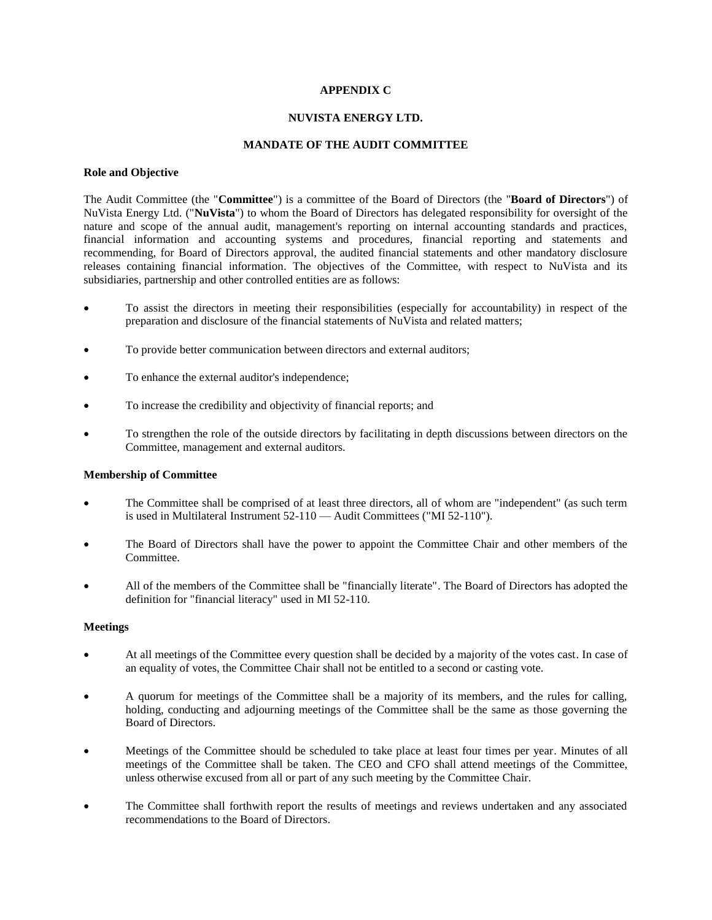## **APPENDIX C**

## **NUVISTA ENERGY LTD.**

## **MANDATE OF THE AUDIT COMMITTEE**

## **Role and Objective**

The Audit Committee (the "**Committee**") is a committee of the Board of Directors (the "**Board of Directors**") of NuVista Energy Ltd. ("**NuVista**") to whom the Board of Directors has delegated responsibility for oversight of the nature and scope of the annual audit, management's reporting on internal accounting standards and practices, financial information and accounting systems and procedures, financial reporting and statements and recommending, for Board of Directors approval, the audited financial statements and other mandatory disclosure releases containing financial information. The objectives of the Committee, with respect to NuVista and its subsidiaries, partnership and other controlled entities are as follows:

- To assist the directors in meeting their responsibilities (especially for accountability) in respect of the preparation and disclosure of the financial statements of NuVista and related matters;
- To provide better communication between directors and external auditors;
- To enhance the external auditor's independence;
- To increase the credibility and objectivity of financial reports; and
- To strengthen the role of the outside directors by facilitating in depth discussions between directors on the Committee, management and external auditors.

## **Membership of Committee**

- The Committee shall be comprised of at least three directors, all of whom are "independent" (as such term is used in Multilateral Instrument 52-110 — Audit Committees ("MI 52-110").
- The Board of Directors shall have the power to appoint the Committee Chair and other members of the Committee.
- All of the members of the Committee shall be "financially literate". The Board of Directors has adopted the definition for "financial literacy" used in MI 52-110.

## **Meetings**

- At all meetings of the Committee every question shall be decided by a majority of the votes cast. In case of an equality of votes, the Committee Chair shall not be entitled to a second or casting vote.
- A quorum for meetings of the Committee shall be a majority of its members, and the rules for calling, holding, conducting and adjourning meetings of the Committee shall be the same as those governing the Board of Directors.
- Meetings of the Committee should be scheduled to take place at least four times per year. Minutes of all meetings of the Committee shall be taken. The CEO and CFO shall attend meetings of the Committee, unless otherwise excused from all or part of any such meeting by the Committee Chair.
- The Committee shall forthwith report the results of meetings and reviews undertaken and any associated recommendations to the Board of Directors.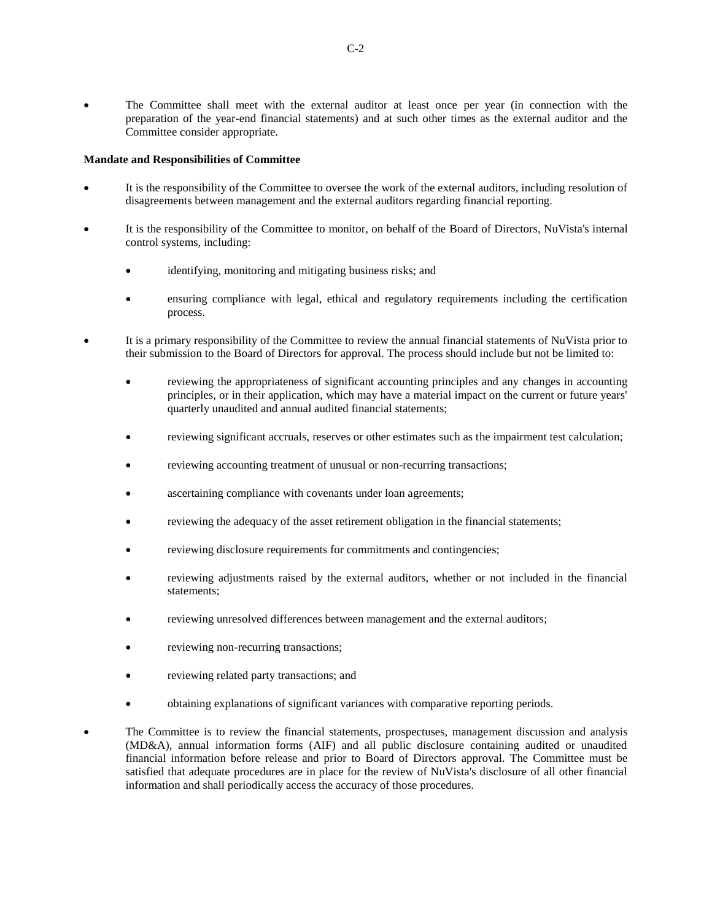The Committee shall meet with the external auditor at least once per year (in connection with the preparation of the year-end financial statements) and at such other times as the external auditor and the Committee consider appropriate.

## **Mandate and Responsibilities of Committee**

- It is the responsibility of the Committee to oversee the work of the external auditors, including resolution of disagreements between management and the external auditors regarding financial reporting.
- It is the responsibility of the Committee to monitor, on behalf of the Board of Directors, NuVista's internal control systems, including:
	- identifying, monitoring and mitigating business risks; and
	- ensuring compliance with legal, ethical and regulatory requirements including the certification process.
- It is a primary responsibility of the Committee to review the annual financial statements of NuVista prior to their submission to the Board of Directors for approval. The process should include but not be limited to:
	- reviewing the appropriateness of significant accounting principles and any changes in accounting principles, or in their application, which may have a material impact on the current or future years' quarterly unaudited and annual audited financial statements;
	- reviewing significant accruals, reserves or other estimates such as the impairment test calculation;
	- reviewing accounting treatment of unusual or non-recurring transactions;
	- ascertaining compliance with covenants under loan agreements;
	- reviewing the adequacy of the asset retirement obligation in the financial statements;
	- reviewing disclosure requirements for commitments and contingencies;
	- reviewing adjustments raised by the external auditors, whether or not included in the financial statements;
	- reviewing unresolved differences between management and the external auditors;
	- reviewing non-recurring transactions;
	- reviewing related party transactions; and
	- obtaining explanations of significant variances with comparative reporting periods.
- The Committee is to review the financial statements, prospectuses, management discussion and analysis (MD&A), annual information forms (AIF) and all public disclosure containing audited or unaudited financial information before release and prior to Board of Directors approval. The Committee must be satisfied that adequate procedures are in place for the review of NuVista's disclosure of all other financial information and shall periodically access the accuracy of those procedures.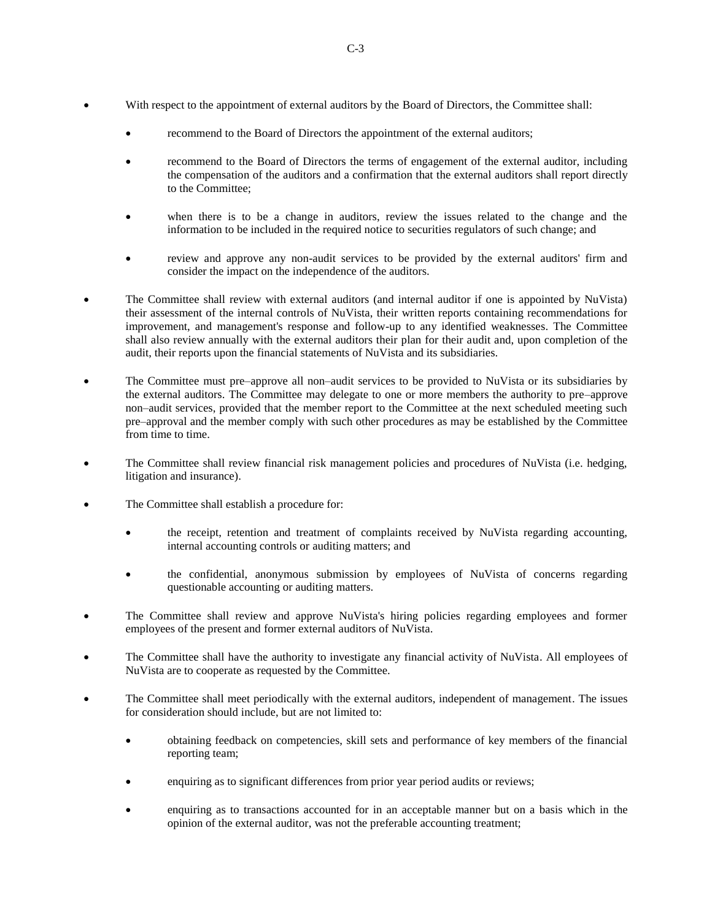- With respect to the appointment of external auditors by the Board of Directors, the Committee shall:
	- recommend to the Board of Directors the appointment of the external auditors;
	- recommend to the Board of Directors the terms of engagement of the external auditor, including the compensation of the auditors and a confirmation that the external auditors shall report directly to the Committee;
	- when there is to be a change in auditors, review the issues related to the change and the information to be included in the required notice to securities regulators of such change; and
	- review and approve any non-audit services to be provided by the external auditors' firm and consider the impact on the independence of the auditors.
- The Committee shall review with external auditors (and internal auditor if one is appointed by NuVista) their assessment of the internal controls of NuVista, their written reports containing recommendations for improvement, and management's response and follow-up to any identified weaknesses. The Committee shall also review annually with the external auditors their plan for their audit and, upon completion of the audit, their reports upon the financial statements of NuVista and its subsidiaries.
- The Committee must pre–approve all non–audit services to be provided to NuVista or its subsidiaries by the external auditors. The Committee may delegate to one or more members the authority to pre–approve non–audit services, provided that the member report to the Committee at the next scheduled meeting such pre–approval and the member comply with such other procedures as may be established by the Committee from time to time.
- The Committee shall review financial risk management policies and procedures of NuVista (i.e. hedging, litigation and insurance).
- The Committee shall establish a procedure for:
	- the receipt, retention and treatment of complaints received by NuVista regarding accounting, internal accounting controls or auditing matters; and
	- the confidential, anonymous submission by employees of NuVista of concerns regarding questionable accounting or auditing matters.
- The Committee shall review and approve NuVista's hiring policies regarding employees and former employees of the present and former external auditors of NuVista.
- The Committee shall have the authority to investigate any financial activity of NuVista. All employees of NuVista are to cooperate as requested by the Committee.
- The Committee shall meet periodically with the external auditors, independent of management. The issues for consideration should include, but are not limited to:
	- obtaining feedback on competencies, skill sets and performance of key members of the financial reporting team;
	- enquiring as to significant differences from prior year period audits or reviews;
	- enquiring as to transactions accounted for in an acceptable manner but on a basis which in the opinion of the external auditor, was not the preferable accounting treatment;